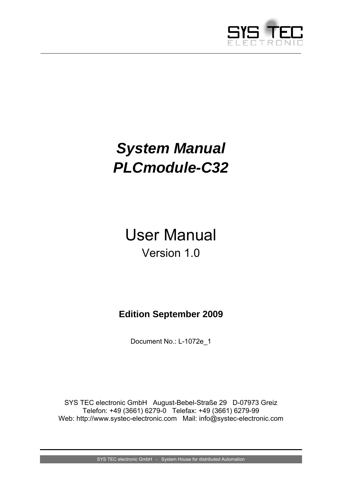

# <span id="page-0-0"></span>*System Manual PLCmodule-C32*

# User Manual Version 1.0

# **Edition September 2009**

Document No.: [L-1072e\\_](#page-0-0)1

SYS TEC electronic GmbH August-Bebel-Straße 29 D-07973 Greiz Telefon: +49 (3661) 6279-0 Telefax: +49 (3661) 6279-99 Web: http://www.systec-electronic.com Mail: info@systec-electronic.com

SYS TEC electronic GmbH - System House for distributed Automation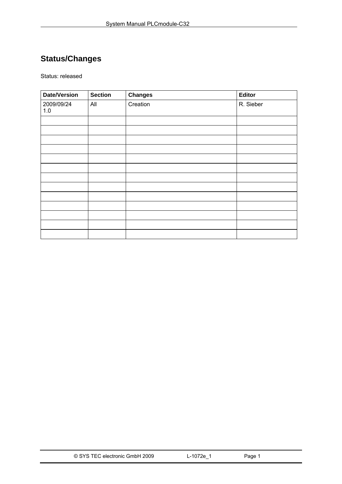# **Status/Changes**

Status: released

| <b>Date/Version</b> | <b>Section</b> | <b>Changes</b> | Editor    |
|---------------------|----------------|----------------|-----------|
| 2009/09/24<br>$1.0$ | All            | Creation       | R. Sieber |
|                     |                |                |           |
|                     |                |                |           |
|                     |                |                |           |
|                     |                |                |           |
|                     |                |                |           |
|                     |                |                |           |
|                     |                |                |           |
|                     |                |                |           |
|                     |                |                |           |
|                     |                |                |           |
|                     |                |                |           |
|                     |                |                |           |
|                     |                |                |           |

| © SYS TEC electronic GmbH 2009 | L-1072e 1 | Page 1 |  |
|--------------------------------|-----------|--------|--|
|--------------------------------|-----------|--------|--|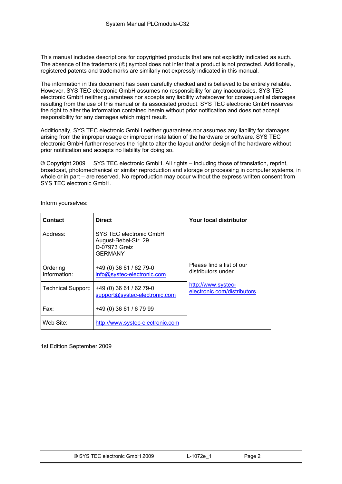This manual includes descriptions for copyrighted products that are not explicitly indicated as such. The absence of the trademark (©) symbol does not infer that a product is not protected. Additionally, registered patents and trademarks are similarly not expressly indicated in this manual.

The information in this document has been carefully checked and is believed to be entirely reliable. However, SYS TEC electronic GmbH assumes no responsibility for any inaccuracies. SYS TEC electronic GmbH neither guarantees nor accepts any liability whatsoever for consequential damages resulting from the use of this manual or its associated product. SYS TEC electronic GmbH reserves the right to alter the information contained herein without prior notification and does not accept responsibility for any damages which might result.

Additionally, SYS TEC electronic GmbH neither guarantees nor assumes any liability for damages arising from the improper usage or improper installation of the hardware or software. SYS TEC electronic GmbH further reserves the right to alter the layout and/or design of the hardware without prior notification and accepts no liability for doing so.

© Copyright 2009 SYS TEC electronic GmbH. All rights – including those of translation, reprint, broadcast, photomechanical or similar reproduction and storage or processing in computer systems, in whole or in part – are reserved. No reproduction may occur without the express written consent from SYS TEC electronic GmbH.

| <b>Contact</b>            | <b>Direct</b>                                                                      | Your local distributor                            |
|---------------------------|------------------------------------------------------------------------------------|---------------------------------------------------|
| Address:                  | SYS TEC electronic GmbH<br>August-Bebel-Str. 29<br>D-07973 Greiz<br><b>GERMANY</b> |                                                   |
| Ordering<br>Information:  | +49 (0) 36 61 / 62 79-0<br>info@systec-electronic.com                              | Please find a list of our<br>distributors under   |
| <b>Technical Support:</b> | +49 (0) 36 61 / 62 79-0<br>support@systec-electronic.com                           | http://www.systec-<br>electronic.com/distributors |
| Fax:                      | +49 (0) 36 61 / 6 79 99                                                            |                                                   |
| Web Site:                 | http://www.systec-electronic.com                                                   |                                                   |

Inform yourselves:

1st Edition September 2009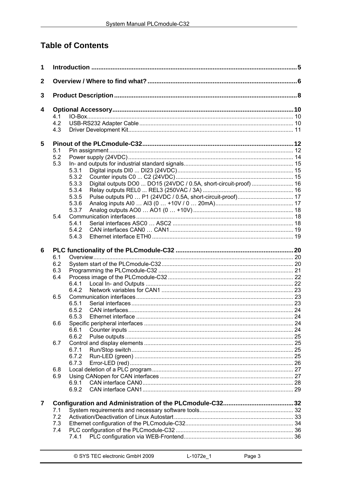# **Table of Contents**

| 1           |     |                                                                            |  |
|-------------|-----|----------------------------------------------------------------------------|--|
| $\mathbf 2$ |     |                                                                            |  |
| 3           |     |                                                                            |  |
|             |     |                                                                            |  |
| 4           | 4.1 |                                                                            |  |
|             | 4.2 |                                                                            |  |
|             | 4.3 |                                                                            |  |
|             |     |                                                                            |  |
| 5           |     |                                                                            |  |
|             | 5.1 |                                                                            |  |
|             | 5.2 |                                                                            |  |
|             | 5.3 |                                                                            |  |
|             |     | 5.3.1                                                                      |  |
|             |     | 5.3.2                                                                      |  |
|             |     | Digital outputs DO0  DO15 (24VDC / 0.5A, short-circuit-proof)  16<br>5.3.3 |  |
|             |     | 5.3.4                                                                      |  |
|             |     | 5.3.5                                                                      |  |
|             |     | 5.3.6                                                                      |  |
|             |     | 5.3.7                                                                      |  |
|             | 5.4 |                                                                            |  |
|             |     | 5.4.1                                                                      |  |
|             |     | 5.4.2                                                                      |  |
|             |     | 5.4.3                                                                      |  |
| 6           |     |                                                                            |  |
|             | 6.1 |                                                                            |  |
|             | 6.2 |                                                                            |  |
|             | 6.3 |                                                                            |  |
|             | 6.4 |                                                                            |  |
|             |     | 6.4.1                                                                      |  |
|             |     | 6.4.2                                                                      |  |
|             | 6.5 |                                                                            |  |
|             |     | 6.5.1                                                                      |  |
|             |     | 6.5.2                                                                      |  |
|             |     | 6.5.3                                                                      |  |
|             |     |                                                                            |  |
|             | 6.6 |                                                                            |  |
|             |     | 6.6.1<br>6.6.2                                                             |  |
|             |     |                                                                            |  |
|             | 6.7 |                                                                            |  |
|             |     | 6.7.1                                                                      |  |
|             |     | 6.7.2                                                                      |  |
|             |     | 6.7.3                                                                      |  |
|             | 6.8 |                                                                            |  |
|             | 6.9 |                                                                            |  |
|             |     | 6.9.1                                                                      |  |
|             |     | 6.9.2                                                                      |  |
| 7           |     |                                                                            |  |
|             | 7.1 |                                                                            |  |
|             | 7.2 |                                                                            |  |
|             | 7.3 |                                                                            |  |
|             | 7.4 |                                                                            |  |
|             |     |                                                                            |  |
|             |     |                                                                            |  |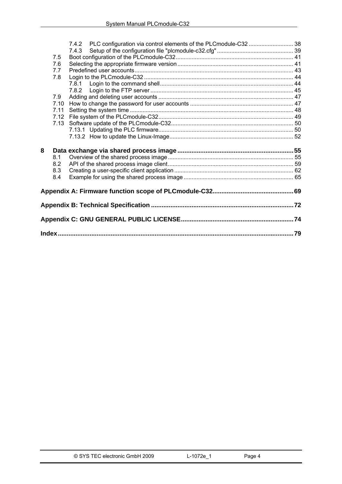|   |      | 7.4.3 | 7.4.2 PLC configuration via control elements of the PLCmodule-C32  38 |    |
|---|------|-------|-----------------------------------------------------------------------|----|
|   | 7.5  |       |                                                                       |    |
|   | 7.6  |       |                                                                       |    |
|   | 7.7  |       |                                                                       |    |
|   | 7.8  |       |                                                                       |    |
|   |      | 7.8.1 |                                                                       |    |
|   |      |       |                                                                       |    |
|   | 7.9  |       |                                                                       |    |
|   | 7.10 |       |                                                                       |    |
|   | 7.11 |       |                                                                       |    |
|   | 7.12 |       |                                                                       |    |
|   | 7.13 |       |                                                                       |    |
|   |      |       |                                                                       |    |
|   |      |       |                                                                       |    |
|   |      |       |                                                                       |    |
| 8 |      |       |                                                                       |    |
|   | 8.1  |       |                                                                       |    |
|   | 8.2  |       |                                                                       |    |
|   | 8.3  |       |                                                                       |    |
|   | 8.4  |       |                                                                       |    |
|   |      |       |                                                                       |    |
|   |      |       |                                                                       |    |
|   |      |       |                                                                       |    |
|   |      |       |                                                                       |    |
|   |      |       |                                                                       | 79 |
|   |      |       |                                                                       |    |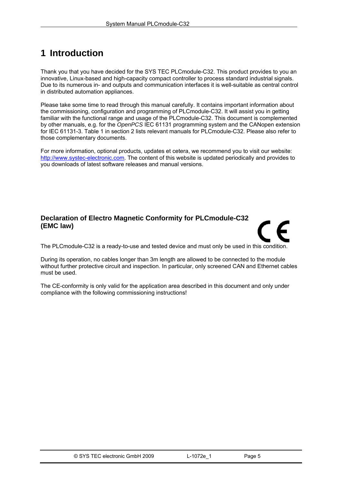# <span id="page-5-0"></span>**1 Introduction**

Thank you that you have decided for the SYS TEC PLCmodule-C32. This product provides to you an innovative, Linux-based and high-capacity compact controller to process standard industrial signals. Due to its numerous in- and outputs and communication interfaces it is well-suitable as central control in distributed automation appliances.

Please take some time to read through this manual carefully. It contains important information about the commissioning, configuration and programming of PLCmodule-C32. It will assist you in getting familiar with the functional range and usage of the PLCmodule-C32. This document is complemented by other manuals, e.g. for the *OpenPCS* IEC 61131 programming system and the CANopen extension for IEC 61131-3. [Table 1](#page-6-0) in section [2](#page-6-0) lists relevant manuals for PLCmodule-C32. Please also refer to those complementary documents.

For more information, optional products, updates et cetera, we recommend you to visit our website: [http://www.systec-electronic.com.](http://www.systec-electronic.com/) The content of this website is updated periodically and provides to you downloads of latest software releases and manual versions.

# **Declaration of Electro Magnetic Conformity for PLCmodule-C32 (EMC law)**



The PLCmodule-C32 is a ready-to-use and tested device and must only be used in this condition.

During its operation, no cables longer than 3m length are allowed to be connected to the module without further protective circuit and inspection. In particular, only screened CAN and Ethernet cables must be used.

The CE-conformity is only valid for the application area described in this document and only under compliance with the following commissioning instructions!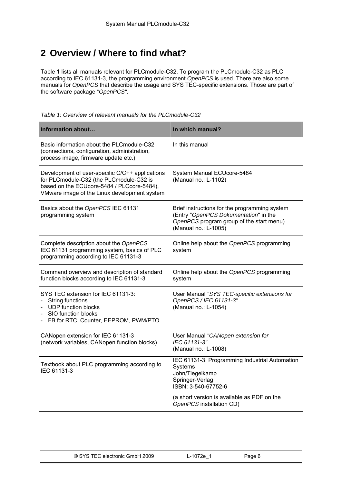# <span id="page-6-0"></span>**2 Overview / Where to find what?**

[Table 1](#page-6-0) lists all manuals relevant for PLCmodule-C32. To program the PLCmodule-C32 as PLC according to IEC 61131-3, the programming environment *OpenPCS* is used. There are also some manuals for *OpenPCS* that describe the usage and SYS TEC-specific extensions. Those are part of the software package *"OpenPCS"*.

*Table 1: Overview of relevant manuals for the PLCmodule-C32* 

| In which manual?                                                                                                                                                                                  |  |  |
|---------------------------------------------------------------------------------------------------------------------------------------------------------------------------------------------------|--|--|
| In this manual                                                                                                                                                                                    |  |  |
| System Manual ECUcore-5484<br>(Manual no.: L-1102)                                                                                                                                                |  |  |
| Brief instructions for the programming system<br>(Entry "OpenPCS Dokumentation" in the<br>OpenPCS program group of the start menu)<br>(Manual no.: L-1005)                                        |  |  |
| Online help about the OpenPCS programming<br>system                                                                                                                                               |  |  |
| Online help about the OpenPCS programming<br>system                                                                                                                                               |  |  |
| User Manual "SYS TEC-specific extensions for<br>OpenPCS / IEC 61131-3"<br>(Manual no.: L-1054)                                                                                                    |  |  |
| User Manual "CANopen extension for<br>IEC 61131-3"<br>(Manual no.: L-1008)                                                                                                                        |  |  |
| IEC 61131-3: Programming Industrial Automation<br>Systems<br>John/Tiegelkamp<br>Springer-Verlag<br>ISBN: 3-540-67752-6<br>(a short version is available as PDF on the<br>OpenPCS installation CD) |  |  |
|                                                                                                                                                                                                   |  |  |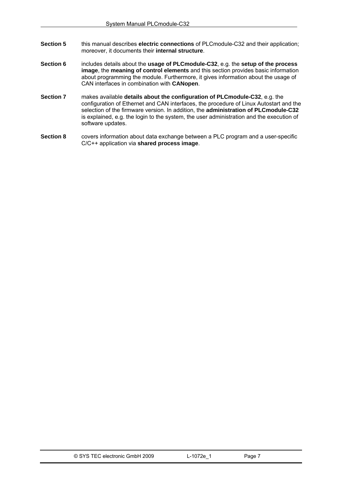- **Section [5](#page-12-0)** this manual describes **electric connections** of PLCmodule-C32 and their application; moreover, it documents their **internal structure**.
- **Section [6](#page-20-0)** includes details about the **usage of PLCmodule-C32**, e.g. the **setup of the process image**, the **meaning of control elements** and this section provides basic information about programming the module. Furthermore, it gives information about the usage of CAN interfaces in combination with **CANopen**.
- **Section [7](#page-32-0)** makes available **details about the configuration of PLCmodule-C32**, e.g. the configuration of Ethernet and CAN interfaces, the procedure of Linux Autostart and the selection of the firmware version. In addition, the **administration of PLCmodule-C32** is explained, e.g. the login to the system, the user administration and the execution of software updates.
- **Section [8](#page-55-0)** covers information about data exchange between a PLC program and a user-specific C/C++ application via **shared process image**.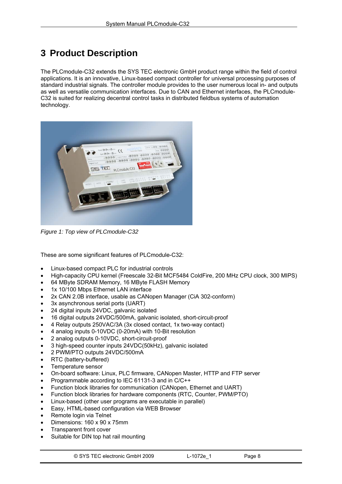# <span id="page-8-0"></span>**3 Product Description**

The PLCmodule-C32 extends the SYS TEC electronic GmbH product range within the field of control applications. It is an innovative, Linux-based compact controller for universal processing purposes of standard industrial signals. The controller module provides to the user numerous local in- and outputs as well as versatile communication interfaces. Due to CAN and Ethernet interfaces, the PLCmodule-C32 is suited for realizing decentral control tasks in distributed fieldbus systems of automation technology.



*Figure 1: Top view of PLCmodule-C32* 

These are some significant features of PLCmodule-C32:

- Linux-based compact PLC for industrial controls
- High-capacity CPU kernel (Freescale 32-Bit MCF5484 ColdFire, 200 MHz CPU clock, 300 MIPS)
- 64 MByte SDRAM Memory, 16 MByte FLASH Memory
- 1x 10/100 Mbps Ethernet LAN interface
- 2x CAN 2.0B interface, usable as CANopen Manager (CiA 302-conform)
- 3x asynchronous serial ports (UART)
- 24 digital inputs 24VDC, galvanic isolated
- 16 digital outputs 24VDC/500mA, galvanic isolated, short-circuit-proof
- 4 Relay outputs 250VAC/3A (3x closed contact, 1x two-way contact)
- 4 analog inputs 0-10VDC (0-20mA) with 10-Bit resolution
- 2 analog outputs 0-10VDC, short-circuit-proof
- 3 high-speed counter inputs 24VDC(50kHz), galvanic isolated
- 2 PWM/PTO outputs 24VDC/500mA
- RTC (battery-buffered)
- Temperature sensor
- On-board software: Linux, PLC firmware, CANopen Master, HTTP and FTP server
- Programmable according to IEC 61131-3 and in C/C++
- Function block libraries for communication (CANopen, Ethernet and UART)
- Function block libraries for hardware components (RTC, Counter, PWM/PTO)
- Linux-based (other user programs are executable in parallel)
- Easy, HTML-based configuration via WEB Browser
- Remote login via Telnet
- Dimensions: 160 x 90 x 75mm
- Transparent front cover
- Suitable for DIN top hat rail mounting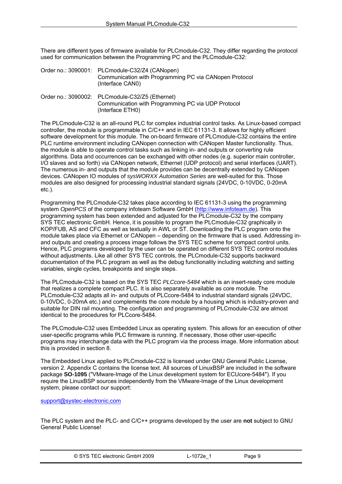There are different types of firmware available for PLCmodule-C32. They differ regarding the protocol used for communication between the Programming PC and the PLCmodule-C32:

| Order no.: 3090001: PLCmodule-C32/Z4 (CANopen)                             |
|----------------------------------------------------------------------------|
| Communication with Programming PC via CANopen Protocol<br>(Interface CAN0) |

| Order no.: 3090002: PLCmodule-C32/Z5 (Ethernet)    |
|----------------------------------------------------|
| Communication with Programming PC via UDP Protocol |
| (Interface ETH0)                                   |

The PLCmodule-C32 is an all-round PLC for complex industrial control tasks. As Linux-based compact controller, the module is programmable in C/C++ and in IEC 61131-3. It allows for highly efficient software development for this module. The on-board firmware of PLCmodule-C32 contains the entire PLC runtime environment including CANopen connection with CANopen Master functionality. Thus, the module is able to operate control tasks such as linking in- and outputs or converting rule algorithms. Data and occurrences can be exchanged with other nodes (e.g. superior main controller, I/O slaves and so forth) via CANopen network, Ethernet (UDP protocol) and serial interfaces (UART). The numerous in- and outputs that the module provides can be decentrally extended by CANopen devices. CANopen IO modules of *sysWORXX Automation Series* are well-suited for this. Those modules are also designed for processing industrial standard signals (24VDC, 0-10VDC, 0-20mA etc.).

Programming the PLCmodule-C32 takes place according to IEC 61131-3 using the programming system *OpenPCS* of the company infoteam Software GmbH ([http://www.infoteam.de](http://www.infoteam.de/)). This programming system has been extended and adjusted for the PLCmodule-C32 by the company SYS TEC electronic GmbH. Hence, it is possible to program the PLCmodule-C32 graphically in KOP/FUB, AS and CFC as well as textually in AWL or ST. Downloading the PLC program onto the module takes place via Ethernet or CANopen – depending on the firmware that is used. Addressing inand outputs and creating a process image follows the SYS TEC scheme for compact control units. Hence, PLC programs developed by the user can be operated on different SYS TEC control modules without adjustments. Like all other SYS TEC controls, the PLCmodule-C32 supports backward documentation of the PLC program as well as the debug functionality including watching and setting variables, single cycles, breakpoints and single steps.

The PLCmodule-C32 is based on the SYS TEC *PLCcore-5484* which is an insert-ready core module that realizes a complete compact PLC. It is also separately available as core module. The PLCmodule-C32 adapts all in- and outputs of PLCcore-5484 to industrial standard signals (24VDC, 0-10VDC, 0-20mA etc.) and complements the core module by a housing which is industry-proven and suitable for DIN rail mounting. The configuration and programming of PLCmodule-C32 are almost identical to the procedures for PLCcore-5484.

The PLCmodule-C32 uses Embedded Linux as operating system. This allows for an execution of other user-specific programs while PLC firmware is running. If necessary, those other user-specific programs may interchange data with the PLC program via the process image. More information about this is provided in section [8.](#page-55-0)

The Embedded Linux applied to PLCmodule-C32 is licensed under GNU General Public License, version 2. [Appendix C](#page-74-0) contains the license text. All sources of LinuxBSP are included in the software package **SO-1095** ("VMware-Image of the Linux development system for ECUcore-5484"). If you require the LinuxBSP sources independently from the VMware-Image of the Linux development system, please contact our support:

[support@systec-electronic.com](mailto:support@systec-electronic.com)

The PLC system and the PLC- and C/C++ programs developed by the user are **not** subject to GNU General Public License!

| © SYS TEC electronic GmbH 2009 | ∟-1072e <sup>→</sup> | Page 9 |  |
|--------------------------------|----------------------|--------|--|
|--------------------------------|----------------------|--------|--|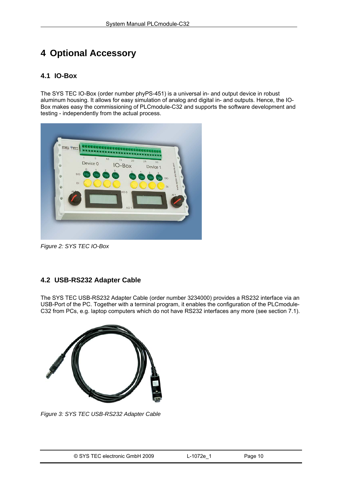# <span id="page-10-0"></span>**4 Optional Accessory**

## **4.1 IO-Box**

The SYS TEC IO-Box (order number phyPS-451) is a universal in- and output device in robust aluminum housing. It allows for easy simulation of analog and digital in- and outputs. Hence, the IO-Box makes easy the commissioning of PLCmodule-C32 and supports the software development and testing - independently from the actual process.



*Figure 2: SYS TEC IO-Box* 

# **4.2 USB-RS232 Adapter Cable**

The SYS TEC USB-RS232 Adapter Cable (order number 3234000) provides a RS232 interface via an USB-Port of the PC. Together with a terminal program, it enables the configuration of the PLCmodule-C32 from PCs, e.g. laptop computers which do not have RS232 interfaces any more (see section [7.1](#page-32-0)).



*Figure 3: SYS TEC USB-RS232 Adapter Cable*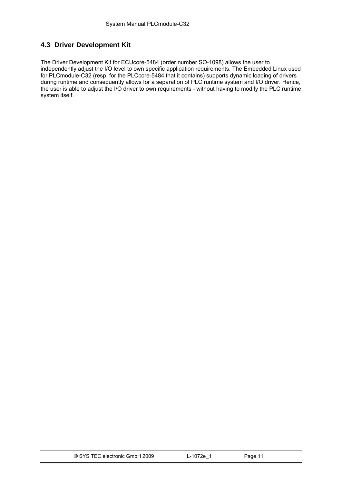# <span id="page-11-0"></span>**4.3 Driver Development Kit**

The Driver Development Kit for ECUcore-5484 (order number SO-1098) allows the user to independently adjust the I/O level to own specific application requirements. The Embedded Linux used for PLCmodule-C32 (resp. for the PLCcore-5484 that it contains) supports dynamic loading of drivers during runtime and consequently allows for a separation of PLC runtime system and I/O driver. Hence, the user is able to adjust the I/O driver to own requirements - without having to modify the PLC runtime system itself.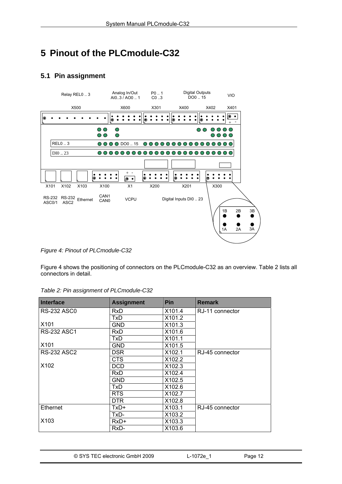# <span id="page-12-0"></span>**5 Pinout of the PLCmodule-C32**

# **5.1 Pin assignment**



*Figure 4: Pinout of PLCmodule-C32* 

[Figure 4](#page-12-0) shows the positioning of connectors on the PLCmodule-C32 as an overview. [Table 2](#page-12-0) lists all connectors in detail.

| <b>Interface</b>   | <b>Assignment</b> | <b>Pin</b> | <b>Remark</b>   |
|--------------------|-------------------|------------|-----------------|
| RS-232 ASC0        | <b>RxD</b>        | X101.4     | RJ-11 connector |
|                    | <b>TxD</b>        | X101.2     |                 |
| X <sub>101</sub>   | GND               | X101.3     |                 |
| <b>RS-232 ASC1</b> | RxD               | X101.6     |                 |
|                    | TxD.              | X101.1     |                 |
| X <sub>101</sub>   | GND               | X101.5     |                 |
| <b>RS-232 ASC2</b> | <b>DSR</b>        | X102.1     | RJ-45 connector |
|                    | CTS               | X102.2     |                 |
| X102               | <b>DCD</b>        | X102.3     |                 |
|                    | <b>RxD</b>        | X102.4     |                 |
|                    | <b>GND</b>        | X102.5     |                 |
|                    | TxD               | X102.6     |                 |
|                    | <b>RTS</b>        | X102.7     |                 |
|                    | DTR.              | X102.8     |                 |
| <b>Ethernet</b>    | TxD+              | X103.1     | RJ-45 connector |
|                    | TxD-              | X103.2     |                 |
| X103               | RxD+              | X103.3     |                 |
|                    | RxD-              | X103.6     |                 |

*Table 2: Pin assignment of PLCmodule-C32*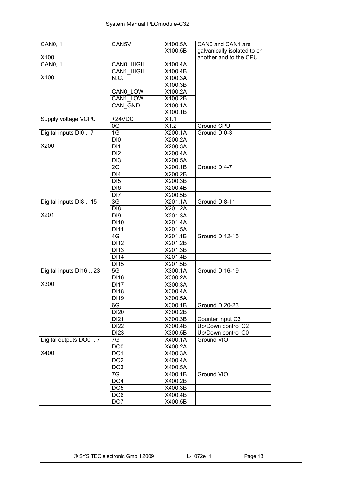| <b>CAN0, 1</b>          | CAN5V             | X100.5A | CAN0 and CAN1 are           |
|-------------------------|-------------------|---------|-----------------------------|
|                         |                   | X100.5B | galvanically isolated to on |
| X100                    |                   |         | another and to the CPU.     |
| CANO, 1                 | CANO HIGH         | X100.4A |                             |
|                         | CAN1 HIGH         | X100.4B |                             |
| X100                    | N.C.              | X100.3A |                             |
|                         |                   | X100.3B |                             |
|                         | CANO LOW          | X100.2A |                             |
|                         | CAN1 LOW          | X100.2B |                             |
|                         | CAN GND           | X100.1A |                             |
|                         |                   | X100.1B |                             |
| Supply voltage VCPU     | $+24VDC$          | X1.1    |                             |
|                         | 0G                | X1.2    | <b>Ground CPU</b>           |
| Digital inputs DI0  7   | 1G                | X200.1A | Ground DI0-3                |
|                         | DI0               | X200.2A |                             |
| X200                    | DI1               | X200.3A |                             |
|                         | DI <sub>2</sub>   | X200.4A |                             |
|                         | D <sub>13</sub>   | X200.5A |                             |
|                         | 2G                | X200.1B | Ground DI4-7                |
|                         | DI4               | X200.2B |                             |
|                         | D <sub>15</sub>   | X200.3B |                             |
|                         | DI <sub>6</sub>   | X200.4B |                             |
|                         | D <sub>17</sub>   | X200.5B |                             |
| Digital inputs DI8  15  | 3G                | X201.1A | Ground DI8-11               |
|                         | D <sub>18</sub>   | X201.2A |                             |
| X201                    | DI <sub>9</sub>   | X201.3A |                             |
|                         | <b>DI10</b>       | X201.4A |                             |
|                         | <b>DI11</b>       | X201.5A |                             |
|                         | 4G                | X201.1B | Ground DI12-15              |
|                         | <b>DI12</b>       | X201.2B |                             |
|                         | DI13              | X201.3B |                             |
|                         | $\overline{DI14}$ |         |                             |
|                         |                   | X201.4B |                             |
|                         | <b>DI15</b>       | X201.5B |                             |
| Digital inputs DI16  23 | 5G                | X300.1A | Ground DI16-19              |
| X300                    | DI16              | X300.2A |                             |
|                         | <b>DI17</b>       | X300.3A |                             |
|                         | <b>DI18</b>       | X300.4A |                             |
|                         | DI19              | X300.5A |                             |
|                         | 6G                | X300.1B | Ground DI20-23              |
|                         | DI20              | X300.2B |                             |
|                         | <b>DI21</b>       | X300.3B | Counter input C3            |
|                         | <b>DI22</b>       | X300.4B | Up/Down control C2          |
|                         | <b>DI23</b>       | X300.5B | Up/Down control C0          |
| Digital outputs DO0  7  | 7G                | X400.1A | Ground VIO                  |
|                         | DO <sub>0</sub>   | X400.2A |                             |
| X400                    | DO <sub>1</sub>   | X400.3A |                             |
|                         | DO <sub>2</sub>   | X400.4A |                             |
|                         | DO <sub>3</sub>   | X400.5A |                             |
|                         | 7G                | X400.1B | Ground VIO                  |
|                         | DO <sub>4</sub>   | X400.2B |                             |
|                         | DO <sub>5</sub>   | X400.3B |                             |
|                         | DO <sub>6</sub>   | X400.4B |                             |
|                         | DO <sub>7</sub>   | X400.5B |                             |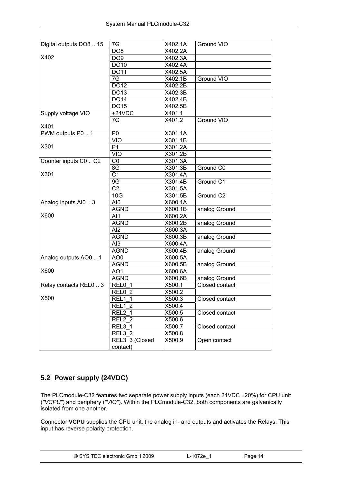<span id="page-14-0"></span>

| Digital outputs DO8  15 | 7G                  | X402.1A | Ground VIO     |
|-------------------------|---------------------|---------|----------------|
|                         | DO <sub>8</sub>     | X402.2A |                |
| X402                    | DO <sub>9</sub>     | X402.3A |                |
|                         | DO10                | X402.4A |                |
|                         | <b>DO11</b>         | X402.5A |                |
|                         | $7\overline{G}$     | X402.1B | Ground VIO     |
|                         | D <sub>012</sub>    | X402.2B |                |
|                         | DO13                | X402.3B |                |
|                         | <b>DO14</b>         | X402.4B |                |
|                         | DO15                | X402.5B |                |
| Supply voltage VIO      | $+24VDC$            | X401.1  |                |
|                         | 7G                  | X401.2  | Ground VIO     |
| X401                    |                     |         |                |
| PWM outputs P0  1       | P <sub>0</sub>      | X301.1A |                |
|                         | <b>VIO</b>          | X301.1B |                |
| X301                    | P <sub>1</sub>      | X301.2A |                |
|                         | VIO                 | X301.2B |                |
| Counter inputs C0  C2   | CO                  | X301.3A |                |
|                         | 8 <sub>G</sub>      | X301.3B | Ground C0      |
| X301                    | $\overline{C1}$     | X301.4A |                |
|                         | 9G                  | X301.4B | Ground C1      |
|                         | $\overline{C2}$     | X301.5A |                |
|                         | 10G                 | X301.5B | Ground C2      |
| Analog inputs Al0  3    | AI0                 | X600.1A |                |
|                         | <b>AGND</b>         | X600.1B | analog Ground  |
| X600                    | AI1                 | X600.2A |                |
|                         | <b>AGND</b>         | X600.2B | analog Ground  |
|                         | $\overline{Al2}$    | X600.3A |                |
|                         | <b>AGND</b>         | X600.3B | analog Ground  |
|                         | AI3                 | X600.4A |                |
|                         | <b>AGND</b>         | X600.4B | analog Ground  |
| Analog outputs AO0  1   | AO <sub>0</sub>     | X600.5A |                |
|                         | <b>AGND</b>         | X600.5B | analog Ground  |
| X600                    | AO <sub>1</sub>     | X600.6A |                |
|                         | <b>AGND</b>         | X600.6B | analog Ground  |
| Relay contacts REL0  3  | $RELO$ 1            | X500.1  | Closed contact |
|                         | REL0 2              | X500.2  |                |
| X500                    | <b>REL1_1</b>       | X500.3  | Closed contact |
|                         | REL1 2              | X500.4  |                |
|                         | REL2 1              | X500.5  | Closed contact |
|                         | REL2 2              | X500.6  |                |
|                         | REL3 $\overline{1}$ | X500.7  | Closed contact |
|                         | $REL3$ 2            | X500.8  |                |
|                         | REL3 3 (Closed      | X500.9  | Open contact   |
|                         | contact)            |         |                |

# **5.2 Power supply (24VDC)**

The PLCmodule-C32 features two separate power supply inputs (each 24VDC ±20%) for CPU unit (*"VCPU"*) and periphery (*"VIO"*). Within the PLCmodule-C32, both components are galvanically isolated from one another.

Connector **VCPU** supplies the CPU unit, the analog in- and outputs and activates the Relays. This input has reverse polarity protection.

| © SYS TEC electronic GmbH 2009 | L-1072e | Page 14 |  |
|--------------------------------|---------|---------|--|
|--------------------------------|---------|---------|--|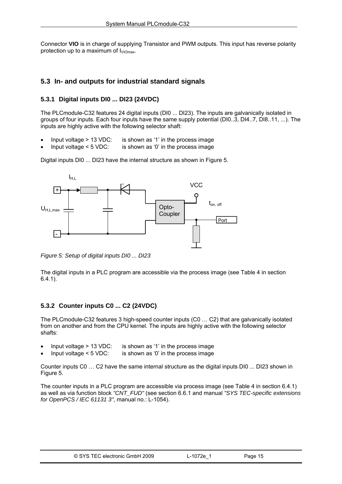<span id="page-15-0"></span>Connector **VIO** is in charge of supplying Transistor and PWM outputs. This input has reverse polarity protection up to a maximum of  $I_{VIOmax}$ .

## **5.3 In- and outputs for industrial standard signals**

#### **5.3.1 Digital inputs DI0 ... DI23 (24VDC)**

The PLCmodule-C32 features 24 digital inputs (DI0 ... DI23). The inputs are galvanically isolated in groups of four inputs. Each four inputs have the same supply potential (DI0..3, DI4..7, DI8..11, ...). The inputs are highly active with the following selector shaft:

- Input voltage  $> 13$  VDC: is shown as '1' in the process image
- Input voltage  $\leq$  5 VDC: is shown as '0' in the process image

Digital inputs DI0 ... DI23 have the internal structure as shown in [Figure 5.](#page-15-0)



*Figure 5: Setup of digital inputs DI0 ... DI23* 

The digital inputs in a PLC program are accessible via the process image (see [Table 4](#page-22-0) in section [6.4.1](#page-22-0)).

## **5.3.2 Counter inputs C0 ... C2 (24VDC)**

The PLCmodule-C32 features 3 high-speed counter inputs (C0 … C2) that are galvanically isolated from on another and from the CPU kernel. The inputs are highly active with the following selector shafts:

- Input voltage  $> 13$  VDC: is shown as '1' in the process image
- Input voltage  $\leq$  5 VDC: is shown as '0' in the process image

Counter inputs C0 … C2 have the same internal structure as the digital inputs DI0 ... DI23 shown in [Figure 5.](#page-15-0)

The counter inputs in a PLC program are accessible via process image (see [Table 4](#page-22-0) in section [6.4.1](#page-22-0)) as well as via function block *"CNT\_FUD"* (see section [6.6.1](#page-24-0) and manual *"SYS TEC-specific extensions for OpenPCS / IEC 61131 3"*, manual no.: L-1054).

| © SYS TEC electronic GmbH 2009 | L-1072e <sup>1</sup> | Page 15 |  |
|--------------------------------|----------------------|---------|--|
|--------------------------------|----------------------|---------|--|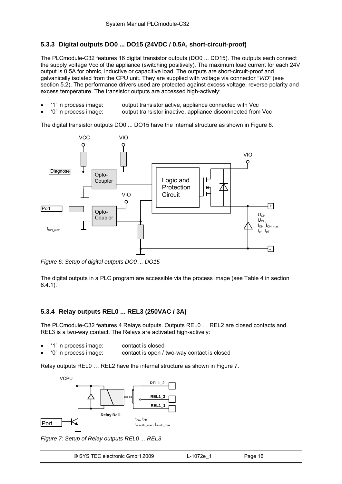### <span id="page-16-0"></span>**5.3.3 Digital outputs DO0 ... DO15 (24VDC / 0.5A, short-circuit-proof)**

The PLCmodule-C32 features 16 digital transistor outputs (DO0 ... DO15). The outputs each connect the supply voltage Vcc of the appliance (switching positively). The maximum load current for each 24V output is 0.5A for ohmic, inductive or capacitive load. The outputs are short-circuit-proof and galvanically isolated from the CPU unit. They are supplied with voltage via connector *"VIO"* (see section [5.2](#page-14-0)). The performance drivers used are protected against excess voltage, reverse polarity and excess temperature. The transistor outputs are accessed high-actively:

- '1' in process image: output transistor active, appliance connected with Vcc
- '0' in process image: output transistor inactive, appliance disconnected from Vcc

The digital transistor outputs DO0 ... DO15 have the internal structure as shown in [Figure 6](#page-16-0).



*Figure 6: Setup of digital outputs DO0 ... DO15* 

The digital outputs in a PLC program are accessible via the process image (see [Table 4](#page-22-0) in section [6.4.1](#page-22-0)).

#### **5.3.4 Relay outputs REL0 ... REL3 (250VAC / 3A)**

The PLCmodule-C32 features 4 Relays outputs. Outputs REL0 … REL2 are closed contacts and REL3 is a two-way contact. The Relays are activated high-actively:

- '1' in process image: contact is closed
- '0' in process image: contact is open / two-way contact is closed

Relay outputs REL0 … REL2 have the internal structure as shown in [Figure 7.](#page-16-0)



*Figure 7: Setup of Relay outputs REL0 ... REL3* 

| © SYS TEC electronic GmbH 2009 | ∟-1072e | Page 16 |  |
|--------------------------------|---------|---------|--|
|--------------------------------|---------|---------|--|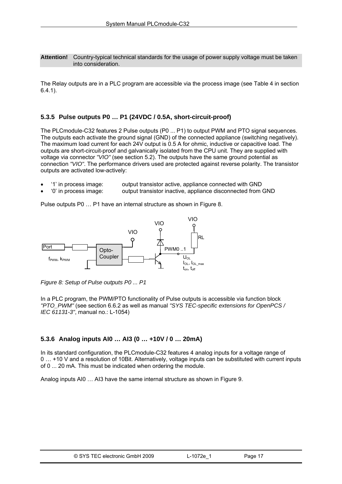<span id="page-17-0"></span>**Attention!** Country-typical technical standards for the usage of power supply voltage must be taken into consideration.

The Relay outputs are in a PLC program are accessible via the process image (see [Table 4](#page-22-0) in section [6.4.1](#page-22-0)).

#### **5.3.5 Pulse outputs P0 … P1 (24VDC / 0.5A, short-circuit-proof)**

The PLCmodule-C32 features 2 Pulse outputs (P0 ... P1) to output PWM and PTO signal sequences. The outputs each activate the ground signal (GND) of the connected appliance (switching negatively). The maximum load current for each 24V output is 0.5 A for ohmic, inductive or capacitive load. The outputs are short-circuit-proof and galvanically isolated from the CPU unit. They are supplied with voltage via connector *"VIO"* (see section [5.2\)](#page-14-0). The outputs have the same ground potential as connection *"VIO"*. The performance drivers used are protected against reverse polarity. The transistor outputs are activated low-actively:

- '1' in process image: output transistor active, appliance connected with GND
- '0' in process image: output transistor inactive, appliance disconnected from GND

Pulse outputs P0 … P1 have an internal structure as shown in [Figure 8.](#page-17-0)



*Figure 8: Setup of Pulse outputs P0 ... P1* 

In a PLC program, the PWM/PTO functionality of Pulse outputs is accessible via function block *"PTO\_PWM"* (see section [6.6.2](#page-25-0) as well as manual *"SYS TEC-specific extensions for OpenPCS / IEC 61131-3"*, manual no.: L-1054)

#### **5.3.6 Analog inputs AI0 … AI3 (0 … +10V / 0 … 20mA)**

In its standard configuration, the PLCmodule-C32 features 4 analog inputs for a voltage range of 0 … +10 V and a resolution of 10Bit. Alternatively, voltage inputs can be substituted with current inputs of 0 ... 20 mA. This must be indicated when ordering the module.

Analog inputs AI0 … AI3 have the same internal structure as shown in [Figure 9.](#page-18-0)

|  | © SYS TEC electronic GmbH 2009 | $-1072e$ | Page 17 |
|--|--------------------------------|----------|---------|
|--|--------------------------------|----------|---------|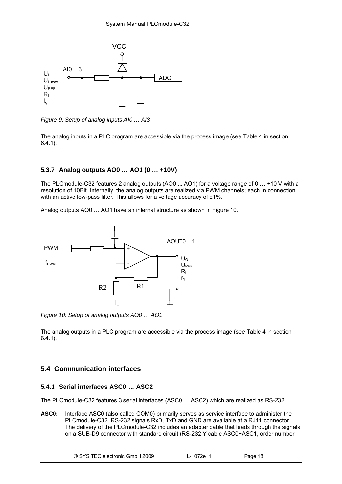<span id="page-18-0"></span>

*Figure 9: Setup of analog inputs AI0 … AI3* 

The analog inputs in a PLC program are accessible via the process image (see [Table 4](#page-22-0) in section [6.4.1](#page-22-0)).

#### **5.3.7 Analog outputs AO0 … AO1 (0 … +10V)**

The PLCmodule-C32 features 2 analog outputs (AO0 ... AO1) for a voltage range of 0 … +10 V with a resolution of 10Bit. Internally, the analog outputs are realized via PWM channels; each in connection with an active low-pass filter. This allows for a voltage accuracy of  $\pm 1\%$ .

Analog outputs AO0 … AO1 have an internal structure as shown in [Figure 10](#page-18-0).



*Figure 10: Setup of analog outputs AO0 … AO1* 

The analog outputs in a PLC program are accessible via the process image (see [Table 4](#page-22-0) in section [6.4.1](#page-22-0)).

### **5.4 Communication interfaces**

#### **5.4.1 Serial interfaces ASC0 … ASC2**

The PLCmodule-C32 features 3 serial interfaces (ASC0 … ASC2) which are realized as RS-232.

**ASC0:** Interface ASC0 (also called COM0) primarily serves as service interface to administer the PLCmodule-C32. RS-232 signals RxD, TxD and GND are available at a RJ11 connector. The delivery of the PLCmodule-C32 includes an adapter cable that leads through the signals on a SUB-D9 connector with standard circuit (RS-232 Y cable ASC0+ASC1, order number

| © SYS TEC electronic GmbH 2009 | $-1072e^{-x}$ | Page 18 |  |
|--------------------------------|---------------|---------|--|
|--------------------------------|---------------|---------|--|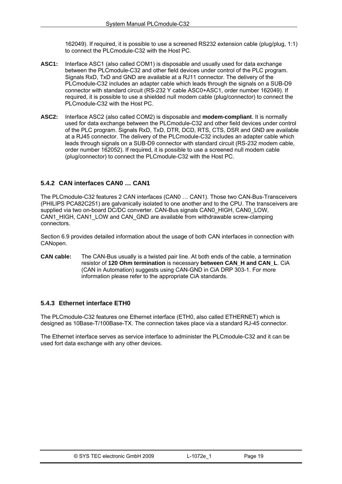162049). If required, it is possible to use a screened RS232 extension cable (plug/plug, 1:1) to connect the PLCmodule-C32 with the Host PC.

- <span id="page-19-0"></span>**ASC1:** Interface ASC1 (also called COM1) is disposable and usually used for data exchange between the PLCmodule-C32 and other field devices under control of the PLC program. Signals RxD, TxD and GND are available at a RJ11 connector. The delivery of the PLCmodule-C32 includes an adapter cable which leads through the signals on a SUB-D9 connector with standard circuit (RS-232 Y cable ASC0+ASC1, order number 162049). If required, it is possible to use a shielded null modem cable (plug/connector) to connect the PLCmodule-C32 with the Host PC.
- **ASC2:** Interface ASC2 (also called COM2) is disposable and **modem-compliant**. It is normally used for data exchange between the PLCmodule-C32 and other field devices under control of the PLC program. Signals RxD, TxD, DTR, DCD, RTS, CTS, DSR and GND are available at a RJ45 connector. The delivery of the PLCmodule-C32 includes an adapter cable which leads through signals on a SUB-D9 connector with standard circuit (RS-232 modem cable, order number 162052). If required, it is possible to use a screened null modem cable (plug/connector) to connect the PLCmodule-C32 with the Host PC.

#### **5.4.2 CAN interfaces CAN0 … CAN1**

The PLCmodule-C32 features 2 CAN interfaces (CAN0 … CAN1). Those two CAN-Bus-Transceivers (PHILIPS PCA82C251) are galvanically isolated to one another and to the CPU. The transceivers are supplied via two on-board DC/DC converter. CAN-Bus signals CAN0\_HIGH, CAN0\_LOW, CAN1\_HIGH, CAN1\_LOW and CAN\_GND are available from withdrawable screw-clamping connectors.

Section [6.9](#page-27-0) provides detailed information about the usage of both CAN interfaces in connection with CANopen.

**CAN cable:** The CAN-Bus usually is a twisted pair line. At both ends of the cable, a termination resistor of **120 Ohm termination** is necessary **between CAN\_H and CAN\_L**. CiA (CAN in Automation) suggests using CAN-GND in CiA DRP 303-1. For more information please refer to the appropriate CiA standards.

#### **5.4.3 Ethernet interface ETH0**

The PLCmodule-C32 features one Ethernet interface (ETH0, also called ETHERNET) which is designed as 10Base-T/100Base-TX. The connection takes place via a standard RJ-45 connector.

The Ethernet interface serves as service interface to administer the PLCmodule-C32 and it can be used fort data exchange with any other devices.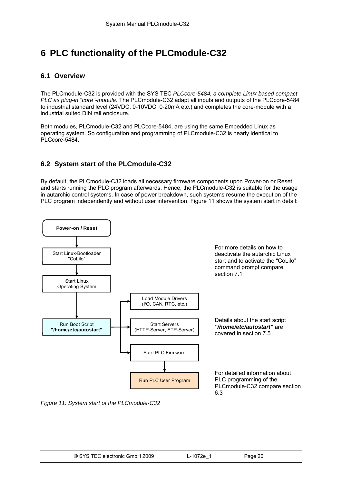# <span id="page-20-0"></span>**6 PLC functionality of the PLCmodule-C32**

## **6.1 Overview**

The PLCmodule-C32 is provided with the SYS TEC *PLCcore-5484, a complete Linux based compact PLC as plug-in "core"-module*. The PLCmodule-C32 adapt all inputs and outputs of the PLCcore-5484 to industrial standard level (24VDC, 0-10VDC, 0-20mA etc.) and completes the core-module with a industrial suited DIN rail enclosure.

Both modules, PLCmodule-C32 and PLCcore-5484, are using the same Embedded Linux as operating system. So configuration and programming of PLCmodule-C32 is nearly identical to PLCcore-5484.

# **6.2 System start of the PLCmodule-C32**

By default, the PLCmodule-C32 loads all necessary firmware components upon Power-on or Reset and starts running the PLC program afterwards. Hence, the PLCmodule-C32 is suitable for the usage in autarchic control systems. In case of power breakdown, such systems resume the execution of the PLC program independently and without user intervention. [Figure 11](#page-20-0) shows the system start in detail:



*Figure 11: System start of the PLCmodule-C32*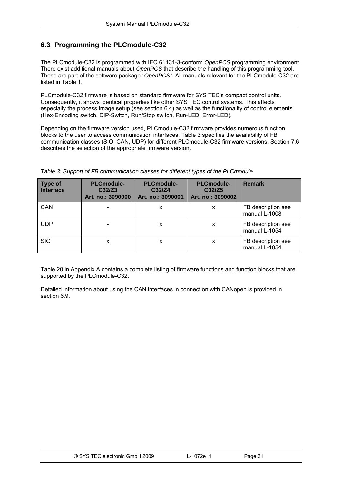# <span id="page-21-0"></span>**6.3 Programming the PLCmodule-C32**

The PLCmodule-C32 is programmed with IEC 61131-3-conform *OpenPCS* programming environment. There exist additional manuals about *OpenPCS* that describe the handling of this programming tool. Those are part of the software package *"OpenPCS"*. All manuals relevant for the PLCmodule-C32 are listed in [Table 1.](#page-6-0)

PLCmodule-C32 firmware is based on standard firmware for SYS TEC's compact control units. Consequently, it shows identical properties like other SYS TEC control systems. This affects especially the process image setup (see section [6.4\)](#page-22-0) as well as the functionality of control elements (Hex-Encoding switch, DIP-Switch, Run/Stop switch, Run-LED, Error-LED).

Depending on the firmware version used, PLCmodule-C32 firmware provides numerous function blocks to the user to access communication interfaces. [Table 3](#page-21-0) specifies the availability of FB communication classes (SIO, CAN, UDP) for different PLCmodule-C32 firmware versions. Section [7.6](#page-41-0)  describes the selection of the appropriate firmware version.

| <b>Type of</b><br><b>Interface</b> | <b>PLCmodule-</b><br>C32/Z3<br>Art. no.: 3090000 | <b>PLCmodule-</b><br>C32/Z4<br>Art. no.: 3090001 | <b>PLCmodule-</b><br>C32/Z5<br>Art. no.: 3090002 | <b>Remark</b>                       |
|------------------------------------|--------------------------------------------------|--------------------------------------------------|--------------------------------------------------|-------------------------------------|
| CAN                                |                                                  | X                                                | x                                                | FB description see<br>manual L-1008 |
| <b>UDP</b>                         |                                                  | x                                                | X                                                | FB description see<br>manual L-1054 |
| <b>SIO</b>                         | x                                                | x                                                | x                                                | FB description see<br>manual L-1054 |

#### *Table 3: Support of FB communication classes for different types of the PLCmodule*

[Table 20](#page-69-0) in [Appendix A](#page-69-0) contains a complete listing of firmware functions and function blocks that are supported by the PLCmodule-C32.

Detailed information about using the CAN interfaces in connection with CANopen is provided in section [6.9](#page-27-0).

| © SYS TEC electronic GmbH 2009 | L-1072e | Page 21 |
|--------------------------------|---------|---------|
|--------------------------------|---------|---------|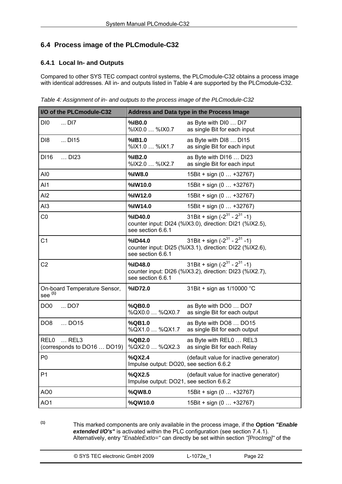# <span id="page-22-0"></span>**6.4 Process image of the PLCmodule-C32**

## **6.4.1 Local In- and Outputs**

Compared to other SYS TEC compact control systems, the PLCmodule-C32 obtains a process image with identical addresses. All in- and outputs listed in [Table 4](#page-22-0) are supported by the PLCmodule-C32.

*Table 4: Assignment of in- and outputs to the process image of the PLCmodule-C32* 

| I/O of the PLCmodule-C32                                         |                                                   | <b>Address and Data type in the Process Image</b>                                                |
|------------------------------------------------------------------|---------------------------------------------------|--------------------------------------------------------------------------------------------------|
| DI <sub>0</sub><br>DI7                                           | %IB0.0<br>%IX0.0  %IX0.7                          | as Byte with DI0  DI7<br>as single Bit for each input                                            |
| DI <sub>8</sub><br>DI15                                          | %IB1.0<br>%IX1.0  %IX1.7                          | as Byte with DI8  DI15<br>as single Bit for each input                                           |
| DI16<br>$$ DI23                                                  | %IB2.0<br>%IX2.0  %IX2.7                          | as Byte with DI16  DI23<br>as single Bit for each input                                          |
| AI0                                                              | %IW8.0                                            | 15Bit + sign (0  +32767)                                                                         |
| AI1                                                              | %IW10.0                                           | 15Bit + sign (0  +32767)                                                                         |
| AI <sub>2</sub>                                                  | %IW12.0                                           | 15Bit + sign (0  +32767)                                                                         |
| AI <sub>3</sub>                                                  | %IW14.0                                           | 15Bit + sign (0  +32767)                                                                         |
| CO                                                               | %ID40.0<br>see section 6.6.1                      | 31Bit + sign $(-2^{31} - 2^{31} - 1)$<br>counter input: DI24 (%IX3.0), direction: DI21 (%IX2.5), |
| C <sub>1</sub>                                                   | %ID44.0<br>see section 6.6.1                      | 31Bit + sign $(-2^{31} - 2^{31} - 1)$<br>counter input: DI25 (%IX3.1), direction: DI22 (%IX2.6), |
| C <sub>2</sub>                                                   | %ID48.0<br>see section 6.6.1                      | 31Bit + sign $(-2^{31} - 2^{31} - 1)$<br>counter input: DI26 (%IX3.2), direction: DI23 (%IX2.7), |
| On-board Temperature Sensor,<br>see <sup>(1)</sup>               | %ID72.0                                           | 31Bit + sign as 1/10000 °C                                                                       |
| DO <sub>0</sub><br>DO7                                           | %QB0.0<br>%QX0.0  %QX0.7                          | as Byte with DO0  DO7<br>as single Bit for each output                                           |
| DO <sub>8</sub><br>DO15                                          | %QB1.0<br>%QX1.0  %QX1.7                          | as Byte with DO8  DO15<br>as single Bit for each output                                          |
| REL <sub>0</sub><br>$\ldots$ REL3<br>(corresponds to DO16  DO19) | %QB2.0<br>%QX2.0  %QX2.3                          | as Byte with REL0  REL3<br>as single Bit for each Relay                                          |
| P <sub>0</sub>                                                   | %QX2.4<br>Impulse output: DO20, see section 6.6.2 | (default value for inactive generator)                                                           |
| P <sub>1</sub>                                                   | %QX2.5<br>Impulse output: DO21, see section 6.6.2 | (default value for inactive generator)                                                           |
| AO <sub>0</sub>                                                  | %QW8.0                                            | 15Bit + sign (0  +32767)                                                                         |
| AO1                                                              | %QW10.0                                           | 15Bit + sign (0  +32767)                                                                         |

**(1)** This marked components are only available in the process image, if the **Option** *"Enable extended I/O's"* is activated within the PLC configuration (see section [7.4.1](#page-36-0)). Alternatively, entry *"EnableExtIo="* can directly be set within section *"[ProcImg]"* of the

| © SYS TEC electronic GmbH 2009 | 2−1072e | Page 22 |  |
|--------------------------------|---------|---------|--|
|--------------------------------|---------|---------|--|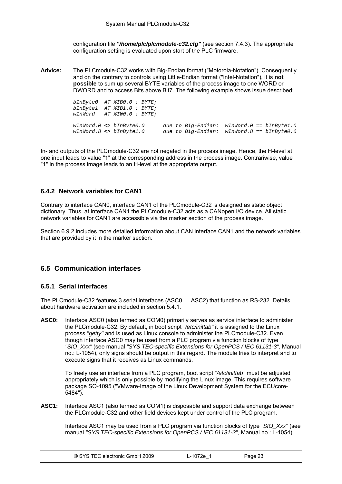configuration file *"/home/plc/plcmodule-c32.cfg"* (see section [7.4.3\)](#page-39-0). The appropriate configuration setting is evaluated upon start of the PLC firmware.

<span id="page-23-0"></span>**Advice:** The PLCmodule-C32 works with Big-Endian format ("Motorola-Notation"). Consequently and on the contrary to controls using Little-Endian format ("Intel-Notation"), it is **not possible** to sum up several BYTE variables of the process image to one WORD or DWORD and to access Bits above Bit7. The following example shows issue described:

> *bInByte0 AT %IB0.0 : BYTE; bInByte1 AT %IB1.0 : BYTE; wInWord AT %IW0.0 : BYTE; wInWord.0 <> bInByte0.0 due to Big-Endian: wInWord.0 == bInByte1.0 wInWord.8 <> bInByte1.0 due to Big-Endian: wInWord.8 == bInByte0.0*

In- and outputs of the PLCmodule-C32 are not negated in the process image. Hence, the H-level at one input leads to value "1" at the corresponding address in the process image. Contrariwise, value "1" in the process image leads to an H-level at the appropriate output.

#### **6.4.2 Network variables for CAN1**

Contrary to interface CAN0, interface CAN1 of the PLCmodule-C32 is designed as static object dictionary. Thus, at interface CAN1 the PLCmodule-C32 acts as a CANopen I/O device. All static network variables for CAN1 are accessible via the marker section of the process image.

Section [6.9.2](#page-29-0) includes more detailed information about CAN interface CAN1 and the network variables that are provided by it in the marker section.

#### **6.5 Communication interfaces**

#### **6.5.1 Serial interfaces**

The PLCmodule-C32 features 3 serial interfaces (ASC0 … ASC2) that function as RS-232. Details about hardware activation are included in section [5.4.1.](#page-18-0)

**ASC0:** Interface ASC0 (also termed as COM0) primarily serves as service interface to administer the PLCmodule-C32. By default, in boot script *"/etc/inittab"* it is assigned to the Linux process *"getty"* and is used as Linux console to administer the PLCmodule-C32. Even though interface ASC0 may be used from a PLC program via function blocks of type *"SIO\_Xxx"* (see manual *"SYS TEC-specific Extensions for OpenPCS / IEC 61131-3"*, Manual no.: L-1054), only signs should be output in this regard. The module tries to interpret and to execute signs that it receives as Linux commands.

To freely use an interface from a PLC program, boot script *"/etc/inittab"* must be adjusted appropriately which is only possible by modifying the Linux image. This requires software package SO-1095 ("VMware-Image of the Linux Development System for the ECUcore-5484").

**ASC1:** Interface ASC1 (also termed as COM1) is disposable and support data exchange between the PLCmodule-C32 and other field devices kept under control of the PLC program.

Interface ASC1 may be used from a PLC program via function blocks of type *"SIO\_Xxx"* (see manual *"SYS TEC-specific Extensions for OpenPCS / IEC 61131-3"*, Manual no.: L-1054).

| © SYS TEC electronic GmbH 2009 | $-1072e^{-7}$ | Page 23 |  |
|--------------------------------|---------------|---------|--|
|--------------------------------|---------------|---------|--|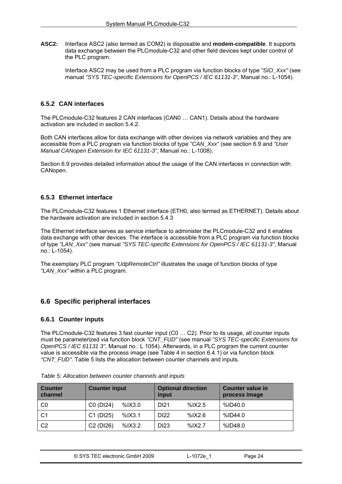<span id="page-24-0"></span>**ASC2:** Interface ASC2 (also termed as COM2) is disposable and **modem-compatible**. It supports data exchange between the PLCmodule-C32 and other field devices kept under control of the PLC program.

Interface ASC2 may be used from a PLC program via function blocks of type *"SIO\_Xxx"* (see manual *"SYS TEC-specific Extensions for OpenPCS / IEC 61131-3"*, Manual no.: L-1054).

#### **6.5.2 CAN interfaces**

The PLCmodule-C32 features 2 CAN interfaces (CAN0 … CAN1). Details about the hardware activation are included in section [5.4.2](#page-19-0).

Both CAN interfaces allow for data exchange with other devices via network variables and they are accessible from a PLC program via function blocks of type *"CAN\_Xxx"* (see section [6.9](#page-27-0) and *"User Manual CANopen Extension for IEC 61131-3"*, Manual no.: L-1008).

Section [6.9](#page-27-0) provides detailed information about the usage of the CAN interfaces in connection with CANopen.

#### **6.5.3 Ethernet interface**

The PLCmodule-C32 features 1 Ethernet interface (ETH0, also termed as ETHERNET). Details about the hardware activation are included in section [5.4.3](#page-19-0) 

The Ethernet interface serves as service interface to administer the PLCmodule-C32 and it enables data exchange with other devices. The interface is accessible from a PLC program via function blocks of type *"LAN\_Xxx"* (see manual *"SYS TEC-specific Extensions for OpenPCS / IEC 61131-3"*, Manual no.: L-1054).

The exemplary PLC program *"UdpRemoteCtrl"* illustrates the usage of function blocks of type *"LAN\_Xxx"* within a PLC program.

## **6.6 Specific peripheral interfaces**

#### **6.6.1 Counter inputs**

The PLCmodule-C32 features 3 fast counter input (C0 … C2). Prior to its usage, all counter inputs must be parameterized via function block *"CNT\_FUD"* (see manual *"SYS TEC-specific Extensions for OpenPCS / IEC 61131 3"*, Manual no.: L 1054). Afterwards, in a PLC program the current counter value is accessible via the process image (see [Table 4](#page-22-0) in section [6.4.1\)](#page-22-0) or via function block *"CNT\_FUD"*. [Table 5](#page-24-0) lists the allocation between counter channels and inputs.

| <b>Counter</b><br>channel | <b>Counter input</b>               |            | <b>Optional direction</b><br>input |            | Counter value in<br>process image |
|---------------------------|------------------------------------|------------|------------------------------------|------------|-----------------------------------|
| C <sub>0</sub>            | C0 (DI24)                          | $%$ IX3.0  | DI <sub>21</sub>                   | $%$ $X2.5$ | %ID40.0                           |
| C <sub>1</sub>            | C1 (DI25)                          | $%$ $X3.1$ | DI <sub>22</sub>                   | $%$ IX2.6  | %ID44.0                           |
| C <sub>2</sub>            | C <sub>2</sub> (D <sub>126</sub> ) | $%$ $X3.2$ | D <sub>123</sub>                   | $%$ IX2.7  | %ID48.0                           |

*Table 5: Allocation between counter channels and inputs*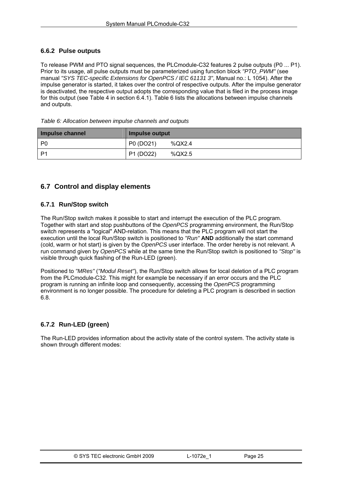#### <span id="page-25-0"></span>**6.6.2 Pulse outputs**

To release PWM and PTO signal sequences, the PLCmodule-C32 features 2 pulse outputs (P0 ... P1). Prior to its usage, all pulse outputs must be parameterized using function block *"PTO\_PWM"* (see manual *"SYS TEC-specific Extensions for OpenPCS / IEC 61131 3"*, Manual no.: L 1054). After the impulse generator is started, it takes over the control of respective outputs. After the impulse generator is deactivated, the respective output adopts the corresponding value that is filed in the process image for this output (see [Table 4](#page-22-0) in section [6.4.1\)](#page-22-0). [Table 6](#page-25-0) lists the allocations between impulse channels and outputs.

*Table 6: Allocation between impulse channels and outputs* 

| Impulse channel | Impulse output      |
|-----------------|---------------------|
| P0              | P0 (DO21)<br>%QX2.4 |
| P <sub>1</sub>  | P1 (DO22)<br>%QX2.5 |

# **6.7 Control and display elements**

#### **6.7.1 Run/Stop switch**

The Run/Stop switch makes it possible to start and interrupt the execution of the PLC program. Together with start and stop pushbuttons of the *OpenPCS* programming environment, the Run/Stop switch represents a "logical" AND-relation. This means that the PLC program will not start the execution until the local Run/Stop switch is positioned to *"Run"* **AND** additionally the start command (cold, warm or hot start) is given by the *OpenPCS* user interface. The order hereby is not relevant. A run command given by *OpenPCS* while at the same time the Run/Stop switch is positioned to *"Stop"* is visible through quick flashing of the Run-LED (green).

Positioned to *"MRes"* (*"Modul Reset"*), the Run/Stop switch allows for local deletion of a PLC program from the PLCmodule-C32. This might for example be necessary if an error occurs and the PLC program is running an infinite loop and consequently, accessing the *OpenPCS* programming environment is no longer possible. The procedure for deleting a PLC program is described in section [6.8.](#page-27-0)

## **6.7.2 Run-LED (green)**

The Run-LED provides information about the activity state of the control system. The activity state is shown through different modes: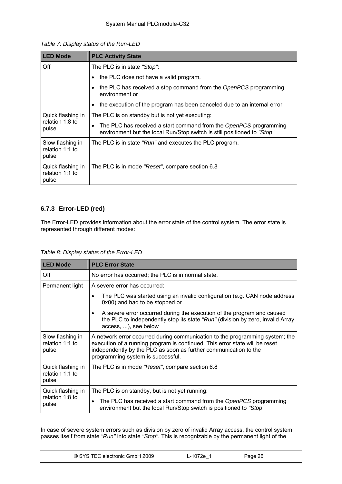<span id="page-26-0"></span>

| <b>LED Mode</b>                               | <b>PLC Activity State</b>                                                                                                                                 |  |  |  |  |  |
|-----------------------------------------------|-----------------------------------------------------------------------------------------------------------------------------------------------------------|--|--|--|--|--|
| Off                                           | The PLC is in state "Stop":                                                                                                                               |  |  |  |  |  |
|                                               | the PLC does not have a valid program,                                                                                                                    |  |  |  |  |  |
|                                               | the PLC has received a stop command from the OpenPCS programming<br>environment or                                                                        |  |  |  |  |  |
|                                               | the execution of the program has been canceled due to an internal error<br>٠                                                                              |  |  |  |  |  |
| Quick flashing in                             | The PLC is on standby but is not yet executing:                                                                                                           |  |  |  |  |  |
| relation 1:8 to<br>pulse                      | The PLC has received a start command from the OpenPCS programming<br>$\bullet$<br>environment but the local Run/Stop switch is still positioned to "Stop" |  |  |  |  |  |
| Slow flashing in<br>relation 1:1 to<br>pulse  | The PLC is in state "Run" and executes the PLC program.                                                                                                   |  |  |  |  |  |
| Quick flashing in<br>relation 1:1 to<br>pulse | The PLC is in mode "Reset", compare section 6.8                                                                                                           |  |  |  |  |  |

## **6.7.3 Error-LED (red)**

The Error-LED provides information about the error state of the control system. The error state is represented through different modes:

*Table 8: Display status of the Error-LED* 

| <b>LED Mode</b>                               | <b>PLC Error State</b>                                                                                                                                                                                                                                               |
|-----------------------------------------------|----------------------------------------------------------------------------------------------------------------------------------------------------------------------------------------------------------------------------------------------------------------------|
| Off                                           | No error has occurred; the PLC is in normal state.                                                                                                                                                                                                                   |
| Permanent light                               | A severe error has occurred:                                                                                                                                                                                                                                         |
|                                               | The PLC was started using an invalid configuration (e.g. CAN node address<br>0x00) and had to be stopped or                                                                                                                                                          |
|                                               | A severe error occurred during the execution of the program and caused<br>$\bullet$<br>the PLC to independently stop its state "Run" (division by zero, invalid Array<br>access, ), see below                                                                        |
| Slow flashing in<br>relation 1:1 to<br>pulse  | A network error occurred during communication to the programming system; the<br>execution of a running program is continued. This error state will be reset<br>independently by the PLC as soon as further communication to the<br>programming system is successful. |
| Quick flashing in<br>relation 1:1 to<br>pulse | The PLC is in mode "Reset", compare section 6.8                                                                                                                                                                                                                      |
| Quick flashing in<br>relation 1:8 to<br>pulse | The PLC is on standby, but is not yet running:                                                                                                                                                                                                                       |
|                                               | The PLC has received a start command from the OpenPCS programming<br>$\bullet$<br>environment but the local Run/Stop switch is positioned to "Stop"                                                                                                                  |

In case of severe system errors such as division by zero of invalid Array access, the control system passes itself from state *"Run"* into state *"Stop"*. This is recognizable by the permanent light of the

| © SYS TEC electronic GmbH 2009 | ∟-1072e | Page 26 |
|--------------------------------|---------|---------|
|--------------------------------|---------|---------|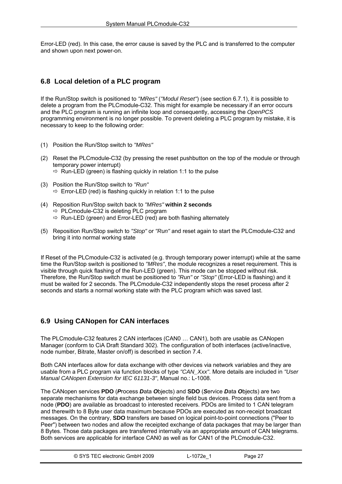<span id="page-27-0"></span>Error-LED (red). In this case, the error cause is saved by the PLC and is transferred to the computer and shown upon next power-on.

# **6.8 Local deletion of a PLC program**

If the Run/Stop switch is positioned to *"MRes"* (*"Modul Reset"*) (see section [6.7.1\)](#page-25-0), it is possible to delete a program from the PLCmodule-C32. This might for example be necessary if an error occurs and the PLC program is running an infinite loop and consequently, accessing the *OpenPCS* programming environment is no longer possible. To prevent deleting a PLC program by mistake, it is necessary to keep to the following order:

- (1) Position the Run/Stop switch to *"MRes"*
- (2) Reset the PLCmodule-C32 (by pressing the reset pushbutton on the top of the module or through temporary power interrupt)  $\Rightarrow$  Run-LED (green) is flashing quickly in relation 1:1 to the pulse
- (3) Position the Run/Stop switch to *"Run"*  $\Rightarrow$  Error-LED (red) is flashing quickly in relation 1:1 to the pulse
- (4) Reposition Run/Stop switch back to *"MRes"* **within 2 seconds**  $\Rightarrow$  PLCmodule-C32 is deleting PLC program  $\Rightarrow$  Run-LED (green) and Error-LED (red) are both flashing alternately
- (5) Reposition Run/Stop switch to *"Stop"* or *"Run"* and reset again to start the PLCmodule-C32 and bring it into normal working state

If Reset of the PLCmodule-C32 is activated (e.g. through temporary power interrupt) while at the same time the Run/Stop switch is positioned to *"MRes"*, the module recognizes a reset requirement. This is visible through quick flashing of the Run-LED (green). This mode can be stopped without risk. Therefore, the Run/Stop switch must be positioned to *"Run"* or *"Stop"* (Error-LED is flashing) and it must be waited for 2 seconds. The PLCmodule-C32 independently stops the reset process after 2 seconds and starts a normal working state with the PLC program which was saved last.

# **6.9 Using CANopen for CAN interfaces**

The PLCmodule-C32 features 2 CAN interfaces (CAN0 … CAN1), both are usable as CANopen Manager (conform to CiA Draft Standard 302). The configuration of both interfaces (active/inactive, node number, Bitrate, Master on/off) is described in section [7.4](#page-36-0).

Both CAN interfaces allow for data exchange with other devices via network variables and they are usable from a PLC program via function blocks of type *"CAN\_Xxx"*. More details are included in *"User Manual CANopen Extension for IEC 61131-3"*, Manual no.: L-1008.

The CANopen services **PDO** (*P*rocess *D*ata *O*bjects) and **SDO** (*S*ervice *D*ata *O*bjects) are two separate mechanisms for data exchange between single field bus devices. Process data sent from a node (**PDO**) are available as broadcast to interested receivers. PDOs are limited to 1 CAN telegram and therewith to 8 Byte user data maximum because PDOs are executed as non-receipt broadcast messages. On the contrary, **SDO** transfers are based on logical point-to-point connections ("Peer to Peer") between two nodes and allow the receipted exchange of data packages that may be larger than 8 Bytes. Those data packages are transferred internally via an appropriate amount of CAN telegrams. Both services are applicable for interface CAN0 as well as for CAN1 of the PLCmodule-C32.

| © SYS TEC electronic GmbH 2009 | ∟-1072e <sup>⊣</sup> | Paqe 27 |  |
|--------------------------------|----------------------|---------|--|
|--------------------------------|----------------------|---------|--|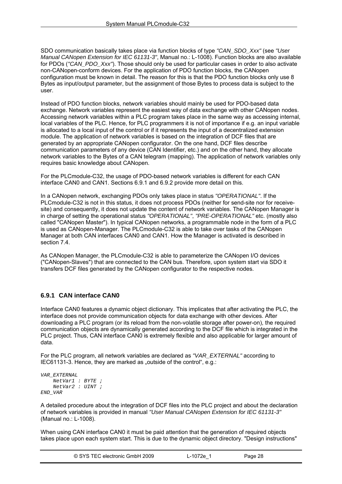<span id="page-28-0"></span>SDO communication basically takes place via function blocks of type *"CAN\_SDO\_Xxx"* (see *"User Manual CANopen Extension for IEC 61131-3"*, Manual no.: L-1008). Function blocks are also available for PDOs (*"CAN\_PDO\_Xxx"*). Those should only be used for particular cases in order to also activate non-CANopen-conform devices. For the application of PDO function blocks, the CANopen configuration must be known in detail. The reason for this is that the PDO function blocks only use 8 Bytes as input/output parameter, but the assignment of those Bytes to process data is subject to the user.

Instead of PDO function blocks, network variables should mainly be used for PDO-based data exchange. Network variables represent the easiest way of data exchange with other CANopen nodes. Accessing network variables within a PLC program takes place in the same way as accessing internal, local variables of the PLC. Hence, for PLC programmers it is not of importance if e.g. an input variable is allocated to a local input of the control or if it represents the input of a decentralized extension module. The application of network variables is based on the integration of DCF files that are generated by an appropriate CANopen configurator. On the one hand, DCF files describe communication parameters of any device (CAN Identifier, etc.) and on the other hand, they allocate network variables to the Bytes of a CAN telegram (mapping). The application of network variables only requires basic knowledge about CANopen.

For the PLCmodule-C32, the usage of PDO-based network variables is different for each CAN interface CAN0 and CAN1. Sections [6.9.1](#page-28-0) and [6.9.2](#page-29-0) provide more detail on this.

In a CANopen network, exchanging PDOs only takes place in status *"OPERATIONAL"*. If the PLCmodule-C32 is not in this status, it does not process PDOs (neither for send-site nor for receivesite) and consequently, it does not update the content of network variables. The CANopen Manager is in charge of setting the operational status *"OPERATIONAL"*, *"PRE-OPERATIONAL"* etc. (mostly also called "CANopen Master"). In typical CANopen networks, a programmable node in the form of a PLC is used as CANopen-Manager. The PLCmodule-C32 is able to take over tasks of the CANopen Manager at both CAN interfaces CAN0 and CAN1. How the Manager is activated is described in section [7.4](#page-36-0).

As CANopen Manager, the PLCmodule-C32 is able to parameterize the CANopen I/O devices ("CANopen-Slaves") that are connected to the CAN bus. Therefore, upon system start via SDO it transfers DCF files generated by the CANopen configurator to the respective nodes.

#### **6.9.1 CAN interface CAN0**

Interface CAN0 features a dynamic object dictionary. This implicates that after activating the PLC, the interface does not provide communication objects for data exchange with other devices. After downloading a PLC program (or its reload from the non-volatile storage after power-on), the required communication objects are dynamically generated according to the DCF file which is integrated in the PLC project. Thus, CAN interface CAN0 is extremely flexible and also applicable for larger amount of data.

For the PLC program, all network variables are declared as *"VAR\_EXTERNAL"* according to IEC61131-3. Hence, they are marked as "outside of the control",  $\overline{e}$ .g.:

```
VAR_EXTERNAL 
     NetVar1 : BYTE ; 
     NetVar2 : UINT ; 
END_VAR
```
A detailed procedure about the integration of DCF files into the PLC project and about the declaration of network variables is provided in manual *"User Manual CANopen Extension for IEC 61131-3"* (Manual no.: L-1008).

When using CAN interface CAN0 it must be paid attention that the generation of required objects takes place upon each system start. This is due to the dynamic object directory. "Design instructions"

| © SYS TEC electronic GmbH 2009 | ∟-1072e | Page 28 |  |
|--------------------------------|---------|---------|--|
|--------------------------------|---------|---------|--|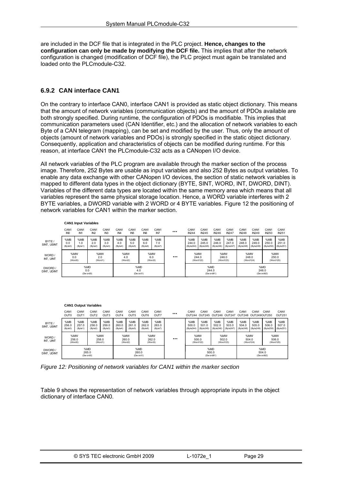<span id="page-29-0"></span>are included in the DCF file that is integrated in the PLC project. **Hence, changes to the configuration can only be made by modifying the DCF file.** This implies that after the network configuration is changed (modification of DCF file), the PLC project must again be translated and loaded onto the PLCmodule-C32.

#### **6.9.2 CAN interface CAN1**

On the contrary to interface CAN0, interface CAN1 is provided as static object dictionary. This means that the amount of network variables (communication objects) and the amount of PDOs available are both strongly specified. During runtime, the configuration of PDOs is modifiable. This implies that communication parameters used (CAN Identifier, etc.) and the allocation of network variables to each Byte of a CAN telegram (mapping), can be set and modified by the user. Thus, only the amount of objects (amount of network variables and PDOs) is strongly specified in the static object dictionary. Consequently, application and characteristics of objects can be modified during runtime. For this reason, at interface CAN1 the PLCmodule-C32 acts as a CANopen I/O device.

All network variables of the PLC program are available through the marker section of the process image. Therefore, 252 Bytes are usable as input variables and also 252 Bytes as output variables. To enable any data exchange with other CANopen I/O devices, the section of static network variables is mapped to different data types in the object dictionary (BYTE, SINT, WORD, INT, DWORD, DINT). Variables of the different data types are located within the same memory area which means that all variables represent the same physical storage location. Hence, a WORD variable interferes with 2 BYTE variables, a DWORD variable with 2 WORD or 4 BYTE variables. [Figure 12](#page-29-0) the positioning of network variables for CAN1 within the marker section.

|                        |                                     | <b>CAN1 Input Variables</b>         |                                     |                                     |                                                |                                     |                                     |                                     |                            |                                  |                                  |                                  |                                  |                                  |                                  |                                  |                                  |
|------------------------|-------------------------------------|-------------------------------------|-------------------------------------|-------------------------------------|------------------------------------------------|-------------------------------------|-------------------------------------|-------------------------------------|----------------------------|----------------------------------|----------------------------------|----------------------------------|----------------------------------|----------------------------------|----------------------------------|----------------------------------|----------------------------------|
|                        | CAN <sub>1</sub><br>IN <sub>0</sub> | CAN <sub>1</sub><br>IN <sub>1</sub> | CAN <sub>1</sub><br>IN <sub>2</sub> | CAN <sub>1</sub><br>IN <sub>3</sub> | CAN <sub>1</sub><br>IN <sub>4</sub>            | CAN <sub>1</sub><br>IN <sub>5</sub> | CAN <sub>1</sub><br>IN <sub>6</sub> | CAN <sub>1</sub><br>IN <sub>7</sub> |                            | CAN <sub>1</sub><br><b>IN244</b> | CAN <sub>1</sub><br><b>IN245</b> | CAN <sub>1</sub><br><b>IN246</b> | CAN <sub>1</sub><br><b>IN247</b> | CAN <sub>1</sub><br><b>IN248</b> | CAN <sub>1</sub><br><b>IN249</b> | CAN <sub>1</sub><br><b>IN250</b> | CAN <sub>1</sub><br><b>IN251</b> |
| BYTE /<br>SINT, USINT  | %MB<br>0.0<br>(Byte0)               | %MB<br>1.0<br>(Byte1)               | %MB<br>2.0<br>(Byte2)               | %MB<br>3.0<br>(Byte3)               | %MB<br>4.0<br>(Byte4)                          | %MB<br>5.0<br>(Byte5)               | %MB<br>6.0<br>(Bvte6)               | %MB<br>7.0<br>(Byte7)               |                            | %MB<br>244.0<br>(Byte244)        | %MB<br>245.0<br>(Byte245)        | %MB<br>246.0<br>(Byte246)        | %MB<br>247.0<br>(Byte247)        | %MB<br>248.0<br>(Byte248)        | %MB<br>249.0<br>(Byte249)        | %MB<br>250.0<br>(Byte250)        | %MB<br>251.0<br>(Byte251)        |
| WORD /<br>INT. UINT    | %MW<br>0.0<br>(Word0)               |                                     | %MW<br>2.0<br>(Word1)               |                                     | %MW<br>%MW<br>6.0<br>4.0<br>(Word2)<br>(Word3) |                                     |                                     | %MW<br>244.0<br>(Word122)           |                            | %MW<br>246.0<br>(Word123)        |                                  | %MW<br>248.0<br>(Word124)        |                                  | %MW<br>250.0<br>(Word 125)       |                                  |                                  |                                  |
| DWORD /<br>DINT, UDINT | %MD<br>0.0<br>(Dw ord0)             |                                     |                                     | %MD<br>4.0<br>(Dw ord1)             |                                                |                                     |                                     |                                     | %MD<br>244.0<br>(Dw ord61) |                                  |                                  |                                  | %MD<br>248.0<br>(Dw ord62)       |                                  |                                  |                                  |                                  |

|                        |                                      | <b>CAN1 Output Variables</b>                      |                                      |                          |                                      |                                                    |                          |                          |                           |                            |                                   |                                   |                           |                                         |                            |                           |                            |
|------------------------|--------------------------------------|---------------------------------------------------|--------------------------------------|--------------------------|--------------------------------------|----------------------------------------------------|--------------------------|--------------------------|---------------------------|----------------------------|-----------------------------------|-----------------------------------|---------------------------|-----------------------------------------|----------------------------|---------------------------|----------------------------|
|                        | CAN <sub>1</sub><br>OUT <sub>0</sub> | CAN <sub>1</sub><br>O <sub>U</sub> T <sub>1</sub> | CAN <sub>1</sub><br>O <sub>UT2</sub> | CAN <sub>1</sub><br>OUT3 | CAN <sub>1</sub><br>OUT <sub>4</sub> | CAN <sub>1</sub><br>OUT <sub>5</sub>               | CAN <sub>1</sub><br>OUT6 | CAN <sub>1</sub><br>OUT7 |                           | CAN <sub>1</sub>           | CAN <sub>1</sub><br>OUT244 OUT245 | CAN <sub>1</sub><br>OUT246 OUT247 | CAN <sub>1</sub>          | CAN <sub>1</sub><br>OUT248 OUT249OUT250 | CAN <sub>1</sub>           | CAN <sub>1</sub>          | CAN <sub>1</sub><br>OUT251 |
| BYTE /<br>SINT, USINT  | %MB<br>256.0<br>(Byte0)              | %MB<br>257.0<br>(Byte1)                           | %MB<br>258.0<br>(Byte2)              | %MB<br>259.0<br>(Byte3)  | %MB<br>260.0<br>(Byte4)              | %MB<br>261.0<br>(Byte5)                            | %MB<br>262.0<br>(Byte6)  | %MB<br>263.0<br>(Byte7)  |                           | %MB<br>500.0<br>(Byte244)  | %MB<br>501.0<br>(Byte245)         | %MB<br>502.0<br>(Byte246)         | %MB<br>503.0<br>(Byte247) | %MB<br>504.0<br>(Byte248)               | %MB<br>505.0<br>(Byte249)  | %MB<br>506.0<br>(Byte250) | %MB<br>507.0<br>(Byte251)  |
| WORD /<br>INT. UINT    | %MW<br>256.0<br>(Word0)              |                                                   | %MW<br>258.0<br>(Word1)              |                          |                                      | %MW<br>%MW<br>260.0<br>262.0<br>(Word3)<br>(Word2) |                          |                          | %MW<br>500.0<br>(Word122) |                            | %MW<br>502.0<br>(Word123)         |                                   | %MW<br>504.0<br>(Word124) |                                         | %MW<br>506.0<br>(Word 125) |                           |                            |
| DWORD /<br>DINT, UDINT |                                      | %MD<br>265.0<br>(Dw ord0)                         |                                      |                          |                                      | %MD<br>260.0<br>(Dw ord1)                          |                          |                          |                           | %MD<br>500.0<br>(Dw ord61) |                                   |                                   |                           | %MD<br>504.0<br>(Dw ord62)              |                            |                           |                            |

*Figure 12: Positioning of network variables for CAN1 within the marker section* 

[Table 9](#page-30-0) shows the representation of network variables through appropriate inputs in the object dictionary of interface CAN0.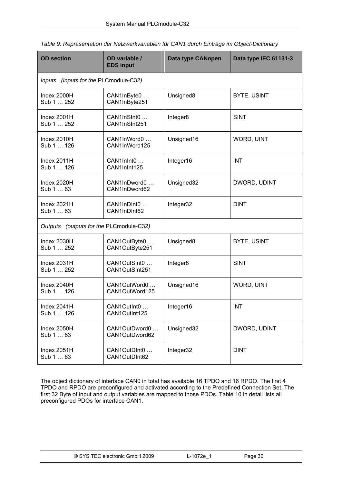| <b>OD</b> section                        | OD variable /<br><b>EDS input</b> | <b>Data type CANopen</b> | Data type IEC 61131-3 |  |  |  |  |  |
|------------------------------------------|-----------------------------------|--------------------------|-----------------------|--|--|--|--|--|
| (inputs for the PLCmodule-C32)<br>Inputs |                                   |                          |                       |  |  |  |  |  |
| Index 2000H<br>Sub 1  252                | CAN1InByte0<br>CAN1InByte251      | Unsigned8                | <b>BYTE, USINT</b>    |  |  |  |  |  |
| Index 2001H<br>Sub 1  252                | CAN1InSInt0<br>CAN1InSInt251      | Integer8                 | <b>SINT</b>           |  |  |  |  |  |
| Index 2010H<br>Sub 1  126                | CAN1InWord0<br>CAN1InWord125      | Unsigned16               | WORD, UINT            |  |  |  |  |  |
| Index 2011H<br>Sub 1  126                | CAN1InInt0<br>CAN1InInt125        | Integer16                | <b>INT</b>            |  |  |  |  |  |
| Index 2020H<br>Sub 1  63                 | CAN1InDword0<br>CAN1InDword62     | Unsigned32               | DWORD, UDINT          |  |  |  |  |  |
| Index 2021H<br>Sub 1  63                 | CAN1InDInt0<br>CAN1InDInt62       | Integer32                | <b>DINT</b>           |  |  |  |  |  |
| Outputs (outputs for the PLCmodule-C32)  |                                   |                          |                       |  |  |  |  |  |
| Index 2030H<br>Sub 1  252                | CAN1OutByte0<br>CAN1OutByte251    | Unsigned8                | <b>BYTE, USINT</b>    |  |  |  |  |  |
| Index 2031H<br>Sub 1  252                | CAN1OutSInt0<br>CAN1OutSInt251    | Integer8                 | <b>SINT</b>           |  |  |  |  |  |
| Index 2040H<br>Sub 1  126                | CAN1OutWord0<br>CAN1OutWord125    | Unsigned16               | WORD, UINT            |  |  |  |  |  |
| Index 2041H<br>Sub 1  126                | CAN1OutInt0<br>CAN1OutInt125      | Integer16                | <b>INT</b>            |  |  |  |  |  |
| Index 2050H<br>Sub 1  63                 | CAN1OutDword0<br>CAN1OutDword62   | Unsigned32               | DWORD, UDINT          |  |  |  |  |  |
| Index 2051H<br>Sub 1  63                 | CAN1OutDInt0<br>CAN1OutDInt62     | Integer32                | <b>DINT</b>           |  |  |  |  |  |

<span id="page-30-0"></span>*Table 9: Repräsentation der Netzwerkvariablen für CAN1 durch Einträge im Object-Dictionary* 

The object dictionary of interface CAN0 in total has available 16 TPDO and 16 RPDO. The first 4 TPDO and RPDO are preconfigured and activated according to the Predefined Connection Set. The first 32 Byte of input and output variables are mapped to those PDOs. [Table 10](#page-31-0) in detail lists all preconfigured PDOs for interface CAN1.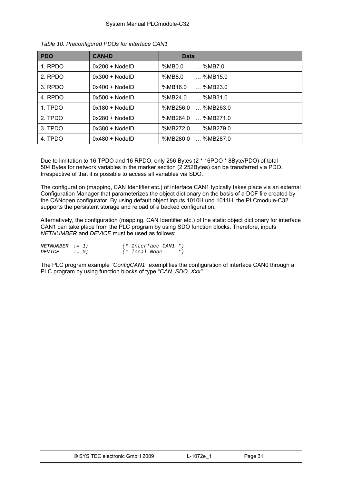| <b>PDO</b> | <b>CAN-ID</b>    | <b>Data</b>                 |
|------------|------------------|-----------------------------|
| 1. RPDO    | $0x200 + Node1D$ | %MB0.0<br>$\ldots$ %MB7.0   |
| 2. RPDO    | $0x300 + NodeID$ | %MB8.0<br>$$ %MB15.0        |
| 3. RPDO    | $0x400 + NodeID$ | %MB16.0<br>$\ldots$ %MB23.0 |
| 4. RPDO    | $0x500 + NodeID$ | %MB24.0<br>%MB31.0          |
| 1. TPDO    | $0x180 + NodeID$ | %MB256.0<br>%MB263.0        |
| 2. TPDO    | $0x280 + NodelD$ | %MB264.0<br>%MB271.0        |
| 3. TPDO    | $0x380 + NodelD$ | %MB272.0<br>… %MB279.0      |
| 4. TPDO    | $0x480 + NodelD$ | %MB280.0<br>%MB287.0        |

<span id="page-31-0"></span>*Table 10: Preconfigured PDOs for interface CAN1* 

Due to limitation to 16 TPDO and 16 RPDO, only 256 Bytes (2 \* 16PDO \* 8Byte/PDO) of total 504 Bytes for network variables in the marker section (2 252Bytes) can be transferred via PDO. Irrespective of that it is possible to access all variables via SDO.

The configuration (mapping, CAN Identifier etc.) of interface CAN1 typically takes place via an external Configuration Manager that parameterizes the object dictionary on the basis of a DCF file created by the CANopen configurator. By using default object inputs 1010H und 1011H, the PLCmodule-C32 supports the persistent storage and reload of a backed configuration.

Alternatively, the configuration (mapping, CAN Identifier etc.) of the static object dictionary for interface CAN1 can take place from the PLC program by using SDO function blocks. Therefore, inputs *NETNUMBER* and *DEVICE* must be used as follows:

| $NETNUMBER : = 1:$ |         | (* Interface CAN1 *) |       |
|--------------------|---------|----------------------|-------|
| <i>DEVICE</i>      | $:= 0:$ | (* local Node        | $*$ ) |

The PLC program example *"ConfigCAN1"* exemplifies the configuration of interface CAN0 through a PLC program by using function blocks of type *"CAN\_SDO\_Xxx"*.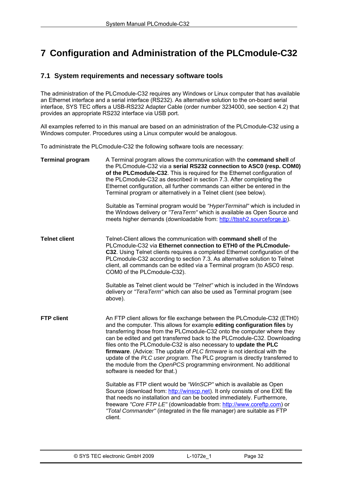# <span id="page-32-0"></span>**7 Configuration and Administration of the PLCmodule-C32**

## **7.1 System requirements and necessary software tools**

The administration of the PLCmodule-C32 requires any Windows or Linux computer that has available an Ethernet interface and a serial interface (RS232). As alternative solution to the on-board serial interface, SYS TEC offers a USB-RS232 Adapter Cable (order number 3234000, see section [4.2](#page-10-0)) that provides an appropriate RS232 interface via USB port.

All examples referred to in this manual are based on an administration of the PLCmodule-C32 using a Windows computer. Procedures using a Linux computer would be analogous.

To administrate the PLCmodule-C32 the following software tools are necessary:

| <b>Terminal program</b> | A Terminal program allows the communication with the <b>command shell</b> of<br>the PLCmodule-C32 via a serial RS232 connection to ASC0 (resp. COM0)<br>of the PLCmodule-C32. This is required for the Ethernet configuration of<br>the PLCmodule-C32 as described in section 7.3. After completing the<br>Ethernet configuration, all further commands can either be entered in the<br>Terminal program or alternatively in a Telnet client (see below).                                                                                                                                                                                     |
|-------------------------|-----------------------------------------------------------------------------------------------------------------------------------------------------------------------------------------------------------------------------------------------------------------------------------------------------------------------------------------------------------------------------------------------------------------------------------------------------------------------------------------------------------------------------------------------------------------------------------------------------------------------------------------------|
|                         | Suitable as Terminal program would be "HyperTerminal" which is included in<br>the Windows delivery or "TeraTerm" which is available as Open Source and<br>meets higher demands (downloadable from: http://ttssh2.sourceforge.jp).                                                                                                                                                                                                                                                                                                                                                                                                             |
| <b>Telnet client</b>    | Telnet-Client allows the communication with command shell of the<br>PLCmodule-C32 via Ethernet connection to ETH0 of the PLCmodule-<br>C32. Using Telnet clients requires a completed Ethernet configuration of the<br>PLCmodule-C32 according to section 7.3. As alternative solution to Telnet<br>client, all commands can be edited via a Terminal program (to ASC0 resp.<br>COM0 of the PLCmodule-C32).                                                                                                                                                                                                                                   |
|                         | Suitable as Telnet client would be "Telnet" which is included in the Windows<br>delivery or "TeraTerm" which can also be used as Terminal program (see<br>above).                                                                                                                                                                                                                                                                                                                                                                                                                                                                             |
| <b>FTP client</b>       | An FTP client allows for file exchange between the PLCmodule-C32 (ETH0)<br>and the computer. This allows for example editing configuration files by<br>transferring those from the PLCmodule-C32 onto the computer where they<br>can be edited and get transferred back to the PLCmodule-C32. Downloading<br>files onto the PLCmodule-C32 is also necessary to update the PLC<br>firmware. (Advice: The update of PLC firmware is not identical with the<br>update of the PLC user program. The PLC program is directly transferred to<br>the module from the OpenPCS programming environment. No additional<br>software is needed for that.) |
|                         | Suitable as FTP client would be "WinSCP" which is available as Open<br>Source (download from: http://winscp.net). It only consists of one EXE file<br>that needs no installation and can be booted immediately. Furthermore,<br>freeware "Core FTP LE" (downloadable from: http://www.coreftp.com) or<br>"Total Commander" (integrated in the file manager) are suitable as FTP<br>client.                                                                                                                                                                                                                                                    |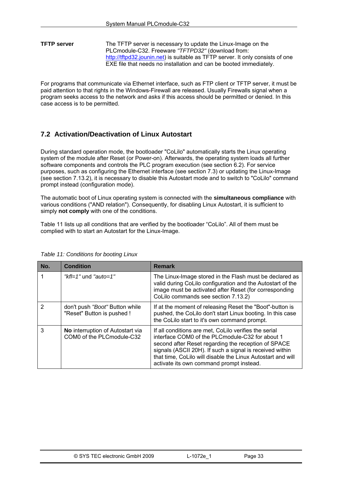<span id="page-33-0"></span>**TFTP server** The TFTP server is necessary to update the Linux-Image on the PLCmodule-C32. Freeware *"TFTPD32"* (download from: [http://tftpd32.jounin.net](http://tftpd32.jounin.net/)) is suitable as TFTP server. It only consists of one EXE file that needs no installation and can be booted immediately.

For programs that communicate via Ethernet interface, such as FTP client or TFTP server, it must be paid attention to that rights in the Windows-Firewall are released. Usually Firewalls signal when a program seeks access to the network and asks if this access should be permitted or denied. In this case access is to be permitted.

## **7.2 Activation/Deactivation of Linux Autostart**

During standard operation mode, the bootloader "CoLilo" automatically starts the Linux operating system of the module after Reset (or Power-on). Afterwards, the operating system loads all further software components and controls the PLC program execution (see section [6.2](#page-20-0)). For service purposes, such as configuring the Ethernet interface (see section [7.3](#page-34-0)) or updating the Linux-Image (see section [7.13.2](#page-52-0)), it is necessary to disable this Autostart mode and to switch to "CoLilo" command prompt instead (configuration mode).

The automatic boot of Linux operating system is connected with the **simultaneous compliance** with various conditions ("AND relation"). Consequently, for disabling Linux Autostart, it is sufficient to simply **not comply** with one of the conditions.

[Table 11](#page-33-0) lists up all conditions that are verified by the bootloader "CoLilo". All of them must be complied with to start an Autostart for the Linux-Image.

| No. | <b>Condition</b>                                                     | <b>Remark</b>                                                                                                                                                                                                                                                                                                                          |
|-----|----------------------------------------------------------------------|----------------------------------------------------------------------------------------------------------------------------------------------------------------------------------------------------------------------------------------------------------------------------------------------------------------------------------------|
|     | " $kfl=1$ " und "auto=1"                                             | The Linux-Image stored in the Flash must be declared as<br>valid during CoLilo configuration and the Autostart of the<br>image must be activated after Reset (for corresponding<br>CoLilo commands see section 7.13.2)                                                                                                                 |
| 2   | don't push "Boot" Button while<br>"Reset" Button is pushed !         | If at the moment of releasing Reset the "Boot"-button is<br>pushed, the CoLilo don't start Linux booting. In this case<br>the CoLilo start to it's own command prompt.                                                                                                                                                                 |
| 3   | <b>No</b> interruption of Autostart via<br>COM0 of the PLCmodule-C32 | If all conditions are met, CoLilo verifies the serial<br>interface COM0 of the PLCmodule-C32 for about 1<br>second after Reset regarding the reception of SPACE<br>signals (ASCII 20H). If such a signal is received within<br>that time, CoLilo will disable the Linux Autostart and will<br>activate its own command prompt instead. |

#### *Table 11: Conditions for booting Linux*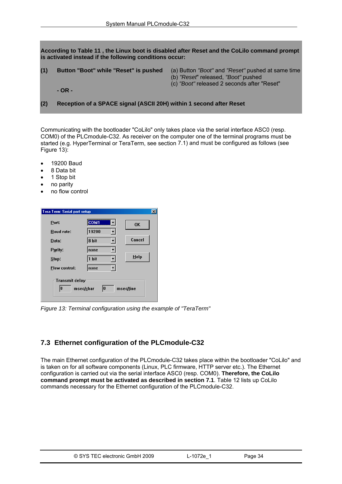<span id="page-34-0"></span>**According to [Table 11](#page-33-0) , the Linux boot is disabled after Reset and the CoLilo command prompt is activated instead if the following conditions occur:** 

- 
- **(1) Button "Boot" while "Reset" is pushed** (a) Button *"Boot"* and *"Reset"* pushed at same time
	- (b) *"Reset*" released, *"Boot"* pushed
	- (c) *"Boot"* released 2 seconds after "Reset"

**(2) Reception of a SPACE signal (ASCII 20H) within 1 second after Reset** 

Communicating with the bootloader "CoLilo" only takes place via the serial interface ASC0 (resp. COM0) of the PLCmodule-C32. As receiver on the computer one of the terminal programs must be started (e.g. HyperTerminal or TeraTerm, see section [7.1\)](#page-32-0) and must be configured as follows (see [Figure 13](#page-34-0)):

- 19200 Baud
- 8 Data bit
- 1 Stop bit
- no parity
- no flow control

| Tera Term: Serial port setup                                |                  | $\boldsymbol{\mathsf{x}}$ |  |  |  |
|-------------------------------------------------------------|------------------|---------------------------|--|--|--|
| Port:                                                       | COM <sub>1</sub> | <b>OK</b>                 |  |  |  |
| <b>Baud rate:</b>                                           | 19200            |                           |  |  |  |
| Data:                                                       | 8 bit            | Cancel                    |  |  |  |
| Parity:                                                     | none             |                           |  |  |  |
| Stop:                                                       | 1 bit            | Help                      |  |  |  |
| <b>Elow control:</b>                                        | none             |                           |  |  |  |
| <b>Transmit delay</b><br>10<br>10<br>msec/char<br>msec/line |                  |                           |  |  |  |

*Figure 13: Terminal configuration using the example of "TeraTerm"* 

## **7.3 Ethernet configuration of the PLCmodule-C32**

The main Ethernet configuration of the PLCmodule-C32 takes place within the bootloader "CoLilo" and is taken on for all software components (Linux, PLC firmware, HTTP server etc.). The Ethernet configuration is carried out via the serial interface ASC0 (resp. COM0). **Therefore, the CoLilo command prompt must be activated as described in section [7.1](#page-33-0)**. [Table 12](#page-35-0) lists up CoLilo commands necessary for the Ethernet configuration of the PLCmodule-C32.

| © SYS TEC electronic GmbH 2009 | ∟-1072e <sup>1</sup> | Page 34 |  |
|--------------------------------|----------------------|---------|--|
|--------------------------------|----------------------|---------|--|

 **<sup>-</sup> OR -**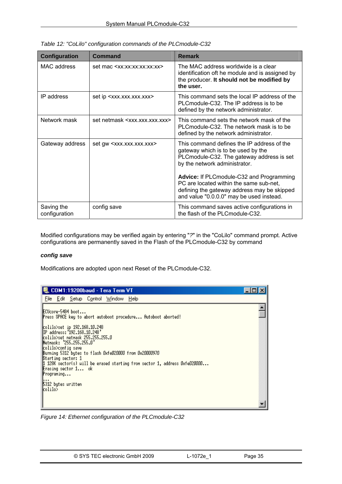| <b>Configuration</b>        | <b>Command</b>                                                                                                                                                                                                        | <b>Remark</b>                                                                                                                                                                                              |
|-----------------------------|-----------------------------------------------------------------------------------------------------------------------------------------------------------------------------------------------------------------------|------------------------------------------------------------------------------------------------------------------------------------------------------------------------------------------------------------|
| MAC address                 | set mac <xx:xx:xx:xx:xx:xx< td=""><td>The MAC address worldwide is a clear<br/>identification oft he module and is assigned by<br/>the producer. It should not be modified by<br/>the user.</td></xx:xx:xx:xx:xx:xx<> | The MAC address worldwide is a clear<br>identification oft he module and is assigned by<br>the producer. It should not be modified by<br>the user.                                                         |
| IP address                  | set ip <xxx.xxx.xxx.xxx></xxx.xxx.xxx.xxx>                                                                                                                                                                            | This command sets the local IP address of the<br>PLC module-C32. The IP address is to be<br>defined by the network administrator.                                                                          |
| Network mask                | set netmask <xxx.xxx.xxx.xxx></xxx.xxx.xxx.xxx>                                                                                                                                                                       | This command sets the network mask of the<br>PLC module-C32. The network mask is to be<br>defined by the network administrator.                                                                            |
| Gateway address             | set gw <xxx.xxx.xxx.xxx></xxx.xxx.xxx.xxx>                                                                                                                                                                            | This command defines the IP address of the<br>gateway which is to be used by the<br>PLCmodule-C32. The gateway address is set<br>by the network administrator.<br>Advice: If PLCmodule-C32 and Programming |
|                             |                                                                                                                                                                                                                       | PC are located within the same sub-net,<br>defining the gateway address may be skipped<br>and value "0.0.0.0" may be used instead.                                                                         |
| Saving the<br>configuration | config save                                                                                                                                                                                                           | This command saves active configurations in<br>the flash of the PLC module-C32.                                                                                                                            |

<span id="page-35-0"></span>*Table 12: "CoLilo" configuration commands of the PLCmodule-C32* 

Modified configurations may be verified again by entering "*?*" in the "CoLilo" command prompt. Active configurations are permanently saved in the Flash of the PLCmodule-C32 by command

#### *config save*

Modifications are adopted upon next Reset of the PLCmodule-C32.

| COM1:19200baud - Tera Term VT                                                                                                                                                                                                                                                                                                                                                                                                                                                                  |  |
|------------------------------------------------------------------------------------------------------------------------------------------------------------------------------------------------------------------------------------------------------------------------------------------------------------------------------------------------------------------------------------------------------------------------------------------------------------------------------------------------|--|
| File Edit Setup Control Window Help                                                                                                                                                                                                                                                                                                                                                                                                                                                            |  |
| ECUcore-5484 boot<br>Press SPACE key to abort autoboot procedure Autoboot aborted!<br>colilo>set ip 192.168.10.248<br>IP address: '192.168.10.248'<br>colilo>set netnask 255.255.255.0<br>"Netnask: '255.255.255.0<br>colilo>config save<br>Burning 5312 butes to flash OxfeO2OOOO from 0x2OOOO970<br><b>Starting sector: 1</b><br>1 128K sector(s) will be erased starting from sector 1, address OxfeO2OOOO<br><b>Erasing sector 1</b> ok<br>${Programing}$<br>5312 bytes uritten<br>kolilo> |  |
|                                                                                                                                                                                                                                                                                                                                                                                                                                                                                                |  |

*Figure 14: Ethernet configuration of the PLCmodule-C32*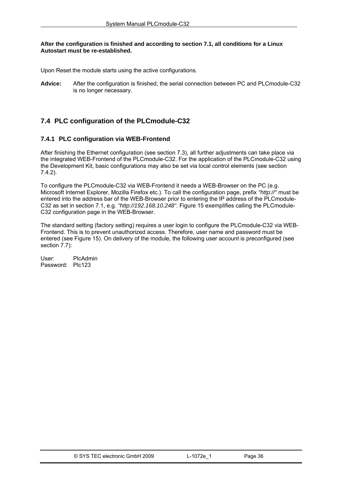## <span id="page-36-0"></span>**After the configuration is finished and according to section [7.1,](#page-33-0) all conditions for a Linux Autostart must be re-established.**

Upon Reset the module starts using the active configurations.

**Advice:** After the configuration is finished, the serial connection between PC and PLCmodule-C32 is no longer necessary.

# **7.4 PLC configuration of the PLCmodule-C32**

# **7.4.1 PLC configuration via WEB-Frontend**

After finishing the Ethernet configuration (see section [7.3](#page-34-0)), all further adjustments can take place via the integrated WEB-Frontend of the PLCmodule-C32. For the application of the PLCmodule-C32 using the Development Kit, basic configurations may also be set via local control elements (see section [7.4.2](#page-38-0)).

To configure the PLCmodule-C32 via WEB-Frontend it needs a WEB-Browser on the PC (e.g. Microsoft Internet Explorer, Mozilla Firefox etc.). To call the configuration page, prefix *"http://"* must be entered into the address bar of the WEB-Browser prior to entering the IP address of the PLCmodule-C32 as set in section [7.1](#page-34-0), e.g. *"http://192.168.10.248"*. [Figure 15](#page-37-0) exemplifies calling the PLCmodule-C32 configuration page in the WEB-Browser.

The standard setting (factory setting) requires a user login to configure the PLCmodule-C32 via WEB-Frontend. This is to prevent unauthorized access. Therefore, user name and password must be entered (see [Figure 15](#page-37-0)). On delivery of the module, the following user account is preconfigured (see section [7.7](#page-43-0)):

User: PlcAdmin Password: Plc123

| © SYS TEC electronic GmbH 2009 | L-1072e | Page 36 |
|--------------------------------|---------|---------|
|                                |         |         |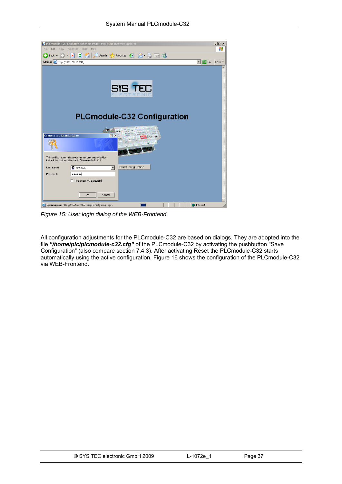<span id="page-37-0"></span>

*Figure 15: User login dialog of the WEB-Frontend* 

All configuration adjustments for the PLCmodule-C32 are based on dialogs. They are adopted into the file *"/home/plc/plcmodule-c32.cfg"* of the PLCmodule-C32 by activating the pushbutton "Save Configuration" (also compare section [7.4.3\)](#page-39-0). After activating Reset the PLCmodule-C32 starts automatically using the active configuration. [Figure 16](#page-38-0) shows the configuration of the PLCmodule-C32 via WEB-Frontend.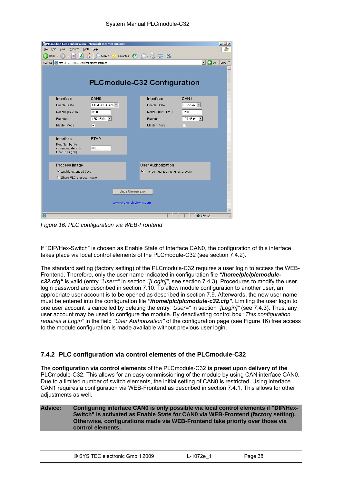<span id="page-38-0"></span>

| File | <b>Tools</b><br>View<br>Favorites<br>Edit            | PLCmodule-C32 Configuration - Microsoft Internet Explorer<br>Help |                    |                                              |                               | $-10x$<br>4.        |
|------|------------------------------------------------------|-------------------------------------------------------------------|--------------------|----------------------------------------------|-------------------------------|---------------------|
|      | e<br>$\boldsymbol{\ast}$<br>Back -                   |                                                                   |                    | Search <b>Reavorites B B</b> a <b>B B</b>    |                               |                     |
|      | Address   http://192.168.10.248/cgi-bin/cfgsetup.cgi |                                                                   |                    |                                              | $\lnot \rvert \rightarrow$ Go | Links $\rightarrow$ |
|      |                                                      |                                                                   |                    |                                              |                               |                     |
|      |                                                      |                                                                   |                    |                                              |                               |                     |
|      |                                                      | <b>PLCmodule-C32 Configuration</b>                                |                    |                                              |                               |                     |
|      |                                                      |                                                                   |                    |                                              |                               |                     |
|      | Interface                                            | CANO                                                              |                    | Interface                                    | CAN <sub>1</sub>              |                     |
|      | <b>Enable State</b>                                  | DIP/Hex-Switch -                                                  |                    | <b>Enable State</b>                          | Disabled -                    |                     |
|      | NodelD (Hex: 0x)                                     | l0×20                                                             |                    | NodelD (Hex: 0x)                             | lox30                         |                     |
|      | Baudrate                                             | 125 kBit/s                                                        |                    | Baudrate                                     | 125 kBit/s                    |                     |
|      | Master Mode                                          | $\overline{\mathbf{v}}$                                           |                    | Master Mode                                  | п                             |                     |
|      |                                                      |                                                                   |                    |                                              |                               |                     |
|      | Interface                                            | ETH <sub>0</sub>                                                  |                    |                                              |                               |                     |
|      | Port Number to<br>communicate with                   | 8888                                                              |                    |                                              |                               |                     |
|      | OpenPCS (PC)                                         |                                                                   |                    |                                              |                               |                     |
|      |                                                      |                                                                   |                    |                                              |                               |                     |
|      | <b>Process Image</b>                                 |                                                                   |                    | <b>User Authorization</b>                    |                               |                     |
|      | <b>▽</b> Enable extended I/O's                       |                                                                   |                    | $\nabla$ This configuration requires a Login |                               |                     |
|      | □ Share PLC process image                            |                                                                   |                    |                                              |                               |                     |
|      |                                                      |                                                                   |                    |                                              |                               |                     |
|      |                                                      |                                                                   | Save Configuration |                                              |                               |                     |
|      |                                                      | www.systec-electronic.com                                         |                    |                                              |                               |                     |
|      |                                                      |                                                                   |                    |                                              |                               |                     |
| đ    |                                                      |                                                                   |                    |                                              | <b>D</b> Internet             |                     |

*Figure 16: PLC configuration via WEB-Frontend* 

If "DIP/Hex-Switch" is chosen as Enable State of Interface CAN0, the configuration of this interface takes place via local control elements of the PLCmodule-C32 (see section [7.4.2\)](#page-38-0).

The standard setting (factory setting) of the PLCmodule-C32 requires a user login to access the WEB-Frontend. Therefore, only the user name indicated in configuration file *"/home/plc/plcmodulec32.cfg"* is valid (entry *"User="* in section *"[Login]"*, see section [7.4.3\)](#page-39-0). Procedures to modify the user login password are described in section [7.10](#page-47-0). To allow module configuration to another user, an appropriate user account is to be opened as described in section [7.9.](#page-47-0) Afterwards, the new user name must be entered into the configuration file *"/home/plc/plcmodule-c32.cfg"*. Limiting the user login to one user account is cancelled by deleting the entry *"User="* in section *"[Login]"* (see [7.4.3](#page-39-0)). Thus, any user account may be used to configure the module. By deactivating control box *"This configuration requires a Login"* in the field *"User Authorization"* of the configuration page (see [Figure 16\)](#page-38-0) free access to the module configuration is made available without previous user login.

## **7.4.2 PLC configuration via control elements of the PLCmodule-C32**

The **configuration via control elements** of the PLCmodule-C32 **is preset upon delivery of the** PLCmodule-C32. This allows for an easy commissioning of the module by using CAN interface CAN0. Due to a limited number of switch elements, the initial setting of CAN0 is restricted. Using interface CAN1 requires a configuration via WEB-Frontend as described in section [7.4.1.](#page-36-0) This allows for other adiustments as well.

**Advice: Configuring interface CAN0 is only possible via local control elements if "DIP/Hex-Switch" is activated as Enable State for CAN0 via WEB-Frontend (factory setting). Otherwise, configurations made via WEB-Frontend take priority over those via control elements.** 

| © SYS TEC electronic GmbH 2009 | L-1072e | Page 38 |
|--------------------------------|---------|---------|
|--------------------------------|---------|---------|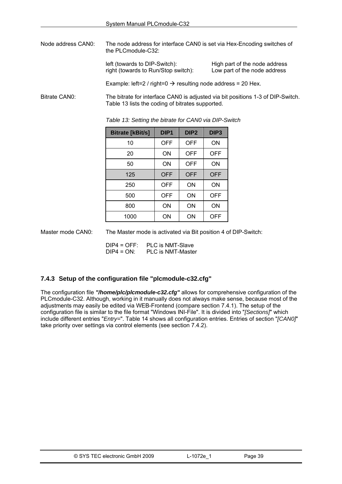<span id="page-39-0"></span>Node address CAN0: The node address for interface CAN0 is set via Hex-Encoding switches of the PLCmodule-C32:

> left (towards to DIP-Switch):<br>
> High part of the node address<br>
> right (towards to Run/Stop switch): Low part of the node address right (towards to Run/Stop switch):

Example: left=2 / right=0  $\rightarrow$  resulting node address = 20 Hex.

Bitrate CAN0: The bitrate for interface CAN0 is adjusted via bit positions 1-3 of DIP-Switch. [Table 13](#page-39-0) lists the coding of bitrates supported.

> Bitrate [kBit/s] | DIP1 | DIP2 | DIP3 10 | OFF | OFF | ON 20 | ON | OFF | OFF 50 ON OFF ON 125 OFF OFF OFF 250 | OFF | ON | ON 500 OFF ON OFF 800 | ON | ON | ON 1000 ON ON OFF

*Table 13: Setting the bitrate for CAN0 via DIP-Switch* 

Master mode CAN0: The Master mode is activated via Bit position 4 of DIP-Switch:

DIP4 = OFF: PLC is NMT-Slave DIP4 = ON: PLC is NMT-Master

## **7.4.3 Setup of the configuration file "plcmodule-c32.cfg"**

The configuration file *"/home/plc/plcmodule-c32.cfg"* allows for comprehensive configuration of the PLCmodule-C32. Although, working in it manually does not always make sense, because most of the adjustments may easily be edited via WEB-Frontend (compare section [7.4.1\)](#page-36-0). The setup of the configuration file is similar to the file format "Windows INI-File". It is divided into "*[Sections]*" which include different entries "*Entry=*". [Table 14](#page-40-0) shows all configuration entries. Entries of section "*[CAN0]*" take priority over settings via control elements (see section [7.4.2](#page-38-0)).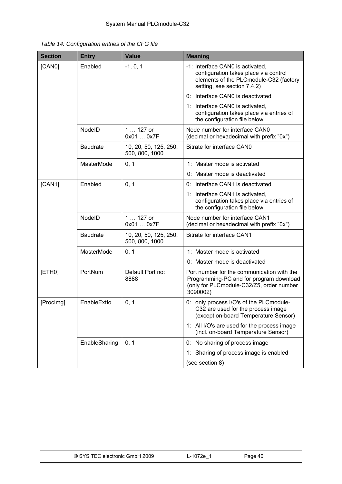<span id="page-40-0"></span>

| Table 14: Configuration entries of the CFG file |
|-------------------------------------------------|
|-------------------------------------------------|

| <b>Section</b> | <b>Entry</b>    | <b>Value</b>                            | <b>Meaning</b>                                                                                                                                     |
|----------------|-----------------|-----------------------------------------|----------------------------------------------------------------------------------------------------------------------------------------------------|
| [CAN0]         | Enabled         | $-1, 0, 1$                              | -1: Interface CAN0 is activated.<br>configuration takes place via control<br>elements of the PLCmodule-C32 (factory<br>setting, see section 7.4.2) |
|                |                 |                                         | Interface CAN0 is deactivated<br>0:                                                                                                                |
|                |                 |                                         | 1: Interface CAN0 is activated,<br>configuration takes place via entries of<br>the configuration file below                                        |
|                | NodelD          | 1  127 or<br>0x01  0x7F                 | Node number for interface CAN0<br>(decimal or hexadecimal with prefix "0x")                                                                        |
|                | <b>Baudrate</b> | 10, 20, 50, 125, 250,<br>500, 800, 1000 | Bitrate for interface CAN0                                                                                                                         |
|                | MasterMode      | 0, 1                                    | 1: Master mode is activated                                                                                                                        |
|                |                 |                                         | 0: Master mode is deactivated                                                                                                                      |
| [CAN1]         | Enabled         | 0, 1                                    | 0: Interface CAN1 is deactivated                                                                                                                   |
|                |                 |                                         | 1: Interface CAN1 is activated,<br>configuration takes place via entries of<br>the configuration file below                                        |
|                | NodelD          | 1  127 or<br>0x01  0x7F                 | Node number for interface CAN1<br>(decimal or hexadecimal with prefix "0x")                                                                        |
|                | <b>Baudrate</b> | 10, 20, 50, 125, 250,<br>500, 800, 1000 | Bitrate for interface CAN1                                                                                                                         |
|                | MasterMode      | 0, 1                                    | 1: Master mode is activated                                                                                                                        |
|                |                 |                                         | 0: Master mode is deactivated                                                                                                                      |
| [ETH0]         | PortNum         | Default Port no:<br>8888                | Port number for the communication with the<br>Programming-PC and for program download<br>(only for PLCmodule-C32/Z5, order number<br>3090002)      |
| [ProcImg]      | EnableExtlo     | 0, 1                                    | 0: only process I/O's of the PLCmodule-<br>C32 are used for the process image<br>(except on-board Temperature Sensor)                              |
|                |                 |                                         | 1: All I/O's are used for the process image<br>(incl. on-board Temperature Sensor)                                                                 |
|                | EnableSharing   | 0, 1                                    | 0: No sharing of process image                                                                                                                     |
|                |                 |                                         | Sharing of process image is enabled<br>1:                                                                                                          |
|                |                 |                                         | (see section 8)                                                                                                                                    |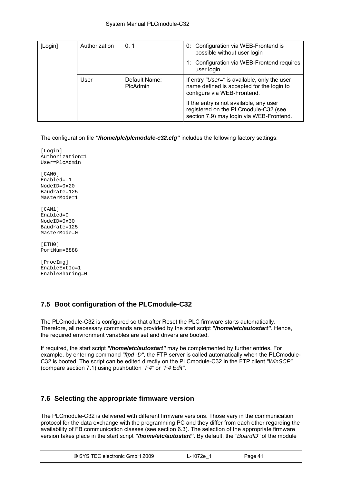<span id="page-41-0"></span>

| Authorization<br>[Login]<br>0, 1 |      |                                  | 0: Configuration via WEB-Frontend is<br>possible without user login                                                         |
|----------------------------------|------|----------------------------------|-----------------------------------------------------------------------------------------------------------------------------|
|                                  |      |                                  | Configuration via WEB-Frontend requires<br>user login                                                                       |
|                                  | User | Default Name:<br><b>PIcAdmin</b> | If entry "User=" is available, only the user<br>name defined is accepted for the login to<br>configure via WEB-Frontend.    |
|                                  |      |                                  | If the entry is not available, any user<br>registered on the PLCmodule-C32 (see<br>section 7.9) may login via WEB-Frontend. |

The configuration file *"/home/plc/plcmodule-c32.cfg"* includes the following factory settings:

[Login] Authorization=1 User=PlcAdmin [CAN0] Enabled=-1 NodeID=0x20 Baudrate=125 MasterMode=1 [CAN1] Enabled=0 NodeID=0x30 Baudrate=125 MasterMode=0 [ETH0] PortNum=8888

[ProcImg] EnableExtIo=1 EnableSharing=0

# **7.5 Boot configuration of the PLCmodule-C32**

The PLCmodule-C32 is configured so that after Reset the PLC firmware starts automatically. Therefore, all necessary commands are provided by the start script *"/home/etc/autostart"*. Hence, the required environment variables are set and drivers are booted.

If required, the start script *"/home/etc/autostart"* may be complemented by further entries. For example, by entering command *"ftpd -D"*, the FTP server is called automatically when the PLCmodule-C32 is booted. The script can be edited directly on the PLCmodule-C32 in the FTP client *"WinSCP"* (compare section [7.1](#page-32-0)) using pushbutton *"F4"* or *"F4 Edit"*.

# **7.6 Selecting the appropriate firmware version**

The PLCmodule-C32 is delivered with different firmware versions. Those vary in the communication protocol for the data exchange with the programming PC and they differ from each other regarding the availability of FB communication classes (see section [6.3](#page-21-0)). The selection of the appropriate firmware version takes place in the start script *"/home/etc/autostart"*. By default, the *"BoardID"* of the module

| © SYS TEC electronic GmbH 2009 | $-1072e^{-x}$ | Page 41 |  |
|--------------------------------|---------------|---------|--|
|--------------------------------|---------------|---------|--|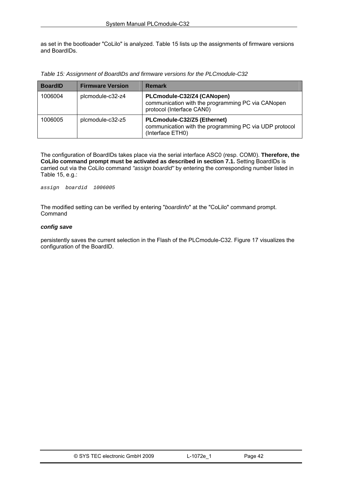<span id="page-42-0"></span>as set in the bootloader "CoLilo" is analyzed. [Table 15](#page-42-0) lists up the assignments of firmware versions and BoardIDs.

*Table 15: Assignment of BoardIDs and firmware versions for the PLCmodule-C32* 

| <b>BoardID</b> | <b>Firmware Version</b> | Remark                                                                                                       |
|----------------|-------------------------|--------------------------------------------------------------------------------------------------------------|
| 1006004        | plcmodule-c32-z4        | PLCmodule-C32/Z4 (CANopen)<br>communication with the programming PC via CANopen<br>protocol (Interface CAN0) |
| 1006005        | plcmodule-c32-z5        | PLCmodule-C32/Z5 (Ethernet)<br>communication with the programming PC via UDP protocol<br>(Interface ETH0)    |

The configuration of BoardIDs takes place via the serial interface ASC0 (resp. COM0). **Therefore, the CoLilo command prompt must be activated as described in section [7.1](#page-33-0).** Setting BoardIDs is carried out via the CoLilo command *"assign boardid"* by entering the corresponding number listed in [Table 15,](#page-42-0) e.g.:

*assign boardid 1006005* 

The modified setting can be verified by entering "*boardinfo*" at the "CoLilo" command prompt. Command

### *config save*

persistently saves the current selection in the Flash of the PLCmodule-C32. [Figure 17](#page-43-0) visualizes the configuration of the BoardID.

| © SYS TEC electronic GmbH 2009 | L-1072e 1 | Page 42 |
|--------------------------------|-----------|---------|
|                                |           |         |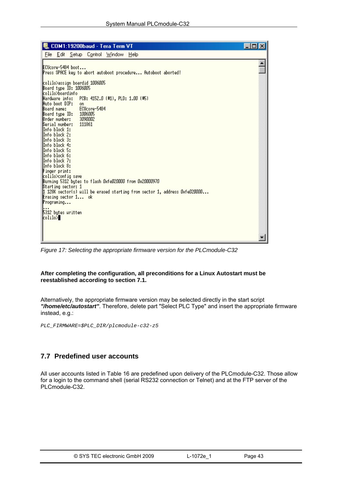<span id="page-43-0"></span>

| COM1:19200baud - Tera Term VT                                                                                                                                                                                                                                                                                                                                                                            | -  미 × |
|----------------------------------------------------------------------------------------------------------------------------------------------------------------------------------------------------------------------------------------------------------------------------------------------------------------------------------------------------------------------------------------------------------|--------|
| <u>File Edit Setup Control Window Help</u>                                                                                                                                                                                                                                                                                                                                                               |        |
| ECUcore-5484 boot<br>Press SPACE key to abort autoboot procedure Autoboot aborted!<br>colilo>assign boardid 1006005<br>Board type ID: 1006005<br> colilo>boardinfo<br>Harduare info:<br>PCB: 4152.0 (#1), PLD: 1.00 (#5)<br>Huto boot DIP:<br>on.<br>ECUcore-5484<br>Board name:<br>1006005<br>Board tupe ID:<br>Drder number:<br>3090002<br>111861<br>Berial number:<br>IInfo block 1:<br>Info block 2: |        |
| IInfo block 3:<br>IInfo block 4:<br>Info block 5:<br>IInfo block 6:<br> Info block 7:<br>Info block 8:<br>Finger print:<br>colilo>config save<br>Burning 5312 bytes to flash Oxfe020000 from 0x20000970<br>Starting sector: 1<br>$\,\,\sharp\,$ 128K sector(s) will be erased starting from sector 1, address OxfeO2OOOO<br><b>Erasing sector 1</b> ok<br>Programing                                     |        |
| 5312 bytes uritten<br>colilo>                                                                                                                                                                                                                                                                                                                                                                            |        |

*Figure 17: Selecting the appropriate firmware version for the PLCmodule-C32* 

### **After completing the configuration, all preconditions for a Linux Autostart must be reestablished according to section [7.1.](#page-33-0)**

Alternatively, the appropriate firmware version may be selected directly in the start script *"/home/etc/autostart"*. Therefore, delete part "Select PLC Type" and insert the appropriate firmware instead, e.g.:

*PLC\_FIRMWARE=\$PLC\_DIR/plcmodule-c32-z5* 

# **7.7 Predefined user accounts**

All user accounts listed in [Table 16](#page-44-0) are predefined upon delivery of the PLCmodule-C32. Those allow for a login to the command shell (serial RS232 connection or Telnet) and at the FTP server of the PLCmodule-C32.

| © SYS TEC electronic GmbH 2009 | $-1072e^{-t}$ | Page 43 |  |
|--------------------------------|---------------|---------|--|
|--------------------------------|---------------|---------|--|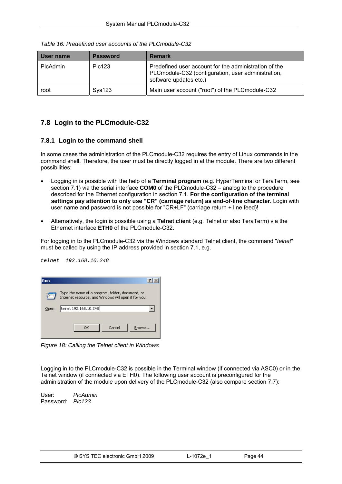| User name       | <b>Password</b> | <b>Remark</b>                                                                                                                         |
|-----------------|-----------------|---------------------------------------------------------------------------------------------------------------------------------------|
| <b>PIcAdmin</b> | <b>PIc123</b>   | Predefined user account for the administration of the<br>PLCmodule-C32 (configuration, user administration,<br>software updates etc.) |
| root            | Sys123          | Main user account ("root") of the PLC module-C32                                                                                      |

<span id="page-44-0"></span>*Table 16: Predefined user accounts of the PLCmodule-C32* 

# **7.8 Login to the PLCmodule-C32**

## **7.8.1 Login to the command shell**

In some cases the administration of the PLCmodule-C32 requires the entry of Linux commands in the command shell. Therefore, the user must be directly logged in at the module. There are two different possibilities:

- Logging in is possible with the help of a **Terminal program** (e.g. HyperTerminal or TeraTerm, see section [7.1](#page-32-0)) via the serial interface **COM0** of the PLCmodule-C32 – analog to the procedure described for the Ethernet configuration in section [7.1.](#page-34-0) **For the configuration of the terminal settings pay attention to only use "CR" (carriage return) as end-of-line character.** Login with user name and password is not possible for "CR+LF" (carriage return + line feed)!
- Alternatively, the login is possible using a **Telnet client** (e.g. Telnet or also TeraTerm) via the Ethernet interface **ETH0** of the PLCmodule-C32.

For logging in to the PLCmodule-C32 via the Windows standard Telnet client, the command "*telnet*" must be called by using the IP address provided in section [7.1](#page-34-0), e.g.

|       | telnet 192.168.10.248 |                |
|-------|-----------------------|----------------|
|       |                       |                |
| l Run |                       | $\overline{?}$ |

| ıkuıı |                                                                                                          |
|-------|----------------------------------------------------------------------------------------------------------|
|       | Type the name of a program, folder, document, or<br>Internet resource, and Windows will open it for you. |
| Open: | telnet 192.168.10.248                                                                                    |
|       |                                                                                                          |
|       | Cancel<br>Browse                                                                                         |
|       |                                                                                                          |

*Figure 18: Calling the Telnet client in Windows* 

Logging in to the PLCmodule-C32 is possible in the Terminal window (if connected via ASC0) or in the Telnet window (if connected via ETH0). The following user account is preconfigured for the administration of the module upon delivery of the PLCmodule-C32 (also compare section [7.7\)](#page-43-0):

User: *PlcAdmin* Password: *Plc123*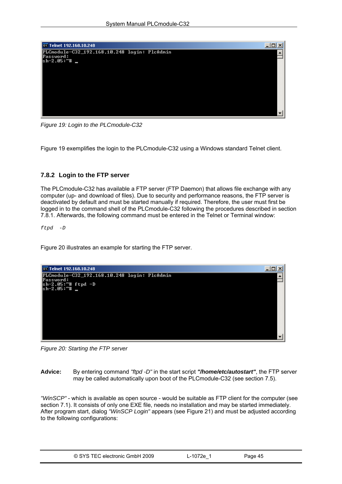<span id="page-45-0"></span>

*Figure 19: Login to the PLCmodule-C32* 

[Figure 19](#page-45-0) exemplifies the login to the PLCmodule-C32 using a Windows standard Telnet client.

## **7.8.2 Login to the FTP server**

The PLCmodule-C32 has available a FTP server (FTP Daemon) that allows file exchange with any computer (up- and download of files). Due to security and performance reasons, the FTP server is deactivated by default and must be started manually if required. Therefore, the user must first be logged in to the command shell of the PLCmodule-C32 following the procedures described in section [7.8.1](#page-44-0). Afterwards, the following command must be entered in the Telnet or Terminal window:

*ftpd -D* 

[Figure 20](#page-45-0) illustrates an example for starting the FTP server.



*Figure 20: Starting the FTP server* 

**Advice:** By entering command *"ftpd -D"* in the start script *"/home/etc/autostart"*, the FTP server may be called automatically upon boot of the PLCmodule-C32 (see section [7.5](#page-41-0)).

*"WinSCP"* - which is available as open source - would be suitable as FTP client for the computer (see section [7.1](#page-32-0)). It consists of only one EXE file, needs no installation and may be started immediately. After program start, dialog *"WinSCP Login"* appears (see [Figure 21\)](#page-46-0) and must be adjusted according to the following configurations:

| © SYS TEC electronic GmbH 2009 | ∟-1072e 1 | Page 45 |  |
|--------------------------------|-----------|---------|--|
|--------------------------------|-----------|---------|--|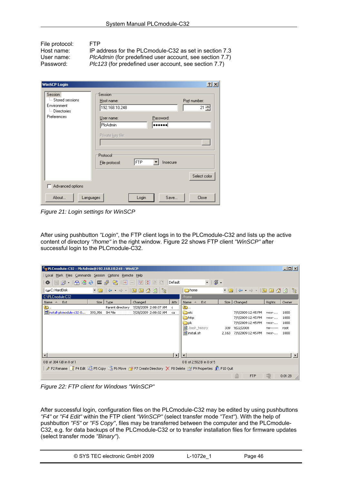<span id="page-46-0"></span>File protocol: FTP<br>Host name: IP a IP address for the PLCmodule-C32 as set in section 7.3 User name: *PlcAdmin* (for predefined user account, see section [7.7\)](#page-43-0)<br>Password: *Plc123* (for predefined user account, see section 7.7) Plc123 (for predefined user account, see section [7.7](#page-43-0))

| <b>WinSCP Login</b>                                                               |                                                                                                                                              | $?$ $\times$                                               |
|-----------------------------------------------------------------------------------|----------------------------------------------------------------------------------------------------------------------------------------------|------------------------------------------------------------|
| Session<br>illing Stored sessions<br>Environment<br>└─ Directories<br>Preferences | Session<br>Host name:<br>192.168.10.248<br>Password:<br>User name:<br>PlcAdmin<br><br>Private key file:<br>Protocol<br>FTP<br>File protocol: | Port number:<br>21 공<br>$\sim$<br>Insecure<br>Select color |
| Advanced options                                                                  |                                                                                                                                              |                                                            |
| About<br>Languages                                                                | Login                                                                                                                                        | Save<br>Close                                              |

*Figure 21: Login settings for WinSCP* 

After using pushbutton *"Login"*, the FTP client logs in to the PLCmodule-C32 and lists up the active content of directory *"/home"* in the right window. [Figure 22](#page-46-0) shows FTP client *"WinSCP"* after successful login to the PLCmodule-C32.

| E <sub>-2</sub> PLCmodule-C32 - PlcAdmin@192.168.10.248 - WinSCP                                                                                                                                                                                                                                                                                                                                                                                                                                                                 |                 |                  |                                                                                                                                                                                                                                                                                                                 |          |                                                                                                    |              |                                                                                                    |                                                      | $\Box$ o $\Box$                      |
|----------------------------------------------------------------------------------------------------------------------------------------------------------------------------------------------------------------------------------------------------------------------------------------------------------------------------------------------------------------------------------------------------------------------------------------------------------------------------------------------------------------------------------|-----------------|------------------|-----------------------------------------------------------------------------------------------------------------------------------------------------------------------------------------------------------------------------------------------------------------------------------------------------------------|----------|----------------------------------------------------------------------------------------------------|--------------|----------------------------------------------------------------------------------------------------|------------------------------------------------------|--------------------------------------|
| Local Mark Files Commands Session Options Remote Help                                                                                                                                                                                                                                                                                                                                                                                                                                                                            |                 |                  |                                                                                                                                                                                                                                                                                                                 |          |                                                                                                    |              |                                                                                                    |                                                      |                                      |
| $\color{blue}\bullet\,\lvert\text{min}\, \rvert\,\lvert\text{min}\, \rvert\,\text{min}\,\, \color{blue}\bullet\,\lvert\text{min}\, \rvert\,\text{min}\,\, \color{blue}\bullet\,\lvert\text{min}\, \rvert\,\text{min}\,\, \color{blue}\bullet\,\lvert\text{min}\, \rvert\,\text{min}\,\, \color{blue}\bullet\,\lvert\text{min}\, \rvert\,\text{min}\,\, \color{blue}\bullet\,\lvert\text{min}\, \rvert\,\text{min}\,\, \color{blue}\bullet\,\lvert\text{min}\, \rvert\,\text{min}\,\, \color{blue}\bullet\,\lvert\text{min}\, \r$ |                 |                  |                                                                                                                                                                                                                                                                                                                 | Default  | - 1356 -                                                                                           |              |                                                                                                    |                                                      |                                      |
| C: HardDisk                                                                                                                                                                                                                                                                                                                                                                                                                                                                                                                      |                 |                  | $\lnot$ a $\lnot$ $\rightarrow$ $\lnot$ $\lnot$ $\lnot$ $\lnot$ $\lnot$ $\lnot$ $\lnot$ $\lnot$ $\lnot$ $\lnot$ $\lnot$ $\lnot$ $\lnot$ $\lnot$ $\lnot$ $\lnot$ $\lnot$ $\lnot$ $\lnot$ $\lnot$ $\lnot$ $\lnot$ $\lnot$ $\lnot$ $\lnot$ $\lnot$ $\lnot$ $\lnot$ $\lnot$ $\lnot$ $\lnot$ $\lnot$ $\lnot$ $\lnot$ |          | home                                                                                               |              | $\bullet \text{ in } \mathbb{C} \rightarrow \bullet \text{ in } \mathbb{C} \rightarrow \mathbb{C}$ |                                                      | 3                                    |
| C:\PLCmodule-C32                                                                                                                                                                                                                                                                                                                                                                                                                                                                                                                 |                 |                  |                                                                                                                                                                                                                                                                                                                 |          | /home                                                                                              |              |                                                                                                    |                                                      |                                      |
| Ext<br>Name $\triangleq$                                                                                                                                                                                                                                                                                                                                                                                                                                                                                                         | Size I          | Type             | Changed                                                                                                                                                                                                                                                                                                         | Attr     | Name $\triangleq$<br>Ext                                                                           |              | Size   Changed                                                                                     | Rights                                               | Owner                                |
| ò.,<br>is install-picmodule-c32-0                                                                                                                                                                                                                                                                                                                                                                                                                                                                                                | 393,356 SH File | Parent directory | 7/28/2009 2:08:07 AM<br>7/28/2009 2:08:02 AM                                                                                                                                                                                                                                                                    | c.<br>ca | Ò.<br><b>n</b> etc<br><b>in</b> http<br><b>in</b> plc<br>Hold bash_history<br><b>जि</b> install.sh | 339<br>2,163 | 7/9/2009 12:45 PM<br>7/9/2009 12:45 PM<br>7/9/2009 12:45 PM<br>9/22/2008<br>7/9/2009 12:45 PM      | rwxr-<br>rwxr-<br>rwxr-<br><b>MW-------</b><br>rwxr- | 1000<br>1000<br>1000<br>root<br>1000 |
|                                                                                                                                                                                                                                                                                                                                                                                                                                                                                                                                  |                 |                  |                                                                                                                                                                                                                                                                                                                 |          |                                                                                                    |              |                                                                                                    |                                                      |                                      |
| 0 B of 384 KiB in 0 of 1                                                                                                                                                                                                                                                                                                                                                                                                                                                                                                         |                 |                  |                                                                                                                                                                                                                                                                                                                 |          | 0 B of 2,502 B in 0 of 5                                                                           |              |                                                                                                    |                                                      |                                      |
| <i>。</i> F2 Rename F F F4 Edit L S F5 Copy S F6 Move F * F7 Create Directory X F8 Delete F T F9 Properties F F10 Quit                                                                                                                                                                                                                                                                                                                                                                                                            |                 |                  |                                                                                                                                                                                                                                                                                                                 |          |                                                                                                    |              |                                                                                                    |                                                      |                                      |
|                                                                                                                                                                                                                                                                                                                                                                                                                                                                                                                                  |                 |                  |                                                                                                                                                                                                                                                                                                                 |          |                                                                                                    |              | ≜<br><b>FTP</b>                                                                                    |                                                      | 0:01:28                              |

*Figure 22: FTP client for Windows "WinSCP"* 

After successful login, configuration files on the PLCmodule-C32 may be edited by using pushbuttons *"F4"* or *"F4 Edit"* within the FTP client *"WinSCP"* (select transfer mode *"Text"*). With the help of pushbutton *"F5"* or *"F5 Copy"*, files may be transferred between the computer and the PLCmodule-C32, e.g. for data backups of the PLCmodule-C32 or to transfer installation files for firmware updates (select transfer mode *"Binary"*).

| © SYS TEC electronic GmbH 2009 | ∟-1072e <sup>1</sup> | Page 46 |  |
|--------------------------------|----------------------|---------|--|
|--------------------------------|----------------------|---------|--|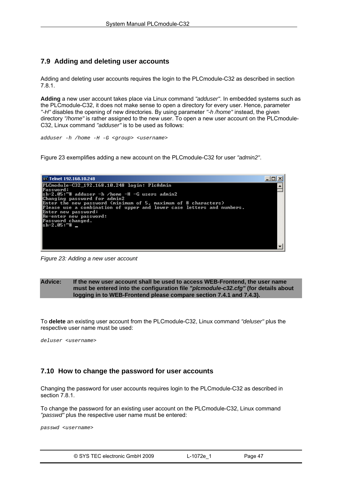# <span id="page-47-0"></span>**7.9 Adding and deleting user accounts**

Adding and deleting user accounts requires the login to the PLCmodule-C32 as described in section [7.8.1](#page-44-0).

**Adding** a new user account takes place via Linux command *"adduser"*. In embedded systems such as the PLCmodule-C32, it does not make sense to open a directory for every user. Hence, parameter *"-H"* disables the opening of new directories. By using parameter *"-h /home"* instead, the given directory *"/home"* is rather assigned to the new user. To open a new user account on the PLCmodule-C32, Linux command *"adduser"* is to be used as follows:

*adduser -h /home -H -G <group> <username>* 

[Figure 23](#page-47-0) exemplifies adding a new account on the PLCmodule-C32 for user *"admin2"*.



*Figure 23: Adding a new user account* 

### **Advice: If the new user account shall be used to access WEB-Frontend, the user name must be entered into the configuration file** *"plcmodule-c32.cfg"* **(for details about logging in to WEB-Frontend please compare section [7.4.1](#page-36-0) and [7.4.3](#page-39-0)).**

To **delete** an existing user account from the PLCmodule-C32, Linux command *"deluser"* plus the respective user name must be used:

*deluser <username>* 

# **7.10 How to change the password for user accounts**

Changing the password for user accounts requires login to the PLCmodule-C32 as described in section [7.8.1.](#page-44-0)

To change the password for an existing user account on the PLCmodule-C32, Linux command *"passwd"* plus the respective user name must be entered:

*passwd <username>* 

| © SYS TEC electronic GmbH 2009 | L-1072e 1 | Page 47 |  |
|--------------------------------|-----------|---------|--|
|--------------------------------|-----------|---------|--|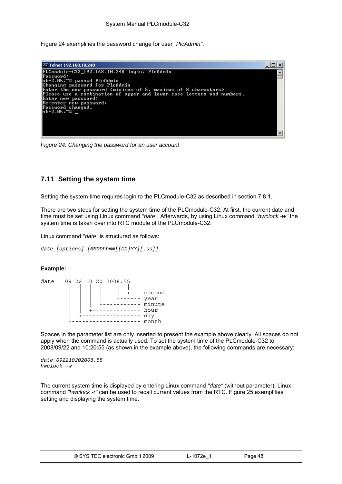<span id="page-48-0"></span>[Figure 24](#page-48-0) exemplifies the password change for user *"PlcAdmin"*.



*Figure 24: Changing the password for an user account* 

# **7.11 Setting the system time**

Setting the system time requires login to the PLCmodule-C32 as described in section [7.8.1.](#page-44-0)

There are two steps for setting the system time of the PLCmodule-C32. At first, the current date and time must be set using Linux command *"date"*. Afterwards, by using Linux command *"hwclock -w"* the system time is taken over into RTC module of the PLCmodule-C32.

Linux command *"date"* is structured as follows:

*date [options] [MMDDhhmm[[CC]YY][.ss]]* 

## **Example:**

| date | 09 22 10 20 2008.55 |          |
|------|---------------------|----------|
|      |                     |          |
|      |                     | - second |
|      |                     | year     |
|      |                     | minute   |
|      |                     | hour     |
|      |                     | day      |
|      |                     | month    |

Spaces in the parameter list are only inserted to present the example above clearly. All spaces do not apply when the command is actually used. To set the system time of the PLCmodule-C32 to 2008/09/22 and 10:20:55 (as shown in the example above), the following commands are necessary:

*date 092210202008.55 hwclock -w* 

The current system time is displayed by entering Linux command *"date"* (without parameter). Linux command *"hwclock -r"* can be used to recall current values from the RTC. [Figure 25](#page-49-0) exemplifies setting and displaying the system time.

|  | © SYS TEC electronic GmbH 2009 | L-1072e 1 | Page 48 |
|--|--------------------------------|-----------|---------|
|--|--------------------------------|-----------|---------|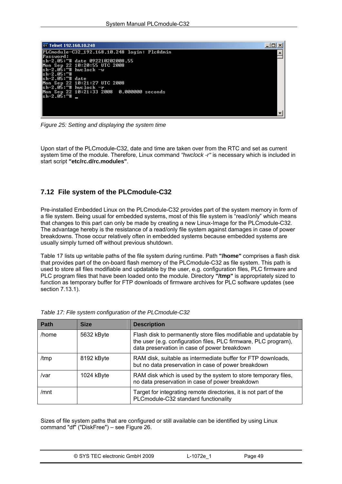<span id="page-49-0"></span>

| िल Telnet 192.168.10.248                     |  |
|----------------------------------------------|--|
| PLCmodule-C32_192.168.10.248 login: PlcAdmin |  |
| Password:<br>sh-2.05:~# date 092210202008.55 |  |
| Mon Sep 22 10:20:55 UTC 2008                 |  |
| lsh−2.0Ŝ:~# hwclock −w<br>lsh−2.05:~#        |  |
| lsh-2.05:~# date                             |  |
| Mon Sep 22 10:21:27 UTC 2008                 |  |
| lsh−2.05:~# hwclock −r                       |  |
| sh−2.05:~#                                   |  |
|                                              |  |
|                                              |  |
|                                              |  |

*Figure 25: Setting and displaying the system time* 

Upon start of the PLCmodule-C32, date and time are taken over from the RTC and set as current system time of the module. Therefore, Linux command *"hwclock -r"* is necessary which is included in start script **"etc/rc.d/rc.modules"**.

## **7.12 File system of the PLCmodule-C32**

Pre-installed Embedded Linux on the PLCmodule-C32 provides part of the system memory in form of a file system. Being usual for embedded systems, most of this file system is "read/only" which means that changes to this part can only be made by creating a new Linux-Image for the PLCmodule-C32. The advantage hereby is the resistance of a read/only file system against damages in case of power breakdowns. Those occur relatively often in embedded systems because embedded systems are usually simply turned off without previous shutdown.

[Table 17](#page-49-0) lists up writable paths of the file system during runtime. Path **"/home"** comprises a flash disk that provides part of the on-board flash memory of the PLCmodule-C32 as file system. This path is used to store all files modifiable and updatable by the user, e.g. configuration files, PLC firmware and PLC program files that have been loaded onto the module. Directory **"/tmp"** is appropriately sized to function as temporary buffer for FTP downloads of firmware archives for PLC software updates (see section [7.13.1](#page-50-0)).

| <b>Path</b> | <b>Size</b> | <b>Description</b>                                                                                                                                                                   |
|-------------|-------------|--------------------------------------------------------------------------------------------------------------------------------------------------------------------------------------|
| /home       | 5632 kByte  | Flash disk to permanently store files modifiable and updatable by<br>the user (e.g. configuration files, PLC firmware, PLC program),<br>data preservation in case of power breakdown |
| /tmp        | 8192 kByte  | RAM disk, suitable as intermediate buffer for FTP downloads,<br>but no data preservation in case of power breakdown                                                                  |
| /var        | 1024 kByte  | RAM disk which is used by the system to store temporary files,<br>no data preservation in case of power breakdown                                                                    |
| /mnt        |             | Target for integrating remote directories, it is not part of the<br>PLCmodule-C32 standard functionality                                                                             |

|  |  |  | Table 17: File system configuration of the PLCmodule-C32 |  |
|--|--|--|----------------------------------------------------------|--|
|  |  |  |                                                          |  |

Sizes of file system paths that are configured or still available can be identified by using Linux command "df" ("DiskFree") – see [Figure 26.](#page-50-0)

| © SYS TEC electronic GmbH 2009 | ∟-1072e <sup>1</sup> | Page 49 |  |
|--------------------------------|----------------------|---------|--|
|--------------------------------|----------------------|---------|--|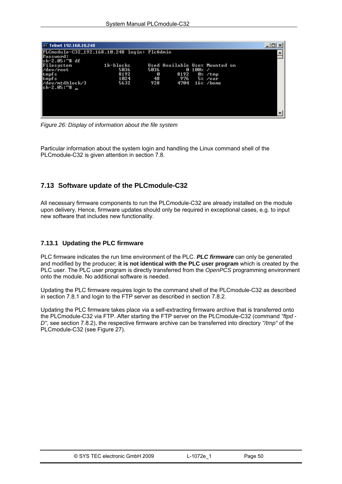<span id="page-50-0"></span>

| <b>EX Telnet 192.168.10.248</b>                                                                                                                            |                                             |                        |                                               |          |                                         | -10 |  |
|------------------------------------------------------------------------------------------------------------------------------------------------------------|---------------------------------------------|------------------------|-----------------------------------------------|----------|-----------------------------------------|-----|--|
| PLCmodule-C32_192.168.10.248 login: PlcAdmin<br>Password:<br>lsh–2.05:~# df<br>Filesystem<br>∕dev∕root<br>tmpfs<br>tmpfs<br>/dev/mtdblock/3<br> sh−2.05:~# | $1k-hlocks$<br>5036<br>8192<br>1024<br>5632 | 5036<br>Ø<br>48<br>928 | Used Available Use% Mounted on<br>8192<br>976 | 0 100% / | $0$ % /tmp<br>5% /var<br>4704 16% /home |     |  |

*Figure 26: Display of information about the file system* 

Particular information about the system login and handling the Linux command shell of the PLCmodule-C32 is given attention in section [7.8](#page-44-0).

# **7.13 Software update of the PLCmodule-C32**

All necessary firmware components to run the PLCmodule-C32 are already installed on the module upon delivery. Hence, firmware updates should only be required in exceptional cases, e.g. to input new software that includes new functionality.

## **7.13.1 Updating the PLC firmware**

PLC firmware indicates the run time environment of the PLC. *PLC firmware* can only be generated and modified by the producer; **it is not identical with the PLC user program** which is created by the PLC user. The PLC user program is directly transferred from the *OpenPCS* programming environment onto the module. No additional software is needed.

Updating the PLC firmware requires login to the command shell of the PLCmodule-C32 as described in section [7.8.1](#page-44-0) and login to the FTP server as described in section [7.8.2](#page-45-0).

Updating the PLC firmware takes place via a self-extracting firmware archive that is transferred onto the PLCmodule-C32 via FTP. After starting the FTP server on the PLCmodule-C32 (command *"ftpd - D"*, see section [7.8.2\)](#page-45-0), the respective firmware archive can be transferred into directory *"/tmp"* of the PLCmodule-C32 (see [Figure 27](#page-51-0)).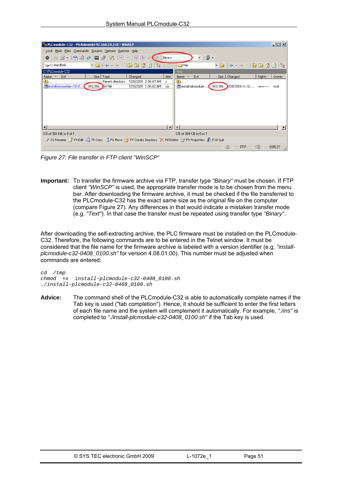<span id="page-51-0"></span>

|                                                                                                                                                                                | PLCmodule-C32 - PlcAdmin@192.168.10.248 - WinSCP |                  |         |                      |        |                          |                    | $\Box$  |                                                                                                                                                                                                                                                                                                                                                                                                                                         |            |                  |         |
|--------------------------------------------------------------------------------------------------------------------------------------------------------------------------------|--------------------------------------------------|------------------|---------|----------------------|--------|--------------------------|--------------------|---------|-----------------------------------------------------------------------------------------------------------------------------------------------------------------------------------------------------------------------------------------------------------------------------------------------------------------------------------------------------------------------------------------------------------------------------------------|------------|------------------|---------|
| Local Mark Files Commands Session Options Remote Help                                                                                                                          |                                                  |                  |         |                      |        |                          |                    |         |                                                                                                                                                                                                                                                                                                                                                                                                                                         |            |                  |         |
| $\color{blue}\bullet\color{black}$ $\color{blue}\bullet\color{black}$ $\color{blue}\bullet\color{black}$ $\color{blue}\bullet\color{black}$ $\color{blue}\bullet\color{black}$ |                                                  |                  |         |                      | Binary |                          | $-15.7$            |         |                                                                                                                                                                                                                                                                                                                                                                                                                                         |            |                  |         |
| C: HardDisk                                                                                                                                                                    |                                                  |                  |         | 뚽                    |        | <b>E</b> tmp             |                    |         | $\bullet \text{ 1} \oplus \text{ 1} \oplus \text{ 1} \oplus \text{ 1} \oplus \text{ 1} \oplus \text{ 1} \oplus \text{ 1} \oplus \text{ 1} \oplus \text{ 1} \oplus \text{ 1} \oplus \text{ 1} \oplus \text{ 1} \oplus \text{ 1} \oplus \text{ 1} \oplus \text{ 1} \oplus \text{ 1} \oplus \text{ 1} \oplus \text{ 1} \oplus \text{ 1} \oplus \text{ 1} \oplus \text{ 1} \oplus \text{ 1} \oplus \text{ 1} \oplus \text{ 1} \oplus \text$ |            |                  | 一出      |
| C:\PLCmodule-C32                                                                                                                                                               |                                                  |                  |         |                      |        | /tmp                     |                    |         |                                                                                                                                                                                                                                                                                                                                                                                                                                         |            |                  |         |
| Ext<br>Name                                                                                                                                                                    |                                                  | Size   Type      | Changed |                      | Attr   | Name                     | Ext                |         | Size   Changed                                                                                                                                                                                                                                                                                                                                                                                                                          |            | Rights           | Owner   |
| œ.,                                                                                                                                                                            |                                                  | Parent directory |         | 7/28/2009 2:08:07 AM |        | o.                       |                    |         |                                                                                                                                                                                                                                                                                                                                                                                                                                         |            |                  |         |
| collinstall-plcmodule-c32-0                                                                                                                                                    | 393,356                                          | <b>EH File</b>   |         | 7/28/2009 2:08:02 AM | ca     |                          | install-picmodule- | 393,356 | 7/28/200911:32                                                                                                                                                                                                                                                                                                                                                                                                                          |            | <b>FW-F-----</b> | root    |
|                                                                                                                                                                                |                                                  |                  |         |                      |        |                          |                    |         |                                                                                                                                                                                                                                                                                                                                                                                                                                         |            |                  |         |
|                                                                                                                                                                                |                                                  |                  |         |                      |        |                          |                    |         |                                                                                                                                                                                                                                                                                                                                                                                                                                         |            |                  |         |
|                                                                                                                                                                                |                                                  |                  |         |                      |        |                          |                    |         |                                                                                                                                                                                                                                                                                                                                                                                                                                         |            |                  |         |
|                                                                                                                                                                                |                                                  |                  |         |                      |        |                          |                    |         |                                                                                                                                                                                                                                                                                                                                                                                                                                         |            |                  |         |
|                                                                                                                                                                                |                                                  |                  |         |                      |        |                          |                    |         |                                                                                                                                                                                                                                                                                                                                                                                                                                         |            |                  |         |
|                                                                                                                                                                                |                                                  |                  |         |                      |        |                          |                    |         |                                                                                                                                                                                                                                                                                                                                                                                                                                         |            |                  |         |
|                                                                                                                                                                                |                                                  |                  |         |                      |        |                          |                    |         |                                                                                                                                                                                                                                                                                                                                                                                                                                         |            |                  |         |
|                                                                                                                                                                                |                                                  |                  |         |                      |        |                          |                    |         |                                                                                                                                                                                                                                                                                                                                                                                                                                         |            |                  |         |
| 0 B of 384 KiB in 0 of 1                                                                                                                                                       |                                                  |                  |         |                      |        | 0 B of 384 KiB in 0 of 1 |                    |         |                                                                                                                                                                                                                                                                                                                                                                                                                                         |            |                  |         |
| P2 Rename T F4 Edit List F5 Copy List F6 Move P Y F7 Create Directory X F8 Delete P F9 Properties T F10 Quit                                                                   |                                                  |                  |         |                      |        |                          |                    |         |                                                                                                                                                                                                                                                                                                                                                                                                                                         |            |                  |         |
|                                                                                                                                                                                |                                                  |                  |         |                      |        |                          |                    |         | ≜                                                                                                                                                                                                                                                                                                                                                                                                                                       | <b>FTP</b> |                  | 0:05:27 |

*Figure 27: File transfer in FTP client "WinSCP"* 

**Important:** To transfer the firmware archive via FTP, transfer type *"Binary"* must be chosen. If FTP client *"WinSCP"* is used, the appropriate transfer mode is to be chosen from the menu bar. After downloading the firmware archive, it must be checked if the file transferred to the PLCmodule-C32 has the exact same size as the original file on the computer (compare [Figure 27\)](#page-51-0). Any differences in that would indicate a mistaken transfer mode (e.g. *"Text"*). In that case the transfer must be repeated using transfer type *"Binary"*.

After downloading the self-extracting archive, the PLC firmware must be installed on the PLCmodule-C32. Therefore, the following commands are to be entered in the Telnet window. It must be considered that the file name for the firmware archive is labeled with a version identifier (e.g. *"installplcmodule-c32-0408\_0100.sh"* for version 4.08.01.00). This number must be adjusted when commands are entered:

*cd /tmp chmod +x install-plcmodule-c32-0408\_0100.sh ./install-plcmodule-c32-0408\_0100.sh* 

**Advice:** The command shell of the PLCmodule-C32 is able to automatically complete names if the Tab key is used ("tab completion"). Hence, it should be sufficient to enter the first letters of each file name and the system will complement it automatically. For example, *"./ins"* is completed to *"./install-plcmodule-c32-0408\_0100.sh"* if the Tab key is used.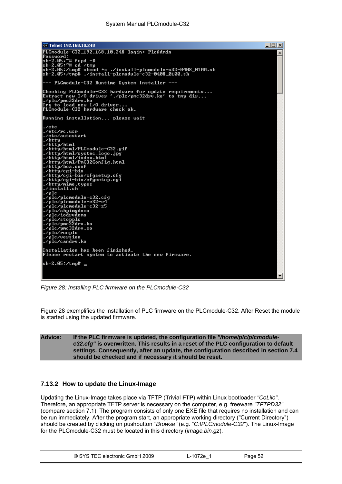<span id="page-52-0"></span>

*Figure 28: Installing PLC firmware on the PLCmodule-C32* 

[Figure 28](#page-52-0) exemplifies the installation of PLC firmware on the PLCmodule-C32. After Reset the module is started using the updated firmware.

### **Advice: If the PLC firmware is updated, the configuration file** *"/home/plc/plcmodulec32.cfg"* **is overwritten. This results in a reset of the PLC configuration to default settings. Consequently, after an update, the configuration described in section [7.4](#page-36-0) should be checked and if necessary it should be reset.**

## **7.13.2 How to update the Linux-Image**

Updating the Linux-Image takes place via TFTP (**T**rivial **FTP**) within Linux bootloader *"CoLilo"*. Therefore, an appropriate TFTP server is necessary on the computer, e.g. freeware *"TFTPD32"* (compare section [7.1](#page-32-0)). The program consists of only one EXE file that requires no installation and can be run immediately. After the program start, an appropriate working directory ("Current Directory") should be created by clicking on pushbutton *"Browse"* (e.g. *"C:\PLCmodule-C32"*). The Linux-Image for the PLCmodule-C32 must be located in this directory (*image.bin.gz*).

| © SYS TEC electronic GmbH 2009 | ∟-1072e <i>1</i> | Page 52 |  |
|--------------------------------|------------------|---------|--|
|--------------------------------|------------------|---------|--|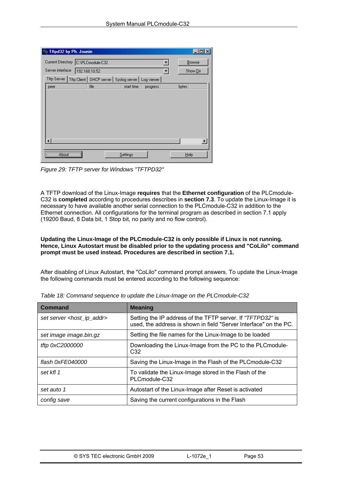| Tftpd32 by Ph. Jounin               |                                           |            |            |       |          |
|-------------------------------------|-------------------------------------------|------------|------------|-------|----------|
| Current Directory [C:\PLCmodule-C32 |                                           |            |            |       | Browse   |
| Server interface                    | 192.168.10.52                             |            |            |       | Show Dir |
| Tftp Server                         | Tftp Client   DHCP server   Syslog server |            | Log viewer |       |          |
| peer                                | file                                      | start time | progress   | bytes |          |
|                                     |                                           |            |            |       |          |
|                                     |                                           |            |            |       |          |
|                                     |                                           |            |            |       |          |
|                                     |                                           |            |            |       |          |
|                                     |                                           |            |            |       |          |
|                                     |                                           |            |            |       |          |
| About<br>                           |                                           | Settings   |            |       | Help     |

*Figure 29: TFTP server for Windows "TFTPD32"* 

A TFTP download of the Linux-Image **requires** that the **Ethernet configuration** of the PLCmodule-C32 is **completed** according to procedures describes in **section [7.3](#page-34-0)**. To update the Linux-Image it is necessary to have available another serial connection to the PLCmodule-C32 in addition to the Ethernet connection. All configurations for the terminal program as described in section [7.1](#page-34-0) apply (19200 Baud, 8 Data bit, 1 Stop bit, no parity and no flow control).

**Updating the Linux-Image of the PLCmodule-C32 is only possible if Linux is not running. Hence, Linux Autostart must be disabled prior to the updating process and "CoLilo" command prompt must be used instead. Procedures are described in section [7.1.](#page-33-0)** 

After disabling of Linux Autostart, the "CoLilo" command prompt answers. To update the Linux-Image the following commands must be entered according to the following sequence:

| <b>Command</b>                           | <b>Meaning</b>                                                                                                                  |
|------------------------------------------|---------------------------------------------------------------------------------------------------------------------------------|
| set server <host_ip_addr></host_ip_addr> | Setting the IP address of the TFTP server. If "TFTPD32" is<br>used, the address is shown in field "Server Interface" on the PC. |
| set image image bin.gz                   | Setting the file names for the Linux-Image to be loaded                                                                         |
| tftp 0xC2000000                          | Downloading the Linux-Image from the PC to the PLCmodule-<br>C <sub>32</sub>                                                    |
| flash 0xFE040000                         | Saving the Linux-Image in the Flash of the PLC module-C32                                                                       |
| set kfl 1                                | To validate the Linux-Image stored in the Flash of the<br>PLCmodule-C32                                                         |
| set auto 1                               | Autostart of the Linux-Image after Reset is activated                                                                           |
| config save                              | Saving the current configurations in the Flash                                                                                  |

|  | Table 18: Command sequence to update the Linux-Image on the PLCmodule-C32 |  |
|--|---------------------------------------------------------------------------|--|
|  |                                                                           |  |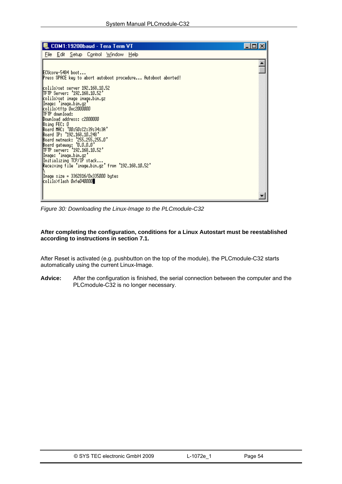| COM1:19200baud - Tera Term VT                                   |  |
|-----------------------------------------------------------------|--|
| File Edit Setup Control Window Help                             |  |
|                                                                 |  |
| ECUcore-5484 boot                                               |  |
| Press SPACE key to abort autoboot procedure Autoboot aborted!   |  |
| colilo>set server 192.168.10.52                                 |  |
| <b>ITFTP Server: '192.168.10.52'</b>                            |  |
| colilo>set inage inage.bin.gz<br>Inage: 'inage.bin.gz           |  |
| colilo>tftp 0xc2000000                                          |  |
| <b>ITFTP</b> dounload:<br>Download address: c2000000            |  |
| Using FEC: 0                                                    |  |
| Board HAC: '00:50:C2:39:34:3A'                                  |  |
| Board IP: '192.168.10.248'<br>Board netnask: '255.255.255.0'    |  |
| Board gateway: '0.0.0.0'                                        |  |
| TFTP server: '192.168.10.52'                                    |  |
| Inage: 'inage.bin.gz'<br>Initializing TCP/IP stack              |  |
| Receiving file 'inage.bin.gz' from '192.168.10.52'              |  |
|                                                                 |  |
| Inage size = 3362816/0x335000 bytes<br>colilo>flash OxfeO40000∥ |  |
|                                                                 |  |
|                                                                 |  |
|                                                                 |  |

*Figure 30: Downloading the Linux-Image to the PLCmodule-C32* 

**After completing the configuration, conditions for a Linux Autostart must be reestablished according to instructions in section [7.1.](#page-33-0)** 

After Reset is activated (e.g. pushbutton on the top of the module), the PLCmodule-C32 starts automatically using the current Linux-Image.

**Advice:** After the configuration is finished, the serial connection between the computer and the PLCmodule-C32 is no longer necessary.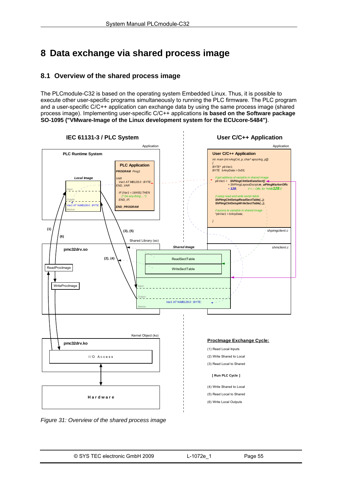# <span id="page-55-0"></span>**8 Data exchange via shared process image**

# **8.1 Overview of the shared process image**

The PLCmodule-C32 is based on the operating system Embedded Linux. Thus, it is possible to execute other user-specific programs simultaneously to running the PLC firmware. The PLC program and a user-specific C/C++ application can exchange data by using the same process image (shared process image). Implementing user-specific C/C++ applications **is based on the Software package SO-1095 ("VMware-Image of the Linux development system for the ECUcore-5484")**.



*Figure 31: Overview of the shared process image*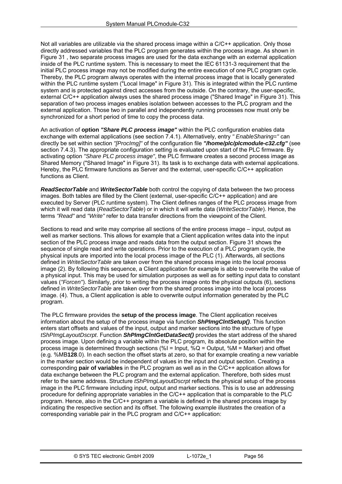Not all variables are utilizable via the shared process image within a C/C++ application. Only those directly addressed variables that the PLC program generates within the process image. As shown in [Figure 31](#page-55-0) , two separate process images are used for the data exchange with an external application inside of the PLC runtime system. This is necessary to meet the IEC 61131-3 requirement that the initial PLC process image may not be modified during the entire execution of one PLC program cycle. Thereby, the PLC program always operates with the internal process image that is locally generated within the PLC runtime system ("Local Image" in [Figure 31](#page-55-0)). This is integrated within the PLC runtime system and is protected against direct accesses from the outside. On the contrary, the user-specific, external C/C++ application always uses the shared process image ("Shared Image" in [Figure 31](#page-55-0)). This separation of two process images enables isolation between accesses to the PLC program and the external application. Those two in parallel and independently running processes now must only be synchronized for a short period of time to copy the process data.

An activation of **option** *"Share PLC process image"* within the PLC configuration enables data exchange with external applications (see section [7.4.1](#page-36-0)). Alternatively, entry *" EnableSharing="* can directly be set within section *"[ProcImg]"* of the configuration file *"/home/plc/plcmodule-c32.cfg"* (see section [7.4.3\)](#page-39-0). The appropriate configuration setting is evaluated upon start of the PLC firmware. By activating option *"Share PLC process image"*, the PLC firmware creates a second process image as Shared Memory ("Shared Image" in [Figure 31\)](#page-55-0). Its task is to exchange data with external applications. Hereby, the PLC firmware functions as Server and the external, user-specific C/C++ application functions as Client.

*ReadSectorTable* and *WriteSectorTable* both control the copying of data between the two process images. Both tables are filled by the Client (external, user-specific C/C++ application) and are executed by Server (PLC runtime system). The Client defines ranges of the PLC process image from which it will read data (*ReadSectorTable*) or in which it will write data (*WriteSectorTable*). Hence, the terms *"Read"* and *"Write"* refer to data transfer directions from the viewpoint of the Client.

Sections to read and write may comprise all sections of the entire process image – input, output as well as marker sections. This allows for example that a Client application writes data into the input section of the PLC process image and reads data from the output section. [Figure 31](#page-55-0) shows the sequence of single read and write operations. Prior to the execution of a PLC program cycle, the physical inputs are imported into the local process image of the PLC (1). Afterwards, all sections defined in *WriteSectorTable* are taken over from the shared process image into the local process image (2). By following this sequence, a Client application for example is able to overwrite the value of a physical input. This may be used for simulation purposes as well as for setting input data to constant values (*"Forcen"*). Similarly, prior to writing the process image onto the physical outputs (6), sections defined in *WriteSectorTable* are taken over from the shared process image into the local process image. (4). Thus, a Client application is able to overwrite output information generated by the PLC program.

The PLC firmware provides the **setup of the process image**. The Client application receives information about the setup of the process image via function *ShPImgClntSetup()*. This function enters start offsets and values of the input, output and marker sections into the structure of type *tShPImgLayoutDscrpt*. Function *ShPImgClntGetDataSect()* provides the start address of the shared process image. Upon defining a variable within the PLC program, its absolute position within the process image is determined through sections (%I = Input,  $\%Q =$  Output, %M = Marker) and offset (e.g. %MB**128**.0). In each section the offset starts at zero, so that for example creating a new variable in the marker section would be independent of values in the input and output section. Creating a corresponding **pair of variables** in the PLC program as well as in the C/C++ application allows for data exchange between the PLC program and the external application. Therefore, both sides must refer to the same address. Structure *tShPImgLayoutDscrpt* reflects the physical setup of the process image in the PLC firmware including input, output and marker sections. This is to use an addressing procedure for defining appropriate variables in the C/C++ application that is comparable to the PLC program. Hence, also in the C/C++ program a variable is defined in the shared process image by indicating the respective section and its offset. The following example illustrates the creation of a corresponding variable pair in the PLC program and C/C++ application: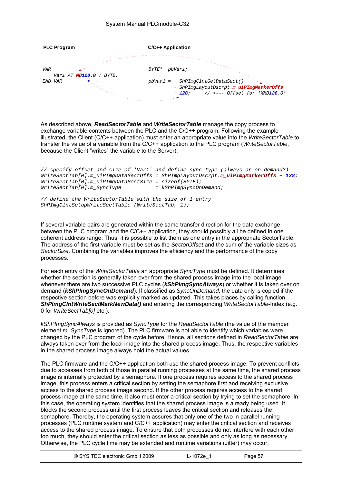

As described above, *ReadSectorTable* and *WriteSectorTable* manage the copy process to exchange variable contents between the PLC and the C/C++ program. Following the example illustrated, the Client (C/C++ application) must enter an appropriate value into the *WriteSectorTable* to transfer the value of a variable from the C/C++ application to the PLC program (*WriteSectorTable*, because the Client "writes" the variable to the Server):

```
// specify offset and size of 'Var1' and define sync type (always or on demand?) 
WriteSectTab[0].m_uiPImgDataSectOffs = ShPImgLayoutDscrpt.m_uiPImgMarkerOffs + 128; 
WriteSectTab[0].m_uiPImgDataSectSize = sizeof(BYTE); 
WriteSectTab[0].\textit{m\_Synctype}// define the WriteSectorTable with the size of 1 entry
```

```
ShPImgClntSetupWriteSectTable (WriteSectTab, 1);
```
If several variable pairs are generated within the same transfer direction for the data exchange between the PLC program and the C/C++ application, they should possibly all be defined in one coherent address range. Thus, it is possible to list them as one entry in the appropriate SectorTable. The address of the first variable must be set as the *SectorOffset* and the sum of the variable sizes as *SectorSize*. Combining the variables improves the efficiency and the performance of the copy processes.

For each entry of the *WriteSectorTable* an appropriate *SyncType* must be defined. It determines whether the section is generally taken over from the shared process image into the local image whenever there are two successive PLC cycles (*kShPImgSyncAlways*) or whether it is taken over on demand (*kShPImgSyncOnDemand*). If classified as *SyncOnDemand*, the data only is copied if the respective section before was explicitly marked as updated. This takes places by calling function *ShPImgClntWriteSectMarkNewData()* and entering the corresponding *WriteSectorTable*-Index (e.g. 0 for *WriteSectTab[0]* etc.).

*kShPImgSyncAlways* is provided as *SyncType* for the *ReadSectorTable* (the value of the member element *m\_SyncType* is ignored). The PLC firmware is not able to identify which variables were changed by the PLC program of the cycle before. Hence, all sections defined in *ReadSectorTable* are always taken over from the local image into the shared process image. Thus, the respective variables in the shared process image always hold the actual values.

The PLC firmware and the C/C++ application both use the shared process image. To prevent conflicts due to accesses from both of those in parallel running processes at the same time, the shared process image is internally protected by a semaphore. If one process requires access to the shared process image, this process enters a critical section by setting the semaphore first and receiving exclusive access to the shared process image second. If the other process requires access to the shared process image at the same time, it also must enter a critical section by trying to set the semaphore. In this case, the operating system identifies that the shared process image is already being used. It blocks the second process until the first process leaves the critical section and releases the semaphore. Thereby, the operating system assures that only one of the two in parallel running processes (PLC runtime system and C/C++ application) may enter the critical section and receives access to the shared process image. To ensure that both processes do not interfere with each other too much, they should enter the critical section as less as possible and only as long as necessary. Otherwise, the PLC cycle time may be extended and runtime variations (Jitter) may occur.

| © SYS TEC electronic GmbH 2009 | L-1072e 1 | Page 57 |
|--------------------------------|-----------|---------|
|--------------------------------|-----------|---------|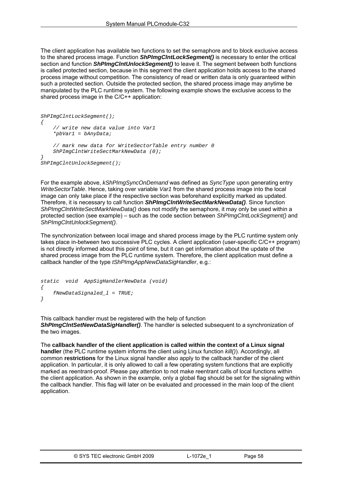The client application has available two functions to set the semaphore and to block exclusive access to the shared process image. Function *ShPImgClntLockSegment()* is necessary to enter the critical section and function *ShPImgClntUnlockSegment()* to leave it. The segment between both functions is called protected section, because in this segment the client application holds access to the shared process image without competition. The consistency of read or written data is only guaranteed within such a protected section. Outside the protected section, the shared process image may anytime be manipulated by the PLC runtime system. The following example shows the exclusive access to the shared process image in the C/C++ application:

```
ShPImgClntLockSegment(); 
{ 
     // write new data value into Var1 
     *pbVar1 = bAnyData; 
     // mark new data for WriteSectorTable entry number 0 
     ShPImgClntWriteSectMarkNewData (0); 
} 
ShPImgClntUnlockSegment();
```
For the example above, *kShPImgSyncOnDemand* was defined as *SyncType* upon generating entry *WriteSectorTable*. Hence, taking over variable *Var1* from the shared process image into the local image can only take place if the respective section was beforehand explicitly marked as updated. Therefore, it is necessary to call function *ShPImgClntWriteSectMarkNewData()*. Since function *ShPImgClntWriteSectMarkNewData()* does not modify the semaphore, it may only be used within a protected section (see example) – such as the code section between *ShPImgClntLockSegment()* and *ShPImgClntUnlockSegment()*.

The synchronization between local image and shared process image by the PLC runtime system only takes place in-between two successive PLC cycles. A client application (user-specific C/C++ program) is not directly informed about this point of time, but it can get information about the update of the shared process image from the PLC runtime system. Therefore, the client application must define a callback handler of the type *tShPImgAppNewDataSigHandler*, e.g.:

```
static void AppSigHandlerNewData (void) 
{ 
     fNewDataSignaled_l = TRUE; 
}
```
This callback handler must be registered with the help of function *ShPImgClntSetNewDataSigHandler()*. The handler is selected subsequent to a synchronization of the two images.

The **callback handler of the client application is called within the context of a Linux signal handler** (the PLC runtime system informs the client using Linux function *kill()*). Accordingly, all common **restrictions** for the Linux signal handler also apply to the callback handler of the client application. In particular, it is only allowed to call a few operating system functions that are explicitly marked as reentrant-proof. Please pay attention to not make reentrant calls of local functions within the client application. As shown in the example, only a global flag should be set for the signaling within the callback handler. This flag will later on be evaluated and processed in the main loop of the client application.

| © SYS TEC electronic GmbH 2009 | L-1072e | Page 58 |
|--------------------------------|---------|---------|
|--------------------------------|---------|---------|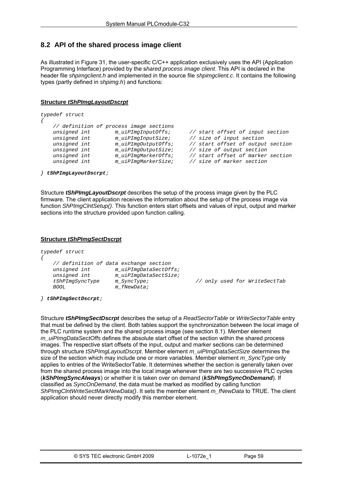# **8.2 API of the shared process image client**

As illustrated in [Figure 31,](#page-55-0) the user-specific C/C++ application exclusively uses the API (Application Programming Interface) provided by the s*hared process image client*. This API is declared in the header file *shpimgclient.h* and implemented in the source file *shpimgclient.c*. It contains the following types (partly defined in *shpimg.h*) and functions:

## **Structure** *tShPImgLayoutDscrpt*

```
typedef struct 
{ 
     // definition of process image sections 
 unsigned int m_uiPImgInputOffs; // start offset of input section 
 unsigned int m_uiPImgInputSize; // size of input section 
    unsigned int m_uiPImgInputSize; // size of input section<br>unsigned int m_uiPImgOutputOffs; // start offset of output section<br>unsigned int m_uiPImgOutputSize; // size of output section
     unsigned int m_uiPImgOutputSize; // size of output section 
     unsigned int m_uiPImgMarkerOffs; // start offset of marker section 
                                                          unsigned int m_uiPImgMarkerSize; // size of marker section
```
*} tShPImgLayoutDscrpt;* 

Structure *tShPImgLayoutDscrpt* describes the setup of the process image given by the PLC firmware. The client application receives the information about the setup of the process image via function *ShPImgClntSetup()*. This function enters start offsets and values of input, output and marker sections into the structure provided upon function calling.

#### **Structure** *tShPImgSectDscrpt*

```
typedef struct 
{ 
    // definition of data exchange section 
    unsigned int m_uiPImgDataSectOffs; 
    unsigned int m_uiPImgDataSectSize; 
    tShPImgSyncType m_SyncType; // only used for WriteSectTab 
                     m fNewData;
```
*} tShPImgSectDscrpt;* 

Structure *tShPImgSectDscrpt* describes the setup of a *ReadSectorTable* or *WriteSectorTable* entry that must be defined by the client. Both tables support the synchronization between the local image of the PLC runtime system and the shared process image (see section [8.1](#page-55-0)). Member element *m\_uiPImgDataSectOffs* defines the absolute start offset of the section within the shared process images. The respective start offsets of the input, output and marker sections can be determined through structure *tShPImgLayoutDscrpt*. Member element *m\_uiPImgDataSectSize* determines the size of the section which may include one or more variables. Member element *m\_SyncType* only applies to entries of the WriteSectorTable. It determines whether the section is generally taken over from the shared process image into the local image whenever there are two successive PLC cycles (*kShPImgSyncAlways*) or whether it is taken over on demand (*kShPImgSyncOnDemand*). If classified as *SyncOnDemand*, the data must be marked as modified by calling function *ShPImgClntWriteSectMarkNewData()*. It sets the member element *m\_fNewData* to TRUE. The client application should never directly modify this member element.

| © SYS TEC electronic GmbH 2009 | L-1072e 1 | Page 59 |
|--------------------------------|-----------|---------|
|--------------------------------|-----------|---------|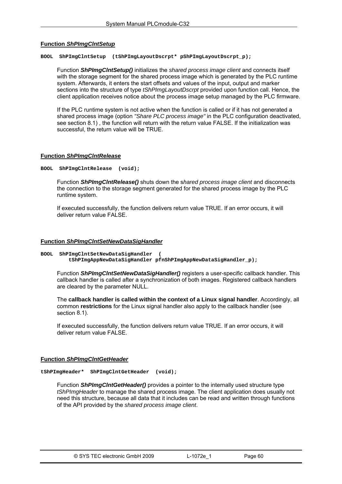## **Function** *ShPImgClntSetup*

**BOOL ShPImgClntSetup (tShPImgLayoutDscrpt\* pShPImgLayoutDscrpt\_p);** 

Function *ShPImgClntSetup()* initializes the *shared process image client* and connects itself with the storage segment for the shared process image which is generated by the PLC runtime system. Afterwards, it enters the start offsets and values of the input, output and marker sections into the structure of type *tShPImgLayoutDscrpt* provided upon function call. Hence, the client application receives notice about the process image setup managed by the PLC firmware.

If the PLC runtime system is not active when the function is called or if it has not generated a shared process image (option *"Share PLC process image"* in the PLC configuration deactivated, see section [8.1](#page-55-0)), the function will return with the return value FALSE. If the initialization was successful, the return value will be TRUE.

### **Function** *ShPImgClntRelease*

**BOOL ShPImgClntRelease (void);** 

Function *ShPImgClntRelease()* shuts down the s*hared process image client* and disconnects the connection to the storage segment generated for the shared process image by the PLC runtime system.

If executed successfully, the function delivers return value TRUE. If an error occurs, it will deliver return value FALSE.

### **Function** *ShPImgClntSetNewDataSigHandler*

```
BOOL ShPImgClntSetNewDataSigHandler ( 
          tShPImgAppNewDataSigHandler pfnShPImgAppNewDataSigHandler_p);
```
Function *ShPImgClntSetNewDataSigHandler()* registers a user-specific callback handler. This callback handler is called after a synchronization of both images. Registered callback handlers are cleared by the parameter NULL.

The **callback handler is called within the context of a Linux signal handler**. Accordingly, all common **restrictions** for the Linux signal handler also apply to the callback handler (see section [8.1\)](#page-55-0).

If executed successfully, the function delivers return value TRUE. If an error occurs, it will deliver return value FALSE.

### **Function** *ShPImgClntGetHeader*

**tShPImgHeader\* ShPImgClntGetHeader (void);** 

Function *ShPImgClntGetHeader()* provides a pointer to the internally used structure type *tShPImgHeader* to manage the shared process image. The client application does usually not need this structure, because all data that it includes can be read and written through functions of the API provided by the *shared process image client*.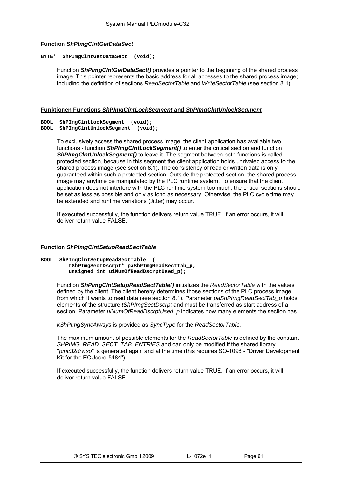## **Function** *ShPImgClntGetDataSect*

#### **BYTE\* ShPImgClntGetDataSect (void);**

Function *ShPImgClntGetDataSect()* provides a pointer to the beginning of the shared process image. This pointer represents the basic address for all accesses to the shared process image; including the definition of sections *ReadSectorTable* and *WriteSectorTable* (see section [8.1](#page-55-0)).

### **Funktionen Functions** *ShPImgClntLockSegment* **and** *ShPImgClntUnlockSegment*

**BOOL ShPImgClntLockSegment (void);** 

**BOOL ShPImgClntUnlockSegment (void);** 

To exclusively access the shared process image, the client application has available two functions - function *ShPImgClntLockSegment()* to enter the critical section and function *ShPImgClntUnlockSegment()* to leave it. The segment between both functions is called protected section, because in this segment the client application holds unrivaled access to the shared process image (see section [8.1](#page-55-0)). The consistency of read or written data is only guaranteed within such a protected section. Outside the protected section, the shared process image may anytime be manipulated by the PLC runtime system. To ensure that the client application does not interfere with the PLC runtime system too much, the critical sections should be set as less as possible and only as long as necessary. Otherwise, the PLC cycle time may be extended and runtime variations (Jitter) may occur.

If executed successfully, the function delivers return value TRUE. If an error occurs, it will deliver return value FALSE.

## **Function** *ShPImgClntSetupReadSectTable*

**BOOL ShPImgClntSetupReadSectTable ( tShPImgSectDscrpt\* paShPImgReadSectTab\_p, unsigned int uiNumOfReadDscrptUsed\_p);** 

> Function *ShPImgClntSetupReadSectTable()* initializes the *ReadSectorTable* with the values defined by the client. The client hereby determines those sections of the PLC process image from which it wants to read data (see section [8.1\)](#page-55-0). Parameter *paShPImgReadSectTab\_p* holds elements of the structure *tShPImgSectDscrpt* and must be transferred as start address of a section. Parameter *uiNumOfReadDscrptUsed\_p* indicates how many elements the section has.

*kShPImgSyncAlways* is provided as *SyncType* for the *ReadSectorTable*.

The maximum amount of possible elements for the *ReadSectorTable* is defined by the constant *SHPIMG\_READ\_SECT\_TAB\_ENTRIES* and can only be modified if the shared library "*pmc32drv.so*" is generated again and at the time (this requires SO-1098 - "Driver Development Kit for the ECUcore-5484").

If executed successfully, the function delivers return value TRUE. If an error occurs, it will deliver return value FALSE.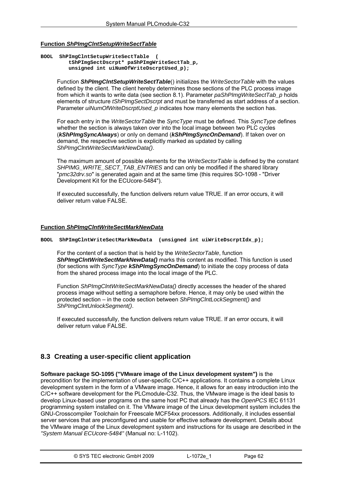## <span id="page-62-0"></span>**Function** *ShPImgClntSetupWriteSectTable*

**BOOL ShPImgClntSetupWriteSectTable ( tShPImgSectDscrpt\* paShPImgWriteSectTab\_p, unsigned int uiNumOfWriteDscrptUsed\_p);** 

> Function *ShPImgClntSetupWriteSectTable*() initializes the *WriteSectorTable* with the values defined by the client. The client hereby determines those sections of the PLC process image from which it wants to write data (see section [8.1\)](#page-55-0). Parameter *paShPImgWriteSectTab\_p* holds elements of structure *tShPImgSectDscrpt* and must be transferred as start address of a section. Parameter *uiNumOfWriteDscrptUsed\_p* indicates how many elements the section has.

For each entry in the *WriteSectorTable* the *SyncType* must be defined. This *SyncType* defines whether the section is always taken over into the local image between two PLC cycles (*kShPImgSyncAlways*) or only on demand (*kShPImgSyncOnDemand*). If taken over on demand, the respective section is explicitly marked as updated by calling *ShPImgClntWriteSectMarkNewData()*.

The maximum amount of possible elements for the *WriteSectorTable* is defined by the constant *SHPIMG\_WRITE\_SECT\_TAB\_ENTRIES* and can only be modified if the shared library "*pmc32drv.so*" is generated again and at the same time (this requires SO-1098 - "Driver Development Kit for the ECUcore-5484").

If executed successfully, the function delivers return value TRUE. If an error occurs, it will deliver return value FALSE.

### **Function** *ShPImgClntWriteSectMarkNewData*

**BOOL ShPImgClntWriteSectMarkNewData (unsigned int uiWriteDscrptIdx\_p);** 

For the content of a section that is held by the *WriteSectorTable*, function *ShPImgClntWriteSectMarkNewData()* marks this content as modified. This function is used (for sections with *SyncType kShPImgSyncOnDemand*) to initiate the copy process of data from the shared process image into the local image of the PLC.

Function *ShPImgClntWriteSectMarkNewData()* directly accesses the header of the shared process image without setting a semaphore before. Hence, it may only be used within the protected section – in the code section between *ShPImgClntLockSegment()* and *ShPImgClntUnlockSegment()*.

If executed successfully, the function delivers return value TRUE. If an error occurs, it will deliver return value FALSE.

# **8.3 Creating a user-specific client application**

**Software package SO-1095 ("VMware image of the Linux development system")** is the precondition for the implementation of user-specific C/C++ applications. It contains a complete Linux development system in the form of a VMware image. Hence, it allows for an easy introduction into the C/C++ software development for the PLCmodule-C32. Thus, the VMware image is the ideal basis to develop Linux-based user programs on the same host PC that already has the *OpenPCS* IEC 61131 programming system installed on it. The VMware image of the Linux development system includes the GNU-Crosscompiler Toolchain for Freescale MCF54xx processors. Additionally, it includes essential server services that are preconfigured and usable for effective software development. Details about the VMware image of the Linux development system and instructions for its usage are described in the *"System Manual ECUcore-5484"* (Manual no: L-1102).

| © SYS TEC electronic GmbH 2009 | ∟-1072e <sup>-</sup> | Page 62 |  |
|--------------------------------|----------------------|---------|--|
|--------------------------------|----------------------|---------|--|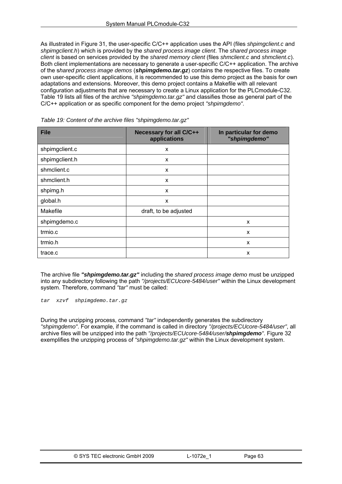<span id="page-63-0"></span>As illustrated in [Figure 31,](#page-55-0) the user-specific C/C++ application uses the API (files *shpimgclient.c* and *shpimgclient.h*) which is provided by the *shared process image client*. The *shared process image client* is based on services provided by the *shared memory client* (files *shmclient.c* and *shmclient.c*). Both client implementations are necessary to generate a user-specific C/C++ application. The archive of the s*hared process image demos* (*shpimgdemo.tar.gz*) contains the respective files. To create own user-specific client applications, it is recommended to use this demo project as the basis for own adaptations and extensions. Moreover, this demo project contains a Makefile with all relevant configuration adjustments that are necessary to create a Linux application for the PLCmodule-C32. [Table 19](#page-63-0) lists all files of the archive *"shpimgdemo.tar.gz"* and classifies those as general part of the C/C++ application or as specific component for the demo project *"shpimgdemo"*.

| <b>File</b>    | Necessary for all C/C++<br>applications | In particular for demo<br>"shpimgdemo" |
|----------------|-----------------------------------------|----------------------------------------|
| shpimgclient.c | X                                       |                                        |
| shpimgclient.h | X                                       |                                        |
| shmclient.c    | X                                       |                                        |
| shmclient.h    | X                                       |                                        |
| shpimg.h       | X                                       |                                        |
| global.h       | X                                       |                                        |
| Makefile       | draft, to be adjusted                   |                                        |
| shpimgdemo.c   |                                         | X                                      |
| trmio.c        |                                         | X                                      |
| trmio.h        |                                         | X                                      |
| trace.c        |                                         | X                                      |

*Table 19: Content of the archive files "shpimgdemo.tar.gz"* 

The archive file *"shpimgdemo.tar.gz"* including the *shared process image demo* must be unzipped into any subdirectory following the path *"/projects/ECUcore-5484/user"* within the Linux development system. Therefore, command *"tar"* must be called:

*tar xzvf shpimgdemo.tar.gz* 

During the unzipping process, command *"tar"* independently generates the subdirectory *"shpimgdemo"*. For example, if the command is called in directory *"/projects/ECUcore-5484/user"*, all archive files will be unzipped into the path *"/projects/ECUcore-5484/user/shpimgdemo"*. [Figure 32](#page-64-0) exemplifies the unzipping process of *"shpimgdemo.tar.gz"* within the Linux development system.

| © SYS TEC electronic GmbH 2009 | L-1072e | Page 63 |
|--------------------------------|---------|---------|
|                                |         |         |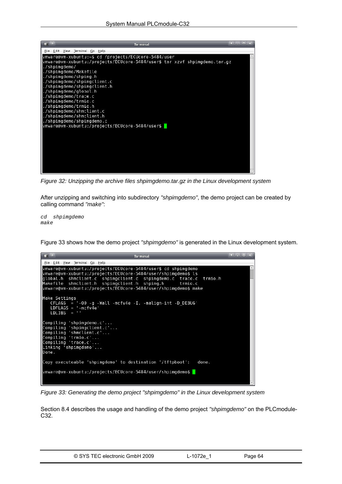<span id="page-64-0"></span>

*Figure 32: Unzipping the archive files shpimgdemo.tar.gz in the Linux development system* 

After unzipping and switching into subdirectory *"shpimgdemo"*, the demo project can be created by calling command *"make"*:

*cd shpimgdemo make* 

[Figure 33](#page-64-0) shows how the demo project *"shpimgdemo"* is generated in the Linux development system.

| $\overline{\mathbf{S}}$ $\mathbf{S}$<br><b>Terminal</b>                                                                                                                                                                                                                                                                       |  |
|-------------------------------------------------------------------------------------------------------------------------------------------------------------------------------------------------------------------------------------------------------------------------------------------------------------------------------|--|
| Fie Edit View Terminal Go Help                                                                                                                                                                                                                                                                                                |  |
| vmware@vm-xubuntu:/projects/ECUcore-5484/user\$ cd shpimgdemo<br>ymware@vm-xubuntu:/projects/ECUcore-5484/user/shpimgdemo\$ ls<br>global.h shmclient.c shpimgclient.c shpimgdemo.c trace.c trmio.h<br>Makefile shmclient.h shpimgclient.h shpimg.h trmio.c<br>vmware@vm-xubuntu:/projects/ECUcore-5484/user/shpimgdemo\$ make |  |
| Make Settings<br>$CFLAGS = -00 - q - Wall -mcfv4e - I. -malign-int -D DEBUG'$<br>$LDFLAGS = '-mcfv4e'$<br>$LDLIBS = ''$                                                                                                                                                                                                       |  |
| Compiling 'shpimgdemo.c'<br>Compiling 'shpimgclient.c'<br>Compiling 'shmclient.c'<br>Compiling 'trmio.c'<br>Compiling 'trace.c'<br>Linking 'shpimgdemo'<br>Done.                                                                                                                                                              |  |
| Copy executeable 'shpimgdemo' to destination '/tftpboot':<br>done.                                                                                                                                                                                                                                                            |  |
| vmware@vm-xubuntu:/projects/ECUcore-5484/user/shpimgdemo\$                                                                                                                                                                                                                                                                    |  |

*Figure 33: Generating the demo project "shpimgdemo" in the Linux development system* 

Section [8.4](#page-65-0) describes the usage and handling of the demo project *"shpimgdemo"* on the PLCmodule-C32.

| © SYS TEC electronic GmbH 2009 | $-1072e^{-4}$ | Page 64 |  |
|--------------------------------|---------------|---------|--|
|--------------------------------|---------------|---------|--|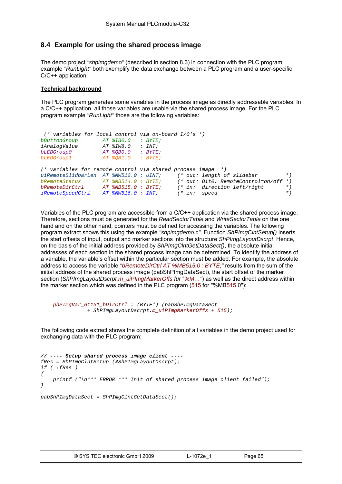# <span id="page-65-0"></span>**8.4 Example for using the shared process image**

The demo project *"shpimgdemo"* (described in section [8.3](#page-62-0)) in connection with the PLC program example *"RunLight"* both exemplify the data exchange between a PLC program and a user-specific C/C++ application.

### **Technical background**

The PLC program generates some variables in the process image as directly addressable variables. In a C/C++ application, all those variables are usable via the shared process image. For the PLC program example *"RunLight"* those are the following variables:

```
 (* variables for local control via on-board I/O's *) 
bButtonGroup AT %IB0.0 : BYTE; 
iAnalogValue<br>bLEDGroup0
bLEDGroup0 AT %QB0.0 : BYTE; 
bLEDGroup1 AT %QB1.0 : BYTE; 
(* variables for remote control via shared process image *) 
uiRemoteSlidbarLen AT %MW512.0 : UINT; (* out: length of slidebar *) 
bRemoteStatus AT *MB514.0 : BYTE; (* out: Bit0: RemoteControl=on/off *)<br>
bRemoteDirCtrl AT *MB515.0 : BYTE; (* in: direction left/right *)<br>
iRemoteSpeedCtrl AT *MW516.0 : INT; (* in: speed *)
bRemoteDirCtrl AT %MB515.0 : BYTE; (* in: direction left/right *) 
iRemoteSpeedCtrl AT %MW516.0 : INT; (* in: speed *)
```
Variables of the PLC program are accessible from a C/C++ application via the shared process image. Therefore, sections must be generated for the *ReadSectorTable* and *WriteSectorTable* on the one hand and on the other hand, pointers must be defined for accessing the variables. The following program extract shows this using the example *"shpimgdemo.c"*. Function *ShPImgClntSetup()* inserts the start offsets of input, output and marker sections into the structure *ShPImgLayoutDscrpt*. Hence, on the basis of the initial address provided by *ShPImgClntGetDataSect()*, the absolute initial addresses of each section in the shared process image can be determined. To identify the address of a variable, the variable's offset within the particular section must be added. For example, the absolute address to access the variable *"bRemoteDirCtrl AT %MB515.0 : BYTE;"* results from the sum of the initial address of the shared process image (pabShPImgDataSect), the start offset of the marker section (*ShPImgLayoutDscrpt.m\_uiPImgMarkerOffs für* "*%M…"*) as well as the direct address within the marker section which was defined in the PLC program (515 for "%MB515.0"):

```
 pbPImgVar_61131_bDirCtrl = (BYTE*) (pabShPImgDataSect 
            + ShPImgLayoutDscrpt.m_uiPImgMarkerOffs + 515);
```
The following code extract shows the complete definition of all variables in the demo project used for exchanging data with the PLC program:

```
// ---- Setup shared process image client ---- 
fRes = ShPImgClntSetup (&ShPImgLayoutDscrpt); 
if ( !fRes ) 
{ 
     printf ("\n*** ERROR *** Init of shared process image client failed"); 
} 
pabShPImgDataSect = ShPImgClntGetDataSect();
```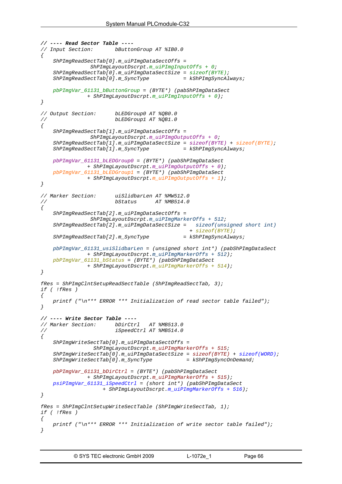```
// ---- Read Sector Table ---- 
// Input Section: bButtonGroup AT %IB0.0 
{ 
     ShPImgReadSectTab[0].m_uiPImgDataSectOffs = 
                ShPImgLayoutDscrpt.m_uiPImgInputOffs + 0; 
     ShPImgReadSectTab[0].m_uiPImgDataSectSize = sizeof(BYTE); 
     ShPImgReadSectTab[0].m_SyncType = kShPImgSyncAlways; 
     pbPImgVar_61131_bButtonGroup = (BYTE*) (pabShPImgDataSect 
               + ShPImgLayoutDscrpt.m_uiPImgInputOffs + 0); 
} 
// Output Section: bLEDGroup0 AT %QB0.0 
// bLEDGroup1 AT %QB1.0 
{ 
     ShPImgReadSectTab[1].m_uiPImgDataSectOffs = 
                ShPImgLayoutDscrpt.m_uiPImgOutputOffs + 0; 
     ShPImgReadSectTab[1].m_uiPImgDataSectSize = sizeof(BYTE) + sizeof(BYTE); 
    ShPImageadSectTab[1].m_SyncType
     pbPImgVar_61131_bLEDGroup0 = (BYTE*) (pabShPImgDataSect 
                + ShPImgLayoutDscrpt.m_uiPImgOutputOffs + 0); 
     pbPImgVar_61131_bLEDGroup1 = (BYTE*) (pabShPImgDataSect 
               + ShPImgLayoutDscrpt.m_uiPImgOutputOffs + 1); 
} 
// Marker Section: uiSlidbarLen AT %MW512.0 
// bStatus AT %MB514.0 
{ 
     ShPImgReadSectTab[2].m_uiPImgDataSectOffs = 
                ShPImgLayoutDscrpt.m_uiPImgMarkerOffs + 512; 
     ShPImgReadSectTab[2].m_uiPImgDataSectSize = sizeof(unsigned short int)
                                                + sizeof(BYTE); 
     ShPImgReadSectTab[2].m_SyncType = kShPImgSyncAlways; 
     pbPImgVar_61131_usiSlidbarLen = (unsigned short int*) (pabShPImgDataSect 
                + ShPImgLayoutDscrpt.m_uiPImgMarkerOffs + 512); 
     pbPImgVar_61131_bStatus = (BYTE*) (pabShPImgDataSect 
               + ShPImgLayoutDscrpt.m_uiPImgMarkerOffs + 514); 
} 
fRes = ShPImgClntSetupReadSectTable (ShPImgReadSectTab, 3); 
if ( !fRes ) 
{ 
    printf ("\n*** ERROR *** Initialization of read sector table failed"); 
} 
// ---- Write Sector Table ---- 
// Marker Section: bDirCtrl AT %MB513.0 
// iSpeedCtrl AT %MB514.0 
{ 
     ShPImgWriteSectTab[0].m_uiPImgDataSectOffs = 
                 ShPImgLayoutDscrpt.m_uiPImgMarkerOffs + 515; 
     ShPImgWriteSectTab[0].m_uiPImgDataSectSize = sizeof(BYTE) + sizeof(WORD); 
    ShPImgWriteSectTab[0].m_SyncType = kShPImgSyncOnDemand; 
     pbPImgVar_61131_bDirCtrl = (BYTE*) (pabShPImgDataSect 
                + ShPImgLayoutDscrpt.m_uiPImgMarkerOffs + 515); 
     psiPImgVar_61131_iSpeedCtrl = (short int*) (pabShPImgDataSect 
                     + ShPImgLayoutDscrpt.m_uiPImgMarkerOffs + 516); 
} 
fRes = ShPImgClntSetupWriteSectTable (ShPImgWriteSectTab, 1); 
if ( !fRes ) 
{ 
     printf ("\n*** ERROR *** Initialization of write sector table failed"); 
}
```
© SYS TEC electronic GmbH 2009 L-1072e\_1 Page 66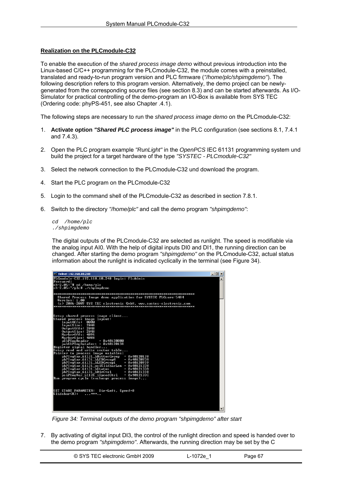## <span id="page-67-0"></span>**Realization on the PLCmodule-C32**

To enable the execution of the *shared process image demo* without previous introduction into the Linux-based C/C++ programming for the PLCmodule-C32, the module comes with a preinstalled, translated and ready-to-run program version and PLC firmware (*"/home/plc/shpimgdemo"*). The following description refers to this program version. Alternatively, the demo project can be newlygenerated from the corresponding source files (see section [8.3](#page-62-0)) and can be started afterwards. As I/O-Simulator for practical controlling of the demo-program an I/O-Box is available from SYS TEC (Ordering code: phyPS-451, see also Chapter .4.1).

The following steps are necessary to run the *shared process image demo* on the PLCmodule-C32:

- 1. **Activate option** *"Shared PLC process image"* in the PLC configuration (see sections [8.1,](#page-55-0) [7.4.1](#page-36-0) and [7.4.3\)](#page-39-0).
- 2. Open the PLC program example *"RunLight"* in the *OpenPCS* IEC 61131 programming system und build the project for a target hardware of the type *"SYSTEC - PLCmodule-C32"*
- 3. Select the network connection to the PLCmodule-C32 und download the program.
- 4. Start the PLC program on the PLCmodule-C32
- 5. Login to the command shell of the PLCmodule-C32 as described in section [7.8.1](#page-44-0).
- 6. Switch to the directory *"/home/plc"* and call the demo program *"shpimgdemo"*:

*cd /home/plc ./shpimgdemo* 

The digital outputs of the PLCmodule-C32 are selected as runlight. The speed is modifiable via the analog input AI0. With the help of digital inputs DI0 and DI1, the running direction can be changed. After starting the demo program *"shpimgdemo"* on the PLCmodule-C32, actual status information about the runlight is indicated cyclically in the terminal (see [Figure 34](#page-67-0)).

| <sup>ox</sup> Telnet 192.168.10.248                                                                                                                                                                                                                                                                                                                                                                                                                                                 | $ \Box$ $\times$ |
|-------------------------------------------------------------------------------------------------------------------------------------------------------------------------------------------------------------------------------------------------------------------------------------------------------------------------------------------------------------------------------------------------------------------------------------------------------------------------------------|------------------|
| PLCmodule-C32_192.168.10.248 login: PlcAdmin<br>Password:<br>sh-2.05:~# cd /home/plc<br>sh-2.05:~/plc# ./shpimgdemo                                                                                                                                                                                                                                                                                                                                                                 |                  |
| Shared Process Image demo application for SYSTEC PLCcore-5484<br>Version: 1.00<br>(c) 2006-2009 SYS TEC electronic GmbH, www.systec-electronic.com                                                                                                                                                                                                                                                                                                                                  |                  |
|                                                                                                                                                                                                                                                                                                                                                                                                                                                                                     |                  |
| Setup shared process image client<br>Shared process image layout:<br>InputOffs:<br>คคคค<br>InputSize: 2048<br>OutputOffs: 2048<br>OutputSize: 2048<br>MarkerOffs: 4096<br>MarkerSize: 4088<br>pShPImgHeader<br>$= 0 \times 40120000$<br>$pabShPI$ mgDataSect = $0 \times 40120138$                                                                                                                                                                                                  |                  |
| Register signal handler<br>Setup read and write sector table<br>Pointer to process image vaiables:<br>pbPImgVar 61131 bButtonGroup<br>$= 0 \times 40120138$<br>pbPImgUar_61131_bLEDGroup0<br>$= 0 \times 40120938$<br>pbPImgUar_61131_bLEDGroup1<br>$= 0 \times 40120939$<br>pbPImgUar_61131_usiSlidbarLen = 0x40121338<br>pbPImgUar_61131_bStatus<br><b>= 0×4012133A</b><br>pbPImgUar_61131_bDirCtrl<br>$= 0 \times 4012133B$<br>$psiPImgVar_61131_iSpeedCtr1 = 0 \times 4012133C$ |                  |
| Run program cycle (exchange process image)                                                                                                                                                                                                                                                                                                                                                                                                                                          |                  |
| SET START PARAMETER: Dir=Left, Speed=0<br>Slidebar(8): <del>***</del>                                                                                                                                                                                                                                                                                                                                                                                                               |                  |

*Figure 34: Terminal outputs of the demo program "shpimgdemo" after start* 

7. By activating of digital input DI3, the control of the runlight direction and speed is handed over to the demo program *"shpimgdemo"*. Afterwards, the running direction may be set by the C

| © SYS TEC electronic GmbH 2009 | L-1072e 1 | Page 67 |  |
|--------------------------------|-----------|---------|--|
|--------------------------------|-----------|---------|--|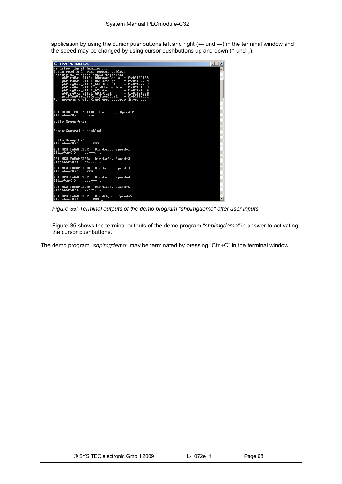<span id="page-68-0"></span>application by using the cursor pushbuttons left and right ( $\leftarrow$  und  $\rightarrow$ ) in the terminal window and the speed may be changed by using cursor pushbuttons up and down (↑ und ↓).

| CX Telnet 192.168.10.248                                                                                                                                                                                                                                                                                                                                                                                           | $ \Box$ $\times$ |
|--------------------------------------------------------------------------------------------------------------------------------------------------------------------------------------------------------------------------------------------------------------------------------------------------------------------------------------------------------------------------------------------------------------------|------------------|
| Register signal handler<br>Setup read and write sector table<br>Pointer to process image vaiables:                                                                                                                                                                                                                                                                                                                 | $\blacktriangle$ |
| pbPImgVar_61131_bButtonGroup<br>$= 0 \times 40120138$<br>pbPImgUar 61131 bLEDGroup0<br>$= 0x40120938$<br>pbPImgVar_61131_bLEDGroup1<br>$= 0 \times 40120939$<br>$pbPIngVar_61131$ _usiSlidbarLen = $0 \times 40121338$<br>pbPImgUar 61131 bStatus<br>= И×4И12133А<br>pbPImgUar_61131_bDirCtrl<br>$= 0 \times 4012133B$<br>$psiPImgVar_61131_iSpeedCtr1 = 0x4012133C$<br>Run program cycle (exchange process image) |                  |
| SET START PARAMETER: Dir=Left, Speed=0<br>Slidebar(8): ***                                                                                                                                                                                                                                                                                                                                                         |                  |
| ButtonGroup=0x08                                                                                                                                                                                                                                                                                                                                                                                                   |                  |
| RemoteControl = enabled                                                                                                                                                                                                                                                                                                                                                                                            |                  |
| ButtonGroup=0x00<br>Slidebar(8): ***.                                                                                                                                                                                                                                                                                                                                                                              |                  |
| SET NEW PARAMETER: Dir=Left, Speed=1<br>Slidebar(8): <del>***</del>                                                                                                                                                                                                                                                                                                                                                |                  |
| SET NEW PARAMETER: Dir=Left, Speed=2<br>Slidebar(8):<br>$***$                                                                                                                                                                                                                                                                                                                                                      |                  |
| SET NEW PARAMETER: Dir=Left. Speed=3<br>Slidebar(8): .***                                                                                                                                                                                                                                                                                                                                                          |                  |
| SET NEW PARAMETER: Dir=Left, Speed=4<br>Slidebar(8): ***                                                                                                                                                                                                                                                                                                                                                           |                  |
| SET NEW PARAMETER: Dir=Left, Speed=5<br>Slidebar(8): <del>***</del>                                                                                                                                                                                                                                                                                                                                                |                  |
| SET NEW PARAMETER: Dir=Right, Speed=5<br>Slidebar(8): ***._                                                                                                                                                                                                                                                                                                                                                        |                  |

*Figure 35: Terminal outputs of the demo program "shpimgdemo" after user inputs* 

[Figure 35](#page-68-0) shows the terminal outputs of the demo program *"shpimgdemo"* in answer to activating the cursor pushbuttons.

The demo program *"shpimgdemo"* may be terminated by pressing "Ctrl+C" in the terminal window.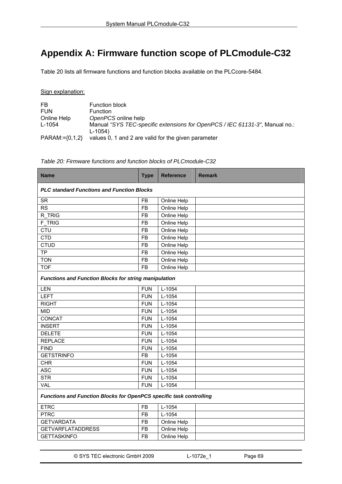# <span id="page-69-0"></span>**Appendix A: Firmware function scope of PLCmodule-C32**

[Table 20](#page-69-0) lists all firmware functions and function blocks available on the PLCcore-5484.

Sign explanation:

| FB                 | <b>Function block</b>                                                       |
|--------------------|-----------------------------------------------------------------------------|
| <b>FUN</b>         | <b>Function</b>                                                             |
| Online Help        | OpenPCS online help                                                         |
| L-1054             | Manual "SYS TEC-specific extensions for OpenPCS / IEC 61131-3", Manual no.: |
|                    | $L - 1054$                                                                  |
| $PARAM:=\{0,1,2\}$ | values 0, 1 and 2 are valid for the given parameter                         |

*Table 20: Firmware functions and function blocks of PLCmodule-C32* 

| <b>Name</b>                                                         | <b>Type</b> | <b>Reference</b> | <b>Remark</b> |  |
|---------------------------------------------------------------------|-------------|------------------|---------------|--|
| <b>PLC standard Functions and Function Blocks</b>                   |             |                  |               |  |
| <b>SR</b>                                                           | <b>FB</b>   | Online Help      |               |  |
| <b>RS</b>                                                           | <b>FB</b>   | Online Help      |               |  |
| R TRIG                                                              | <b>FB</b>   | Online Help      |               |  |
| F TRIG                                                              | <b>FB</b>   | Online Help      |               |  |
| <b>CTU</b>                                                          | FB          | Online Help      |               |  |
| <b>CTD</b>                                                          | <b>FB</b>   | Online Help      |               |  |
| <b>CTUD</b>                                                         | <b>FB</b>   | Online Help      |               |  |
| <b>TP</b>                                                           | <b>FB</b>   | Online Help      |               |  |
| <b>TON</b>                                                          | <b>FB</b>   | Online Help      |               |  |
| <b>TOF</b>                                                          | <b>FB</b>   | Online Help      |               |  |
| <b>Functions and Function Blocks for string manipulation</b>        |             |                  |               |  |
| LEN                                                                 | <b>FUN</b>  | L-1054           |               |  |
| <b>LEFT</b>                                                         | <b>FUN</b>  | L-1054           |               |  |
| <b>RIGHT</b>                                                        | <b>FUN</b>  | L-1054           |               |  |
| <b>MID</b>                                                          | <b>FUN</b>  | L-1054           |               |  |
| CONCAT                                                              | <b>FUN</b>  | L-1054           |               |  |
| <b>INSERT</b>                                                       | <b>FUN</b>  | L-1054           |               |  |
| <b>DELETE</b>                                                       | <b>FUN</b>  | L-1054           |               |  |
| <b>REPLACE</b>                                                      | <b>FUN</b>  | L-1054           |               |  |
| <b>FIND</b>                                                         | <b>FUN</b>  | L-1054           |               |  |
| <b>GETSTRINFO</b>                                                   | <b>FB</b>   | L-1054           |               |  |
| <b>CHR</b>                                                          | <b>FUN</b>  | $L-1054$         |               |  |
| <b>ASC</b>                                                          | <b>FUN</b>  | $L-1054$         |               |  |
| <b>STR</b>                                                          | <b>FUN</b>  | L-1054           |               |  |
| <b>VAL</b>                                                          | <b>FUN</b>  | L-1054           |               |  |
| Functions and Function Blocks for OpenPCS specific task controlling |             |                  |               |  |
| <b>ETRC</b>                                                         | <b>FB</b>   | L-1054           |               |  |
| <b>PTRC</b>                                                         | <b>FB</b>   | $L-1054$         |               |  |
| <b>GETVARDATA</b>                                                   | <b>FB</b>   | Online Help      |               |  |
| <b>GETVARFLATADDRESS</b>                                            | <b>FB</b>   | Online Help      |               |  |
| <b>GETTASKINFO</b>                                                  | <b>FB</b>   | Online Help      |               |  |
|                                                                     |             |                  |               |  |

© SYS TEC electronic GmbH 2009 L-1072e\_1 Page 69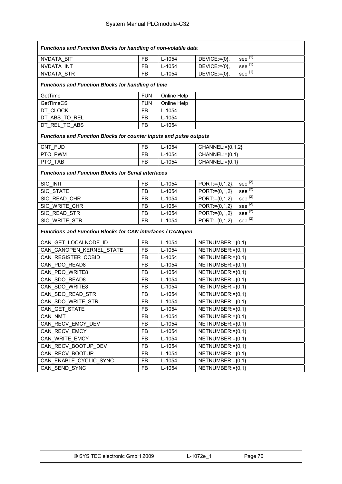| <b>Functions and Function Blocks for handling of non-volatile data</b> |            |             |                                                |  |
|------------------------------------------------------------------------|------------|-------------|------------------------------------------------|--|
| NVDATA BIT                                                             | <b>FB</b>  | L-1054      | see $\overline{^{(1)}}$<br>$DEVICE:=$ $\{0\},$ |  |
| NVDATA INT                                                             | <b>FB</b>  | $L-1054$    | see $\overline{^{(1)}}$<br>DEVICE:={0},        |  |
| <b>NVDATA STR</b>                                                      | <b>FB</b>  | L-1054      | see $(1)$<br>$DEVICE:=\{0\},$                  |  |
| <b>Functions and Function Blocks for handling of time</b>              |            |             |                                                |  |
| GetTime                                                                | <b>FUN</b> | Online Help |                                                |  |
| <b>GetTimeCS</b>                                                       | <b>FUN</b> | Online Help |                                                |  |
| DT CLOCK                                                               | <b>FB</b>  | $L-1054$    |                                                |  |
| DT_ABS_TO_REL                                                          | <b>FB</b>  | $L-1054$    |                                                |  |
| DT REL TO ABS                                                          | <b>FB</b>  | $L-1054$    |                                                |  |
| Functions and Function Blocks for counter inputs and pulse outputs     |            |             |                                                |  |
| CNT FUD                                                                | <b>FB</b>  | L-1054      | CHANNEL:={0,1,2}                               |  |
| PTO PWM                                                                | <b>FB</b>  | L-1054      | CHANNEL:={0,1}                                 |  |
| PTO TAB                                                                | FB         | $L-1054$    | CHANNEL:={0,1}                                 |  |
| <b>Functions and Function Blocks for Serial interfaces</b>             |            |             |                                                |  |
| SIO INIT                                                               | <b>FB</b>  | $L-1054$    | see $\overline{^{(2)}}$<br>$PORT:= {0, 1, 2},$ |  |
| SIO STATE                                                              | <b>FB</b>  | $L-1054$    | see $\sqrt{(2)}$<br>PORT:={0,1,2}              |  |
| SIO READ CHR                                                           | <b>FB</b>  | $L-1054$    | see $(2)$<br>PORT:={0,1,2}                     |  |
| SIO_WRITE_CHR                                                          | <b>FB</b>  | L-1054      | see $(2)$<br>PORT:={0,1,2}                     |  |
| SIO_READ_STR                                                           | FB         | L-1054      | see $^{(2)}$<br>$PORT:= {0, 1, 2}$             |  |
| SIO WRITE STR                                                          | <b>FB</b>  | $L-1054$    | see $\overline{^{(2)}}$<br>$PORT:= {0, 1, 2}$  |  |
| Functions and Function Blocks for CAN interfaces / CANopen             |            |             |                                                |  |
| CAN_GET_LOCALNODE_ID                                                   | <b>FB</b>  | L-1054      | NETNUMBER:={0,1}                               |  |
| CAN CANOPEN KERNEL STATE                                               | <b>FB</b>  | $L-1054$    | NETNUMBER:={0,1}                               |  |
| CAN_REGISTER_COBID                                                     | <b>FB</b>  | L-1054      | NETNUMBER:={0,1}                               |  |
| CAN PDO READ8                                                          | <b>FB</b>  | L-1054      | NETNUMBER:={0,1}                               |  |
| CAN PDO WRITE8                                                         | <b>FB</b>  | L-1054      | NETNUMBER:={0,1}                               |  |
| CAN SDO READ8                                                          | <b>FB</b>  | $L-1054$    | NETNUMBER:={0,1}                               |  |
| CAN SDO WRITE8                                                         | <b>FB</b>  | L-1054      | NETNUMBER:={0,1}                               |  |
| CAN SDO READ STR                                                       | <b>FB</b>  | L-1054      | NETNUMBER:={0,1}                               |  |
| CAN_SDO_WRITE_STR                                                      | FB         | $L-1054$    | NETNUMBER:={0,1}                               |  |
| CAN_GET_STATE                                                          | FB         | L-1054      | NETNUMBER:={0,1}                               |  |
| CAN NMT                                                                | <b>FB</b>  | L-1054      | NETNUMBER:={0,1}                               |  |
| CAN_RECV_EMCY_DEV                                                      | FB         | L-1054      | $NETNUMBER:=\{0,1\}$                           |  |
| CAN RECV EMCY                                                          | FB         | L-1054      | $NETNUMBER:=\{0,1\}$                           |  |
| CAN WRITE EMCY                                                         | FB         | $L-1054$    | NETNUMBER:={0,1}                               |  |
| CAN_RECV_BOOTUP_DEV                                                    | FB         | L-1054      | NETNUMBER:={0,1}                               |  |
| CAN RECV BOOTUP                                                        | FB         | L-1054      | NETNUMBER:={0,1}                               |  |
| CAN_ENABLE_CYCLIC_SYNC                                                 | FB         | L-1054      | NETNUMBER:={0,1}                               |  |
| CAN SEND SYNC                                                          | FB         | L-1054      | NETNUMBER:={0,1}                               |  |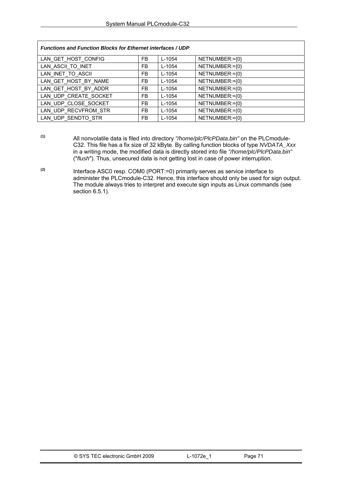| <b>Functions and Function Blocks for Ethernet interfaces / UDP</b> |     |            |                |  |
|--------------------------------------------------------------------|-----|------------|----------------|--|
| LAN GET HOST CONFIG                                                | FB. | L-1054     | NETNUMBER:={0} |  |
| LAN ASCII TO INET                                                  | FB. | $L - 1054$ | NETNUMBER:={0} |  |
| LAN INET TO ASCII                                                  | FB. | $L - 1054$ | NETNUMBER:={0} |  |
| LAN GET HOST BY NAME                                               | FB. | $L-1054$   | NETNUMBER:={0} |  |
| LAN_GET_HOST_BY_ADDR                                               | FB. | $L-1054$   | NETNUMBER:={0} |  |
| LAN UDP CREATE SOCKET                                              | FB. | $L - 1054$ | NETNUMBER:={0} |  |
| LAN UDP CLOSE SOCKET                                               | FB. | $L - 1054$ | NETNUMBER:={0} |  |
| LAN UDP RECVFROM STR                                               | FB. | $L - 1054$ | NETNUMBER:={0} |  |
| LAN UDP SENDTO STR                                                 | FB. | $L-1054$   | NETNUMBER:={0} |  |

- **(1)** All nonvolatile data is filed into directory *"/home/plc/PlcPData.bin"* on the PLCmodule-C32. This file has a fix size of 32 kByte. By calling function blocks of type *NVDATA\_Xxx* in a writing mode, the modified data is directly stored into file *"/home/plc/PlcPData.bin"* ("*flush*"). Thus, unsecured data is not getting lost in case of power interruption.
- **(2)** Interface ASC0 resp. COM0 (PORT:=0) primarily serves as service interface to administer the PLCmodule-C32. Hence, this interface should only be used for sign output. The module always tries to interpret and execute sign inputs as Linux commands (see section [6.5.1](#page-23-0)).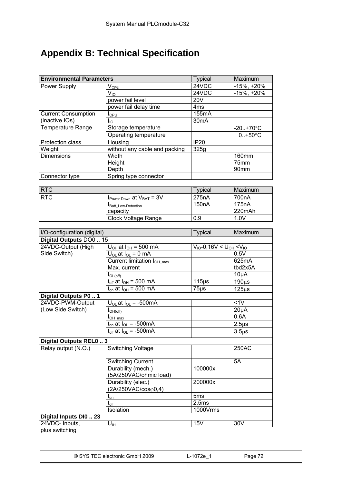# **Appendix B: Technical Specification**

| <b>Environmental Parameters</b> |                               | <b>Typical</b>    | Maximum              |
|---------------------------------|-------------------------------|-------------------|----------------------|
| Power Supply                    | $\mathsf{V}_{\mathsf{CPU}}$   | 24VDC             | $-15\%$ , $+20\%$    |
|                                 | $V_{10}$                      | 24VDC             | $-15\%$ , $+20\%$    |
|                                 | power fail level              | 20 <sub>V</sub>   |                      |
|                                 | power fail delay time         | 4 <sub>ms</sub>   |                      |
| <b>Current Consumption</b>      | I <sub>CPU</sub>              | 155mA             |                      |
| (inactive IOs)                  | <b>I</b> IO                   | 30 <sub>m</sub> A |                      |
| <b>Temperature Range</b>        | Storage temperature           |                   | $-20. + 70^{\circ}C$ |
|                                 | Operating temperature         |                   | $0.+50^{\circ}$ C    |
| Protection class                | Housing                       | <b>IP20</b>       |                      |
| Weight                          | without any cable and packing | 325g              |                      |
| <b>Dimensions</b>               | Width                         |                   | 160mm                |
|                                 | Height                        |                   | 75 <sub>mm</sub>     |
|                                 | Depth                         |                   | 90 <sub>mm</sub>     |
| Connector type                  | Spring type connector         |                   |                      |

| <b>RTC</b> |                                                  | Typical            | Maximum |
|------------|--------------------------------------------------|--------------------|---------|
| <b>RTC</b> | $V_{\text{Power Down}}$ at $V_{\text{BAT}} = 3V$ | 275 <sub>n</sub> A | 700nA   |
|            | Batt Low-Detection                               | 150 <sub>n</sub> A | 175nA   |
|            | capacity                                         |                    | 220mAh  |
|            | Clock Voltage Range                              | 0.9                | 1.0V    |

| I/O-configuration (digital)      |                                        | <b>Typical</b>                     | Maximum    |
|----------------------------------|----------------------------------------|------------------------------------|------------|
| Digital Outputs DO0  15          |                                        |                                    |            |
| 24VDC-Output (High               | $U_{OH}$ at $I_{OH}$ = 500 mA          | $V_{10} - 0,16V < U_{OH} < V_{10}$ |            |
| Side Switch)                     | $U_{OL}$ at $I_{OL}$ = 0 mA            |                                    | 0.5V       |
|                                  | Current limitation I <sub>OH max</sub> |                                    | 625mA      |
|                                  | Max. current                           |                                    | tbd2x5A    |
|                                  | $I_{OL(off)}$                          |                                    | $10\mu A$  |
|                                  | $t_{off}$ at $I_{OH}$ = 500 mA         | $115\mu s$                         | $190\mu s$ |
|                                  | $t_{on}$ at $I_{OH}$ = 500 mA          | $75\mus$                           | $125\mus$  |
| Digital Outputs P0  1            |                                        |                                    |            |
| 24VDC-PWM-Output                 | $U_{OL}$ at $I_{OL}$ = -500mA          |                                    | $<1$ V     |
| (Low Side Switch)                | $I_{OH(off)}$                          |                                    | $20\mu A$  |
|                                  | I <sub>OH max</sub>                    |                                    | 0.6A       |
|                                  | $t_{on}$ at $I_{OL}$ = -500mA          |                                    | $2.5\mus$  |
|                                  | $t_{off}$ at $I_{OL}$ = -500mA         |                                    | $3.5\mus$  |
| Digital Outputs REL0  3          |                                        |                                    |            |
| Relay output (N.O.)              | <b>Switching Voltage</b>               |                                    | 250AC      |
|                                  | <b>Switching Current</b>               |                                    | 5A         |
|                                  | Durability (mech.)                     | 100000x                            |            |
|                                  | (5A/250VAC/ohmic load)                 |                                    |            |
|                                  | Durability (elec.)                     | 200000x                            |            |
|                                  | $(2A/250VAC/cos\varphi 0,4)$           |                                    |            |
|                                  | $t_{\text{on}}$                        | 5 <sub>ms</sub>                    |            |
|                                  | $\rm t_{off}$                          | 2.5ms                              |            |
|                                  | Isolation                              | 1000Vrms                           |            |
| Digital Inputs DI0  23           |                                        |                                    |            |
| 24VDC- Inputs,<br>pluo ovitobina | $U_{\text{IH}}$                        | 15V                                | 30V        |

plus switching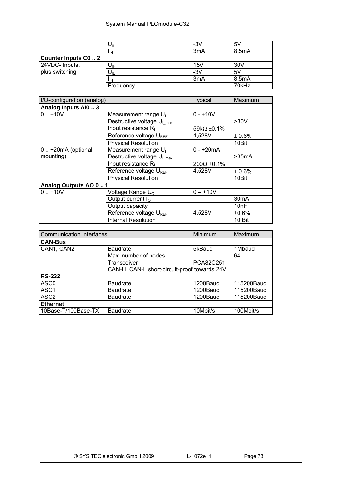|                           | ∪⊪              | $-3V$ | 5 <sub>V</sub> |
|---------------------------|-----------------|-------|----------------|
|                           | ЧH              | 3mA   | 8,5mA          |
| <b>Counter Inputs C02</b> |                 |       |                |
| 24VDC- Inputs,            | $U_{\text{IH}}$ | 15V   | 30V            |
| plus switching            | υ⊪              | $-3V$ | 5V             |
|                           | IJн             | 3mA   | 8,5mA          |
|                           | Frequency       |       | 70kHz          |

| I/O-configuration (analog) |                                        | <b>Typical</b>        | Maximum           |
|----------------------------|----------------------------------------|-----------------------|-------------------|
| Analog Inputs Al0  3       |                                        |                       |                   |
| $0.1 + 10V$                | Measurement range U <sub>I</sub>       | $0 - +10V$            |                   |
|                            | Destructive voltage U <sub>I max</sub> |                       | >30V              |
|                            | Input resistance $R1$                  | 59k $\Omega$ ±0.1%    |                   |
|                            | Reference voltage UREF                 | 4,528V                | $\pm 0.6\%$       |
|                            | <b>Physical Resolution</b>             |                       | 10Bit             |
| 0  +20mA (optional         | Measurement range U <sub>I</sub>       | $0 - +20mA$           |                   |
| mounting)                  | Destructive voltage U <sub>I max</sub> |                       | >35mA             |
|                            | Input resistance $R1$                  | $200\Omega \pm 0.1\%$ |                   |
|                            | Reference voltage UREF                 | 4,528V                | $\pm 0.6\%$       |
|                            | <b>Physical Resolution</b>             |                       | 10Bit             |
| Analog Outputs AO 0  1     |                                        |                       |                   |
| $0.1 + 10V$                | Voltage Range U <sub>o</sub>           | $0 - +10V$            |                   |
|                            | Output current $I_{\Omega}$            |                       | 30 <sub>m</sub> A |
|                            | Output capacity                        |                       | 10nF              |
|                            | Reference voltage UREF                 | 4.528V                | ±0,6%             |
|                            | <b>Internal Resolution</b>             |                       | 10 Bit            |

| <b>Communication Interfaces</b>              |                      | Minimum   | Maximum    |
|----------------------------------------------|----------------------|-----------|------------|
| <b>CAN-Bus</b>                               |                      |           |            |
| CAN1, CAN2                                   | <b>Baudrate</b>      | 5kBaud    | 1Mbaud     |
|                                              | Max. number of nodes |           | 64         |
|                                              | Transceiver          | PCA82C251 |            |
| CAN-H, CAN-L short-circuit-proof towards 24V |                      |           |            |
| <b>RS-232</b>                                |                      |           |            |
| ASC <sub>0</sub>                             | <b>Baudrate</b>      | 1200Baud  | 115200Baud |
| ASC <sub>1</sub>                             | <b>Baudrate</b>      | 1200Baud  | 115200Baud |
| ASC <sub>2</sub>                             | <b>Baudrate</b>      | 1200Baud  | 115200Baud |
| <b>Ethernet</b>                              |                      |           |            |
| 10Base-T/100Base-TX                          | <b>Baudrate</b>      | 10Mbit/s  | 100Mbit/s  |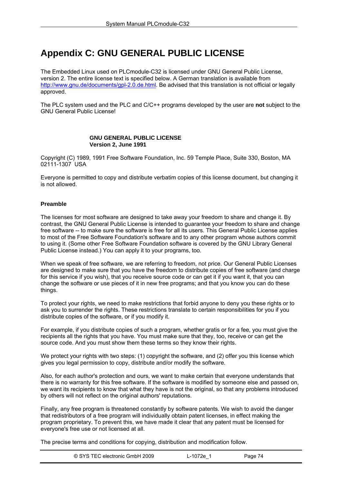# **Appendix C: GNU GENERAL PUBLIC LICENSE**

The Embedded Linux used on PLCmodule-C32 is licensed under GNU General Public License, version 2. The entire license text is specified below. A German translation is available from [http://www.gnu.de/documents/gpl-2.0.de.html.](http://www.gnu.de/documents/gpl-2.0.de.html) Be advised that this translation is not official or legally approved.

The PLC system used and the PLC and C/C++ programs developed by the user are **not** subject to the GNU General Public License!

#### **GNU GENERAL PUBLIC LICENSE Version 2, June 1991**

Copyright (C) 1989, 1991 Free Software Foundation, Inc. 59 Temple Place, Suite 330, Boston, MA 02111-1307 USA

Everyone is permitted to copy and distribute verbatim copies of this license document, but changing it is not allowed.

#### **Preamble**

The licenses for most software are designed to take away your freedom to share and change it. By contrast, the GNU General Public License is intended to guarantee your freedom to share and change free software -- to make sure the software is free for all its users. This General Public License applies to most of the Free Software Foundation's software and to any other program whose authors commit to using it. (Some other Free Software Foundation software is covered by the GNU Library General Public License instead.) You can apply it to your programs, too.

When we speak of free software, we are referring to freedom, not price. Our General Public Licenses are designed to make sure that you have the freedom to distribute copies of free software (and charge for this service if you wish), that you receive source code or can get it if you want it, that you can change the software or use pieces of it in new free programs; and that you know you can do these things.

To protect your rights, we need to make restrictions that forbid anyone to deny you these rights or to ask you to surrender the rights. These restrictions translate to certain responsibilities for you if you distribute copies of the software, or if you modify it.

For example, if you distribute copies of such a program, whether gratis or for a fee, you must give the recipients all the rights that you have. You must make sure that they, too, receive or can get the source code. And you must show them these terms so they know their rights.

We protect your rights with two steps: (1) copyright the software, and (2) offer you this license which gives you legal permission to copy, distribute and/or modify the software.

Also, for each author's protection and ours, we want to make certain that everyone understands that there is no warranty for this free software. If the software is modified by someone else and passed on, we want its recipients to know that what they have is not the original, so that any problems introduced by others will not reflect on the original authors' reputations.

Finally, any free program is threatened constantly by software patents. We wish to avoid the danger that redistributors of a free program will individually obtain patent licenses, in effect making the program proprietary. To prevent this, we have made it clear that any patent must be licensed for everyone's free use or not licensed at all.

The precise terms and conditions for copying, distribution and modification follow.

| © SYS TEC electronic GmbH 2009 | ∟-1072e ∶ | Page 74 |  |
|--------------------------------|-----------|---------|--|
|--------------------------------|-----------|---------|--|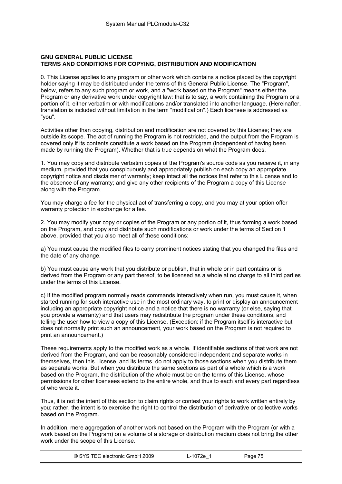#### **GNU GENERAL PUBLIC LICENSE TERMS AND CONDITIONS FOR COPYING, DISTRIBUTION AND MODIFICATION**

0. This License applies to any program or other work which contains a notice placed by the copyright holder saying it may be distributed under the terms of this General Public License. The "Program", below, refers to any such program or work, and a "work based on the Program" means either the Program or any derivative work under copyright law: that is to say, a work containing the Program or a portion of it, either verbatim or with modifications and/or translated into another language. (Hereinafter, translation is included without limitation in the term "modification".) Each licensee is addressed as "you".

Activities other than copying, distribution and modification are not covered by this License; they are outside its scope. The act of running the Program is not restricted, and the output from the Program is covered only if its contents constitute a work based on the Program (independent of having been made by running the Program). Whether that is true depends on what the Program does.

1. You may copy and distribute verbatim copies of the Program's source code as you receive it, in any medium, provided that you conspicuously and appropriately publish on each copy an appropriate copyright notice and disclaimer of warranty; keep intact all the notices that refer to this License and to the absence of any warranty; and give any other recipients of the Program a copy of this License along with the Program.

You may charge a fee for the physical act of transferring a copy, and you may at your option offer warranty protection in exchange for a fee.

2. You may modify your copy or copies of the Program or any portion of it, thus forming a work based on the Program, and copy and distribute such modifications or work under the terms of Section 1 above, provided that you also meet all of these conditions:

a) You must cause the modified files to carry prominent notices stating that you changed the files and the date of any change.

b) You must cause any work that you distribute or publish, that in whole or in part contains or is derived from the Program or any part thereof, to be licensed as a whole at no charge to all third parties under the terms of this License.

c) If the modified program normally reads commands interactively when run, you must cause it, when started running for such interactive use in the most ordinary way, to print or display an announcement including an appropriate copyright notice and a notice that there is no warranty (or else, saying that you provide a warranty) and that users may redistribute the program under these conditions, and telling the user how to view a copy of this License. (Exception: if the Program itself is interactive but does not normally print such an announcement, your work based on the Program is not required to print an announcement.)

These requirements apply to the modified work as a whole. If identifiable sections of that work are not derived from the Program, and can be reasonably considered independent and separate works in themselves, then this License, and its terms, do not apply to those sections when you distribute them as separate works. But when you distribute the same sections as part of a whole which is a work based on the Program, the distribution of the whole must be on the terms of this License, whose permissions for other licensees extend to the entire whole, and thus to each and every part regardless of who wrote it.

Thus, it is not the intent of this section to claim rights or contest your rights to work written entirely by you; rather, the intent is to exercise the right to control the distribution of derivative or collective works based on the Program.

In addition, mere aggregation of another work not based on the Program with the Program (or with a work based on the Program) on a volume of a storage or distribution medium does not bring the other work under the scope of this License.

| © SYS TEC electronic GmbH 2009 | -1072e_ | Page 75 |  |
|--------------------------------|---------|---------|--|
|--------------------------------|---------|---------|--|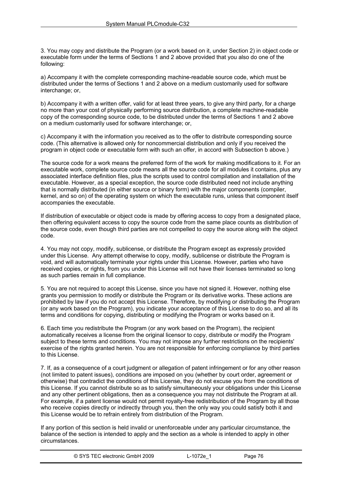3. You may copy and distribute the Program (or a work based on it, under Section 2) in object code or executable form under the terms of Sections 1 and 2 above provided that you also do one of the following:

a) Accompany it with the complete corresponding machine-readable source code, which must be distributed under the terms of Sections 1 and 2 above on a medium customarily used for software interchange; or,

b) Accompany it with a written offer, valid for at least three years, to give any third party, for a charge no more than your cost of physically performing source distribution, a complete machine-readable copy of the corresponding source code, to be distributed under the terms of Sections 1 and 2 above on a medium customarily used for software interchange; or,

c) Accompany it with the information you received as to the offer to distribute corresponding source code. (This alternative is allowed only for noncommercial distribution and only if you received the program in object code or executable form with such an offer, in accord with Subsection b above.)

The source code for a work means the preferred form of the work for making modifications to it. For an executable work, complete source code means all the source code for all modules it contains, plus any associated interface definition files, plus the scripts used to control compilation and installation of the executable. However, as a special exception, the source code distributed need not include anything that is normally distributed (in either source or binary form) with the major components (compiler, kernel, and so on) of the operating system on which the executable runs, unless that component itself accompanies the executable.

If distribution of executable or object code is made by offering access to copy from a designated place, then offering equivalent access to copy the source code from the same place counts as distribution of the source code, even though third parties are not compelled to copy the source along with the object code.

4. You may not copy, modify, sublicense, or distribute the Program except as expressly provided under this License. Any attempt otherwise to copy, modify, sublicense or distribute the Program is void, and will automatically terminate your rights under this License. However, parties who have received copies, or rights, from you under this License will not have their licenses terminated so long as such parties remain in full compliance.

5. You are not required to accept this License, since you have not signed it. However, nothing else grants you permission to modify or distribute the Program or its derivative works. These actions are prohibited by law if you do not accept this License. Therefore, by modifying or distributing the Program (or any work based on the Program), you indicate your acceptance of this License to do so, and all its terms and conditions for copying, distributing or modifying the Program or works based on it.

6. Each time you redistribute the Program (or any work based on the Program), the recipient automatically receives a license from the original licensor to copy, distribute or modify the Program subject to these terms and conditions. You may not impose any further restrictions on the recipients' exercise of the rights granted herein. You are not responsible for enforcing compliance by third parties to this License.

7. If, as a consequence of a court judgment or allegation of patent infringement or for any other reason (not limited to patent issues), conditions are imposed on you (whether by court order, agreement or otherwise) that contradict the conditions of this License, they do not excuse you from the conditions of this License. If you cannot distribute so as to satisfy simultaneously your obligations under this License and any other pertinent obligations, then as a consequence you may not distribute the Program at all. For example, if a patent license would not permit royalty-free redistribution of the Program by all those who receive copies directly or indirectly through you, then the only way you could satisfy both it and this License would be to refrain entirely from distribution of the Program.

If any portion of this section is held invalid or unenforceable under any particular circumstance, the balance of the section is intended to apply and the section as a whole is intended to apply in other circumstances.

| © SYS TEC electronic GmbH 2009 | ∟-1072e <sup>1</sup> | Page 76 |  |
|--------------------------------|----------------------|---------|--|
|--------------------------------|----------------------|---------|--|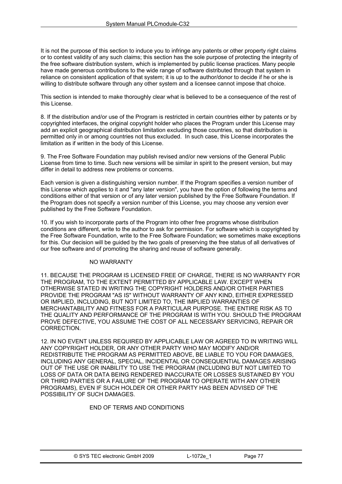It is not the purpose of this section to induce you to infringe any patents or other property right claims or to contest validity of any such claims; this section has the sole purpose of protecting the integrity of the free software distribution system, which is implemented by public license practices. Many people have made generous contributions to the wide range of software distributed through that system in reliance on consistent application of that system; it is up to the author/donor to decide if he or she is willing to distribute software through any other system and a licensee cannot impose that choice.

This section is intended to make thoroughly clear what is believed to be a consequence of the rest of this License.

8. If the distribution and/or use of the Program is restricted in certain countries either by patents or by copyrighted interfaces, the original copyright holder who places the Program under this License may add an explicit geographical distribution limitation excluding those countries, so that distribution is permitted only in or among countries not thus excluded. In such case, this License incorporates the limitation as if written in the body of this License.

9. The Free Software Foundation may publish revised and/or new versions of the General Public License from time to time. Such new versions will be similar in spirit to the present version, but may differ in detail to address new problems or concerns.

Each version is given a distinguishing version number. If the Program specifies a version number of this License which applies to it and "any later version", you have the option of following the terms and conditions either of that version or of any later version published by the Free Software Foundation. If the Program does not specify a version number of this License, you may choose any version ever published by the Free Software Foundation.

10. If you wish to incorporate parts of the Program into other free programs whose distribution conditions are different, write to the author to ask for permission. For software which is copyrighted by the Free Software Foundation, write to the Free Software Foundation; we sometimes make exceptions for this. Our decision will be guided by the two goals of preserving the free status of all derivatives of our free software and of promoting the sharing and reuse of software generally.

#### NO WARRANTY

11. BECAUSE THE PROGRAM IS LICENSED FREE OF CHARGE, THERE IS NO WARRANTY FOR THE PROGRAM, TO THE EXTENT PERMITTED BY APPLICABLE LAW. EXCEPT WHEN OTHERWISE STATED IN WRITING THE COPYRIGHT HOLDERS AND/OR OTHER PARTIES PROVIDE THE PROGRAM "AS IS" WITHOUT WARRANTY OF ANY KIND, EITHER EXPRESSED OR IMPLIED, INCLUDING, BUT NOT LIMITED TO, THE IMPLIED WARRANTIES OF MERCHANTABILITY AND FITNESS FOR A PARTICULAR PURPOSE. THE ENTIRE RISK AS TO THE QUALITY AND PERFORMANCE OF THE PROGRAM IS WITH YOU. SHOULD THE PROGRAM PROVE DEFECTIVE, YOU ASSUME THE COST OF ALL NECESSARY SERVICING, REPAIR OR CORRECTION.

12. IN NO EVENT UNLESS REQUIRED BY APPLICABLE LAW OR AGREED TO IN WRITING WILL ANY COPYRIGHT HOLDER, OR ANY OTHER PARTY WHO MAY MODIFY AND/OR REDISTRIBUTE THE PROGRAM AS PERMITTED ABOVE, BE LIABLE TO YOU FOR DAMAGES, INCLUDING ANY GENERAL, SPECIAL, INCIDENTAL OR CONSEQUENTIAL DAMAGES ARISING OUT OF THE USE OR INABILITY TO USE THE PROGRAM (INCLUDING BUT NOT LIMITED TO LOSS OF DATA OR DATA BEING RENDERED INACCURATE OR LOSSES SUSTAINED BY YOU OR THIRD PARTIES OR A FAILURE OF THE PROGRAM TO OPERATE WITH ANY OTHER PROGRAMS), EVEN IF SUCH HOLDER OR OTHER PARTY HAS BEEN ADVISED OF THE POSSIBILITY OF SUCH DAMAGES.

#### END OF TERMS AND CONDITIONS

| © SYS TEC electronic GmbH 2009 | L-1072e | Page 77 |
|--------------------------------|---------|---------|
|--------------------------------|---------|---------|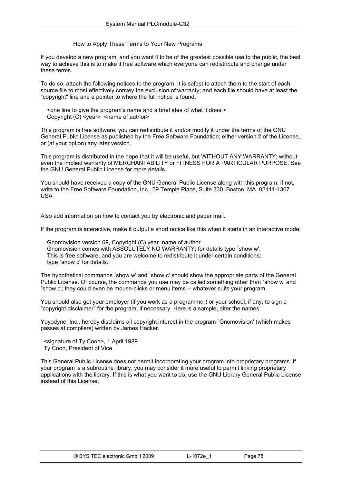How to Apply These Terms to Your New Programs

If you develop a new program, and you want it to be of the greatest possible use to the public, the best way to achieve this is to make it free software which everyone can redistribute and change under these terms.

To do so, attach the following notices to the program. It is safest to attach them to the start of each source file to most effectively convey the exclusion of warranty; and each file should have at least the "copyright" line and a pointer to where the full notice is found.

 <one line to give the program's name and a brief idea of what it does.> Copyright  $(C)$  <year > <name of author>

This program is free software; you can redistribute it and/or modify it under the terms of the GNU General Public License as published by the Free Software Foundation; either version 2 of the License, or (at your option) any later version.

This program is distributed in the hope that it will be useful, but WITHOUT ANY WARRANTY; without even the implied warranty of MERCHANTABILITY or FITNESS FOR A PARTICULAR PURPOSE. See the GNU General Public License for more details.

You should have received a copy of the GNU General Public License along with this program; if not, write to the Free Software Foundation, Inc., 59 Temple Place, Suite 330, Boston, MA 02111-1307 USA

Also add information on how to contact you by electronic and paper mail.

If the program is interactive, make it output a short notice like this when it starts in an interactive mode:

 Gnomovision version 69, Copyright (C) year name of author Gnomovision comes with ABSOLUTELY NO WARRANTY; for details type `show w'. This is free software, and you are welcome to redistribute it under certain conditions; type `show c' for details.

The hypothetical commands `show w' and `show c' should show the appropriate parts of the General Public License. Of course, the commands you use may be called something other than `show w' and `show c'; they could even be mouse-clicks or menu items -- whatever suits your program.

You should also get your employer (if you work as a programmer) or your school, if any, to sign a "copyright disclaimer" for the program, if necessary. Here is a sample; alter the names:

Yoyodyne, Inc., hereby disclaims all copyright interest in the program `Gnomovision' (which makes passes at compilers) written by James Hacker.

 <signature of Ty Coon>, 1 April 1989 Ty Coon, President of Vice

This General Public License does not permit incorporating your program into proprietary programs. If your program is a subroutine library, you may consider it more useful to permit linking proprietary applications with the library. If this is what you want to do, use the GNU Library General Public License instead of this License.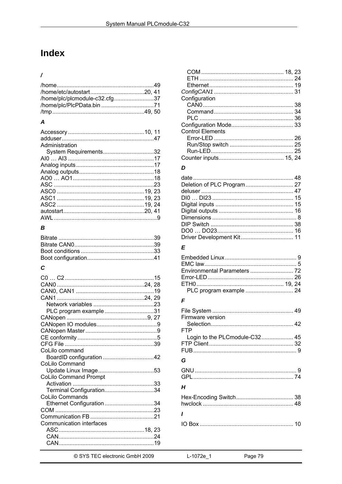# **Index**

### $\overline{1}$

| /home/plc/plcmodule-c32.cfg37 |  |
|-------------------------------|--|
|                               |  |
|                               |  |

#### $\boldsymbol{A}$

| Administration        |  |
|-----------------------|--|
| System Requirements32 |  |
|                       |  |
|                       |  |
|                       |  |
|                       |  |
|                       |  |
|                       |  |
|                       |  |
|                       |  |
|                       |  |
|                       |  |

#### $\pmb B$

# $\mathbf c$

| PLC program example31           |  |
|---------------------------------|--|
|                                 |  |
|                                 |  |
|                                 |  |
|                                 |  |
|                                 |  |
| CoLilo command                  |  |
|                                 |  |
| CoLilo Command                  |  |
|                                 |  |
| <b>CoLilo Command Prompt</b>    |  |
|                                 |  |
| Terminal Configuration34        |  |
| <b>CoLilo Commands</b>          |  |
| Ethernet Configuration34        |  |
|                                 |  |
|                                 |  |
| <b>Communication interfaces</b> |  |
|                                 |  |
|                                 |  |
|                                 |  |
|                                 |  |

| Configuration           |  |
|-------------------------|--|
|                         |  |
|                         |  |
|                         |  |
|                         |  |
| <b>Control Elements</b> |  |
|                         |  |
|                         |  |
|                         |  |
|                         |  |
|                         |  |
|                         |  |

#### $\boldsymbol{D}$

### $\overline{E}$

#### $\overline{F}$

| Firmware version<br>FTP       |  |
|-------------------------------|--|
| Login to the PLCmodule-C32 45 |  |
| G                             |  |
|                               |  |
| Н                             |  |
|                               |  |
|                               |  |
|                               |  |
|                               |  |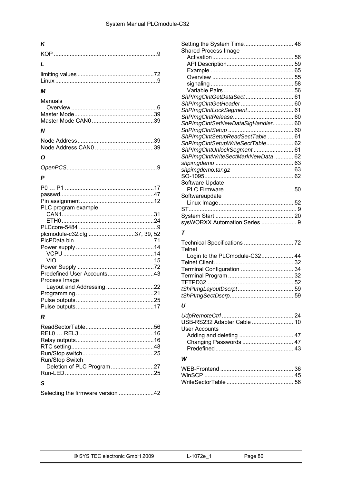## $\boldsymbol{K}$

| $\mathbf{L}$ |  |
|--------------|--|
|              |  |
|              |  |

#### $\boldsymbol{M}$

| Manuals |  |
|---------|--|
|         |  |
|         |  |
|         |  |

#### $\boldsymbol{N}$

### $\mathbf{o}$

| P                            |  |
|------------------------------|--|
|                              |  |
|                              |  |
|                              |  |
| PLC program example          |  |
|                              |  |
|                              |  |
|                              |  |
| plcmodule-c32.cfg 37, 39, 52 |  |
|                              |  |
|                              |  |
|                              |  |
|                              |  |
|                              |  |
| Predefined User Accounts43   |  |
| Process Image                |  |
| Layout and Addressing 22     |  |
|                              |  |
|                              |  |
|                              |  |
|                              |  |

#### $\pmb{\mathcal{R}}$

| Run/Stop Switch                   |  |
|-----------------------------------|--|
|                                   |  |
|                                   |  |
| .S                                |  |
| Selecting the firmware version 42 |  |

| <b>Shared Process Image</b>       |  |
|-----------------------------------|--|
|                                   |  |
|                                   |  |
|                                   |  |
|                                   |  |
|                                   |  |
|                                   |  |
| ShPImgCIntGetDataSect 61          |  |
|                                   |  |
| ShPImgCIntLockSegment 61          |  |
|                                   |  |
| ShPImgCIntSetNewDataSigHandler 60 |  |
|                                   |  |
| ShPImgCIntSetupReadSectTable  61  |  |
| ShPImgCIntSetupWriteSectTable 62  |  |
| ShPImgCIntUnlockSegment 61        |  |
| ShPImgCIntWriteSectMarkNewData 62 |  |
|                                   |  |
|                                   |  |
|                                   |  |
| Software Update                   |  |
|                                   |  |
| Softwareupdate                    |  |
|                                   |  |
|                                   |  |
|                                   |  |
|                                   |  |
| sysWORXX Automation Series  9     |  |
| –                                 |  |

#### $\boldsymbol{\tau}$

| Technical Specifications  72  |  |
|-------------------------------|--|
| <b>Telnet</b>                 |  |
| Login to the PLCmodule-C32 44 |  |
|                               |  |
|                               |  |
|                               |  |
|                               |  |
|                               |  |
|                               |  |
|                               |  |

#### $\boldsymbol{U}$

| USB-RS232 Adapter Cable  10 |  |
|-----------------------------|--|
| <b>User Accounts</b>        |  |
|                             |  |
|                             |  |
|                             |  |

#### W